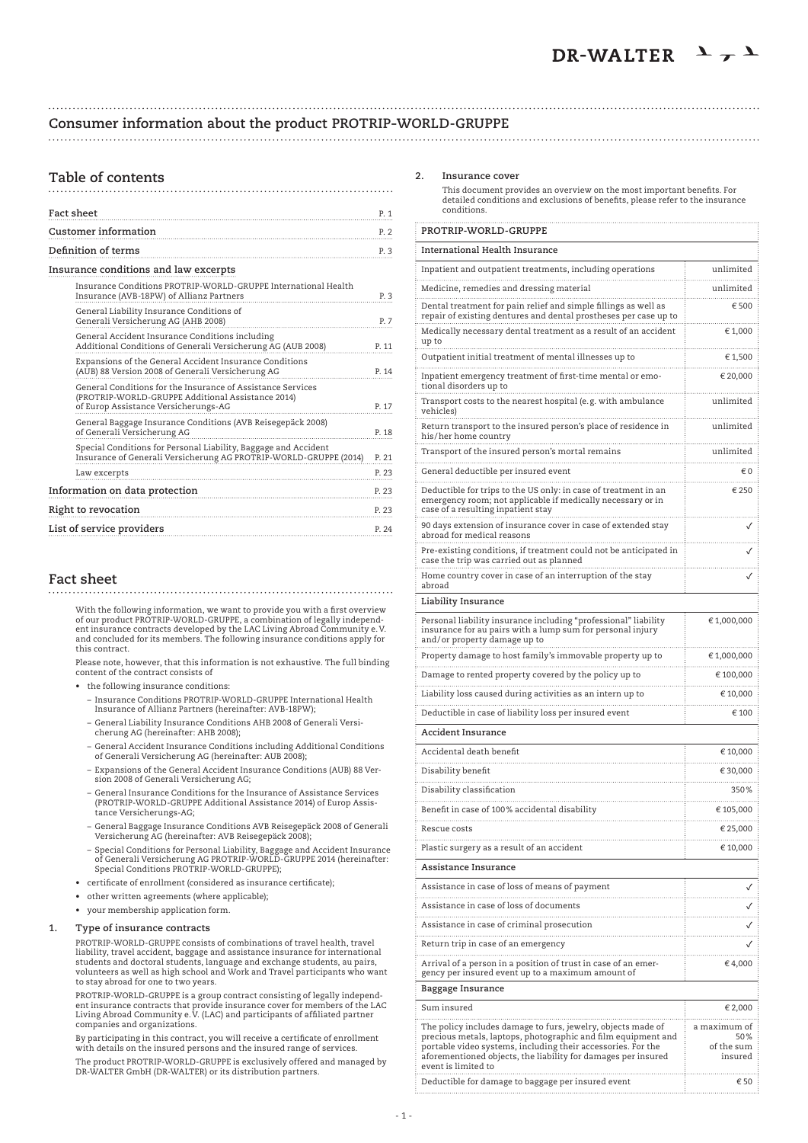# **Consumer information about the product PROTRIP-WORLD-GRUPPE**

#### 

# **Table of contents**

| Fact sheet                                                                                                                                               | P. 1  |
|----------------------------------------------------------------------------------------------------------------------------------------------------------|-------|
| <b>Customer information</b>                                                                                                                              | P.2   |
| Definition of terms                                                                                                                                      | P. 3  |
| Insurance conditions and law excerpts                                                                                                                    |       |
| Insurance Conditions PROTRIP-WORLD-GRUPPE International Health<br>Insurance (AVB-18PW) of Allianz Partners                                               | P. 3  |
| General Liability Insurance Conditions of<br>Generali Versicherung AG (AHB 2008)                                                                         | P. 7  |
| General Accident Insurance Conditions including<br>Additional Conditions of Generali Versicherung AG (AUB 2008)                                          | P. 11 |
| Expansions of the General Accident Insurance Conditions<br>(AUB) 88 Version 2008 of Generali Versicherung AG                                             | P. 14 |
| General Conditions for the Insurance of Assistance Services<br>(PROTRIP-WORLD-GRUPPE Additional Assistance 2014)<br>of Europ Assistance Versicherungs-AG | P. 17 |
| General Baggage Insurance Conditions (AVB Reisegepäck 2008)<br>of Generali Versicherung AG                                                               | P. 18 |
| Special Conditions for Personal Liability, Baggage and Accident<br>Insurance of Generali Versicherung AG PROTRIP-WORLD-GRUPPE (2014)                     | P. 21 |
| Law excerpts                                                                                                                                             | P. 23 |
| Information on data protection                                                                                                                           | P. 23 |
| Right to revocation                                                                                                                                      | P. 23 |
| List of service providers                                                                                                                                | P. 24 |

# **Fact sheet**

 With the following information, we want to provide you with a first overview of our product PROTRIP-WORLD-GRUPPE, a combination of legally independ-ent insurance contracts developed by the LAC Living Abroad Community e.V. and concluded for its members. The following insurance conditions apply for this contract.

 Please note, however, that this information is not exhaustive. The full binding content of the contract consists of

- • the following insurance conditions:
	- Insurance Conditions PROTRIP-WORLD-GRUPPE International Health Insurance of Allianz Partners (hereinafter: AVB-18PW);
	- General Liability Insurance Conditions AHB 2008 of Generali Versicherung AG (hereinafter: AHB 2008);
	- General Accident Insurance Conditions including Additional Conditions of Generali Versicherung AG (hereinafter: AUB 2008);
	- Expansions of the General Accident Insurance Conditions (AUB) 88 Version 2008 of Generali Versicherung AG;
	- General Insurance Conditions for the Insurance of Assistance Services (PROTRIP-WORLD-GRUPPE Additional Assistance 2014) of Europ Assis-tance Versicherungs-AG;
- General Baggage Insurance Conditions AVB Reisegepäck 2008 of Generali Versicherung AG (hereinafter: AVB Reisegepäck 2008);
- Special Conditions for Personal Liability, Baggage and Accident Insurance of Generali Versicherung AG PROTRIP-WORLD-GRUPPE 2014 (hereinafter: Special Conditions PROTRIP-WORLD-GRUPPE);
	- • certificate of enrollment (considered as insurance certificate);
	- • other written agreements (where applicable);
	- • your membership application form.

### **1. Type of insurance contracts**

 PROTRIP-WORLD-GRUPPE consists of combinations of travel health, travel liability, travel accident, baggage and assistance insurance for international<br>students and doctoral students, language and exchange students, au pairs,<br>volunteers as well as high school and Work and Travel participants wh to stay abroad for one to two years.

PROTRIP-WORLD-GRUPPE is a group contract consisting of legally independent insurance contracts that provide insurance cover for members of the LAC Living Abroad Community e.V. (LAC) and participants of affiliated partner c

 By participating in this contract, you will receive a certificate of enrollment with details on the insured persons and the insured range of services. The product PROTRIP-WORLD-GRUPPE is exclusively offered and managed by DR-WALTER GmbH (DR-WALTER) or its distribution partners.

### **2. Insurance cover**

 This document provides an overview on the most important benefits. For detailed conditions and exclusions of benefits, please refer to the insurance conditions.

| PROTRIP-WORLD-GRUPPE                                                                                                                                                                                                                                                                  |                                              |
|---------------------------------------------------------------------------------------------------------------------------------------------------------------------------------------------------------------------------------------------------------------------------------------|----------------------------------------------|
| International Health Insurance                                                                                                                                                                                                                                                        |                                              |
| Inpatient and outpatient treatments, including operations                                                                                                                                                                                                                             | unlimited                                    |
| Medicine, remedies and dressing material                                                                                                                                                                                                                                              | .<br>unlimited                               |
| Dental treatment for pain relief and simple fillings as well as<br>repair of existing dentures and dental prostheses per case up to                                                                                                                                                   | € 500                                        |
| Medically necessary dental treatment as a result of an accident<br>up to                                                                                                                                                                                                              | € 1,000                                      |
| Outpatient initial treatment of mental illnesses up to                                                                                                                                                                                                                                | € 1,500<br>.                                 |
| Inpatient emergency treatment of first-time mental or emo-<br>tional disorders up to                                                                                                                                                                                                  | € 20,000                                     |
| Transport costs to the nearest hospital (e.g. with ambulance<br>vehicles)                                                                                                                                                                                                             | unlimited                                    |
| Return transport to the insured person's place of residence in<br>his/her home country                                                                                                                                                                                                | unlimited<br>.                               |
| Transport of the insured person's mortal remains                                                                                                                                                                                                                                      | unlimited                                    |
| General deductible per insured event                                                                                                                                                                                                                                                  | €0                                           |
| Deductible for trips to the US only: in case of treatment in an<br>emergency room; not applicable if medically necessary or in<br>case of a resulting inpatient stay                                                                                                                  | € 250                                        |
| 90 days extension of insurance cover in case of extended stay<br>abroad for medical reasons                                                                                                                                                                                           |                                              |
| Pre-existing conditions, if treatment could not be anticipated in<br>case the trip was carried out as planned                                                                                                                                                                         |                                              |
| Home country cover in case of an interruption of the stay<br>abroad                                                                                                                                                                                                                   |                                              |
| Liability Insurance                                                                                                                                                                                                                                                                   |                                              |
| Personal liability insurance including "professional" liability<br>insurance for au pairs with a lump sum for personal injury<br>and/or property damage up to                                                                                                                         | € 1,000,000                                  |
| Property damage to host family's immovable property up to                                                                                                                                                                                                                             | € 1,000,000                                  |
| Damage to rented property covered by the policy up to                                                                                                                                                                                                                                 | .<br>€ 100,000                               |
| Liability loss caused during activities as an intern up to                                                                                                                                                                                                                            | .<br>€ 10,000                                |
| Deductible in case of liability loss per insured event                                                                                                                                                                                                                                | € 100                                        |
| Accident Insurance                                                                                                                                                                                                                                                                    |                                              |
| Accidental death benefit                                                                                                                                                                                                                                                              | € 10,000                                     |
| Disability benefit                                                                                                                                                                                                                                                                    | .<br>€ 30,000                                |
| Disability classification                                                                                                                                                                                                                                                             | .<br>350%                                    |
| Benefit in case of 100% accidental disability                                                                                                                                                                                                                                         | .<br>€ 105,000                               |
| Rescue costs                                                                                                                                                                                                                                                                          | .<br>€ 25,000                                |
| Plastic surgery as a result of an accident                                                                                                                                                                                                                                            | € 10,000                                     |
| Assistance Insurance                                                                                                                                                                                                                                                                  |                                              |
| Assistance in case of loss of means of payment                                                                                                                                                                                                                                        |                                              |
| Assistance in case of loss of documents                                                                                                                                                                                                                                               |                                              |
| Assistance in case of criminal prosecution                                                                                                                                                                                                                                            |                                              |
| Return trip in case of an emergency                                                                                                                                                                                                                                                   |                                              |
| Arrival of a person in a position of trust in case of an emer-<br>gency per insured event up to a maximum amount of                                                                                                                                                                   | € 4,000                                      |
| Baggage Insurance                                                                                                                                                                                                                                                                     |                                              |
| Sum insured                                                                                                                                                                                                                                                                           | € 2,000                                      |
| The policy includes damage to furs, jewelry, objects made of<br>precious metals, laptops, photographic and film equipment and<br>portable video systems, including their accessories. For the<br>aforementioned objects, the liability for damages per insured<br>event is limited to | a maximum of<br>50%<br>of the sum<br>insured |
| Deductible for damage to baggage per insured event                                                                                                                                                                                                                                    | € 50                                         |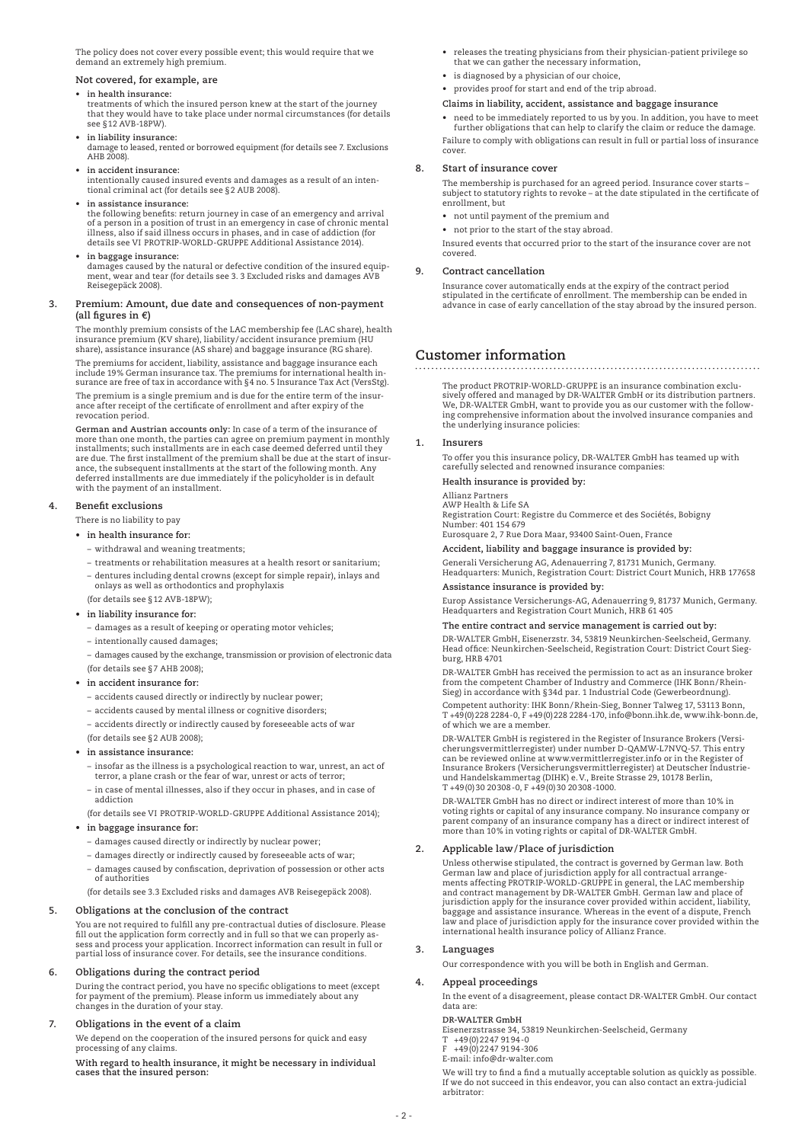The policy does not cover every possible event; this would require that we demand an extremely high premium.

### **Not covered, for example, are**

### **• in health insurance:**

treatments of which the insured person knew at the start of the journey that they would have to take place under normal circumstances (for details see §12 AVB-18PW).

 **• in liability insurance:** damage to leased, rented or borrowed equipment (for details see 7. Exclusions AHB 2008).

- **• in accident insurance:** intentionally caused insured events and damages as a result of an intentional criminal act (for details see §2 AUB 2008).
- **• in assistance insurance:**

the following benefits: return journey in case of an emergency and arrival of a person in a position of trust in an emergency in case of chronic mental illness, also if said illness occurs in phases, and in case of addiction (for details see VI PROTRIP-WORLD-GRUPPE Additional Assistance 2014).

 $\mathbf{a}$  **in** baggage insurance:

damages caused by the natural or defective condition of the insured equipment, wear and tear (for details see 3. 3 Excluded risks and damages AVB Reisegepäck 2008).

### **3. Premium: Amount, due date and consequences of non-payment (all figures in €)**

 The monthly premium consists of the LAC membership fee (LAC share), health insurance premium (KV share), liability/accident insurance premium (HU share), assistance insurance (AS share) and baggage insurance (RG share).

 The premiums for accident, liability, assistance and baggage insurance each include 19% German insurance tax. The premiums for international health insurance are free of tax in accordance with §4 no. 5 Insurance Tax Act (VersStg). The premium is a single premium and is due for the entire term of the insur-

ance after receipt of the certificate of enrollment and after expiry of the revocation period.

 **German and Austrian accounts only:** In case of a term of the insurance of more than one month, the parties can agree on premium payment in monthly installments; such installments are in each case deemed deferred until they are due. The first installment of the premium shall be due at the start of insur-ance, the subsequent installments at the start of the following month. Any deferred installments are due immediately if the policyholder is in default with the payment of an installment.

### **4. Benefit exclusions**

There is no liability to pay

### **• in health insurance for:**

- withdrawal and weaning treatments;
- treatments or rehabilitation measures at a health resort or sanitarium;
- dentures including dental crowns (except for simple repair), inlays and onlays as well as orthodontics and prophylaxis
- (for details see §12 AVB-18PW);
- **• in liability insurance for:**
	- damages as a result of keeping or operating motor vehicles;
	- intentionally caused damages;
	- damages caused by the exchange, transmission or provision of electronic data (for details see §7 AHB 2008);
- **• in accident insurance for:**
	- accidents caused directly or indirectly by nuclear power;
	- accidents caused by mental illness or cognitive disorders;
	- accidents directly or indirectly caused by foreseeable acts of war
- (for details see §2 AUB 2008);

### **• in assistance insurance:**

- insofar as the illness is a psychological reaction to war, unrest, an act of terror, a plane crash or the fear of war, unrest or acts of terror;
- in case of mental illnesses, also if they occur in phases, and in case of addiction
- (for details see VI PROTRIP-WORLD-GRUPPE Additional Assistance 2014);
- **• in baggage insurance for:**
	- damages caused directly or indirectly by nuclear power;
	- damages directly or indirectly caused by foreseeable acts of war;
	- damages caused by confiscation, deprivation of possession or other acts of authorities

(for details see 3.3 Excluded risks and damages AVB Reisegepäck 2008).

### **5. Obligations at the conclusion of the contract**

 You are not required to fulfill any pre-contractual duties of disclosure. Please fill out the application form correctly and in full so that we can properly assess and process your application. Incorrect information can result in full or partial loss of insurance cover. For details, see the insurance conditions.

### **6. Obligations during the contract period**

 During the contract period, you have no specific obligations to meet (except for payment of the premium). Please inform us immediately about any changes in the duration of your stay.

### **7. Obligations in the event of a claim**

 We depend on the cooperation of the insured persons for quick and easy processing of any claims.

 **With regard to health insurance, it might be necessary in individual cases that the insured person:**

- • releases the treating physicians from their physician-patient privilege so that we can gather the necessary information,
- • is diagnosed by a physician of our choice,
- • provides proof for start and end of the trip abroad.

### **Claims in liability, accident, assistance and baggage insurance**

 • need to be immediately reported to us by you. In addition, you have to meet further obligations that can help to clarify the claim or reduce the damage. Failure to comply with obligations can result in full or partial loss of insurance cover.

### **8. Start of insurance cover**

 The membership is purchased for an agreed period. Insurance cover starts – subject to statutory rights to revoke – at the date stipulated in the certificate of enrollment, but

- • not until payment of the premium and
- • not prior to the start of the stay abroad.

 Insured events that occurred prior to the start of the insurance cover are not covered.

### **9. Contract cancellation**

 Insurance cover automatically ends at the expiry of the contract period stipulated in the certificate of enrollment. The membership can be ended in advance in case of early cancellation of the stay abroad by the insured person.

# **Customer information**

 The product PROTRIP-WORLD-GRUPPE is an insurance combination exclusively offered and managed by DR-WALTER GmbH or its distribution partners. We, DR-WALTER GmbH, want to provide you as our customer with the follow-ing comprehensive information about the involved insurance companies and the underlying insurance policies:

#### **1. Insurers**

 To offer you this insurance policy, DR-WALTER GmbH has teamed up with carefully selected and renowned insurance companies:

 **Health insurance is provided by:**

# Allianz Partners AWP Health & Life SA Registration Court: Registre du Commerce et des Sociétés, Bobigny Number: 401 154 679 Eurosquare 2, 7 Rue Dora Maar, 93400 Saint-Ouen, France

 **Accident, liability and baggage insurance is provided by:**

 Generali Versicherung AG, Adenauerring 7, 81731 Munich, Germany. Headquarters: Munich, Registration Court: District Court Munich, HRB 177658  **Assistance insurance is provided by:**

Europ Assistance Versicherungs-AG, Adenauerring 9, 81737 Munich, Germany. Headquarters and Registration Court Munich, HRB 61 405

### **The entire contract and service management is carried out by:**

 DR-WALTER GmbH, Eisenerzstr. 34, 53819 Neunkirchen-Seelscheid, Germany. Head office: Neunkirchen-Seelscheid, Registration Court: District Court Siegburg, HRB 4701

 DR-WALTER GmbH has received the permission to act as an insurance broker from the competent Chamber of Industry and Commerce (IHK Bonn/Rhein-Sieg) in accordance with §34d par. 1 Industrial Code (Gewerbeordnung).

 Competent authority: IHK Bonn/Rhein-Sieg, Bonner Talweg 17, 53113 Bonn, T +49(0)228 2284-0, F +49(0)228 2284-170, info@bonn.ihk.de, www.ihk-bonn.de, of which we are a member.

DR-WALTER GmbH is registered in the Register of Insurance Brokers (Versi-<br>cherungsvermittlerregister) under number D-QAMW-L7NVQ-57. This entry<br>can be reviewed online at www.vermittlerregister.info or in the Register of Insurance Brokers (Versicherungsvermittlerregister) at Deutscher Industrie-und Handelskammertag (DIHK) e.V., Breite Strasse 29, 10178 Berlin, T +49(0)30 20308-0, F +49(0)30 20308-1000.

 DR-WALTER GmbH has no direct or indirect interest of more than 10% in voting rights or capital of any insurance company. No insurance company or parent company of an insurance company has a direct or indirect interest of more than 10% in voting rights or capital of DR-WALTER GmbH.

### **2. Applicable law/Place of jurisdiction**

Unless otherwise stipulated, the contract is governed by German law. Both<br>German law and place of jurisdiction apply for all contractual arrange-<br>ments affecting PROTRIP-WORLD-GRUPPE in general, the LAC membership<br>and cont jurisdiction apply for the insurance cover provided within accident, liability,<br>baggage and assistance insurance. Whereas in the event of a dispute, French<br>law and place of jurisdiction apply for the insurance cover provid international health insurance policy of Allianz France.

### **3. Languages**

Our correspondence with you will be both in English and German.

### **4. Appeal proceedings**

 In the event of a disagreement, please contact DR-WALTER GmbH. Our contact data are:

 **DR-WALTER GmbH**

Eisenerzstrasse 34, 53819 Neunkirchen-Seelscheid, Germany

T +49(0)2247 9194-0 F +49(0)2247 9194-306

E-mail: info@dr-walter.com

 We will try to find a find a mutually acceptable solution as quickly as possible. If we do not succeed in this endeavor, you can also contact an extra-judicial arbitrator: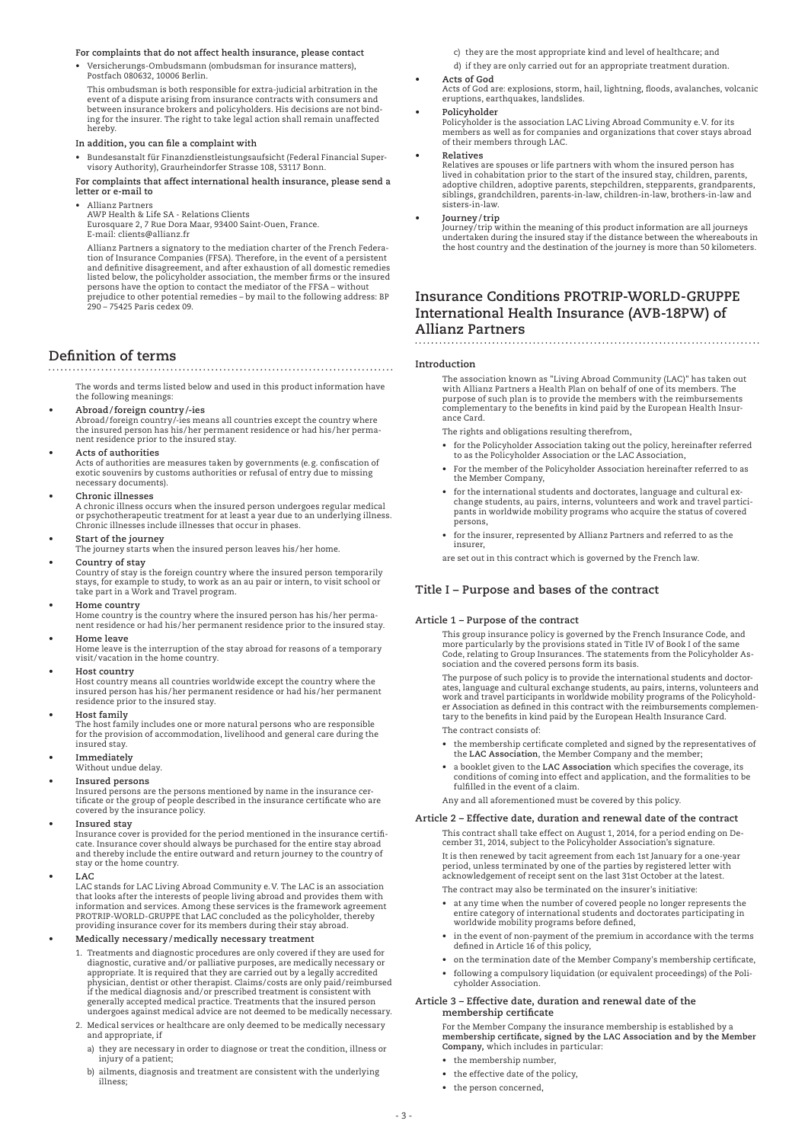### **For complaints that do not affect health insurance, please contact**

Versicherungs-Ombudsmann (ombudsman for insurance matters), Postfach 080632, 10006 Berlin.

 This ombudsman is both responsible for extra-judicial arbitration in the event of a dispute arising from insurance contracts with consumers and between insurance brokers and policyholders. His decisions are not binding for the insurer. The right to take legal action shall remain unaffected hereby.

### **In addition, you can file a complaint with**

 • Bundesanstalt für Finanzdienstleistungsaufsicht (Federal Financial Supervisory Authority), Graurheindorfer Strasse 108, 53117 Bonn.

 **For complaints that affect international health insurance, please send a letter or e-mail to**

 • Allianz Partners

AWP Health & Life SA - Relations Clients

Eurosquare 2, 7 Rue Dora Maar, 93400 Saint-Ouen, France. E-mail: clients@allianz.fr

 Allianz Partners a signatory to the mediation charter of the French Federation of Insurance Companies (FFSA). Therefore, in the event of a persistent and definitive disagreement, and after exhaustion of all domestic remedies listed below, the policyholder association, the member firms or the insured persons have the option to contact the mediator of the FFSA – without prejudice to other potential remedies – by mail to the following address: BP 290 – 75425 Paris cedex 09.

# **Definition of terms**

### 

 The words and terms listed below and used in this product information have the following meanings:

**• Abroad/foreign country/-ies**

Abroad/foreign country/-ies means all countries except the country where the insured person has his/her permanent residence or had his/her permanent residence prior to the insured stay.

**• Acts of authorities**

Acts of authorities are measures taken by governments (e.g. confiscation of exotic souvenirs by customs authorities or refusal of entry due to missing necessary documents).

### **• Chronic illnesses**

A chronic illness occurs when the insured person undergoes regular medical or psychotherapeutic treatment for at least a year due to an underlying illness. Chronic illnesses include illnesses that occur in phases.

- 
- **• Start of the journey** The journey starts when the insured person leaves his/her home.

**• Country of stay** Country of stay is the foreign country where the insured person temporarily stays, for example to study, to work as an au pair or intern, to visit school or take part in a Work and Travel program.

**• Home country**

Home country is the country where the insured person has his/her perma-nent residence or had his/her permanent residence prior to the insured stay.

**• Home leave** Home leave is the interruption of the stay abroad for reasons of a temporary visit/vacation in the home country.

**• Host country**

Host country means all countries worldwide except the country where the insured person has his/her permanent residence or had his/her permanent residence prior to the insured stay.

**• Host family**

The host family includes one or more natural persons who are responsible for the provision of accommodation, livelihood and general care during the insured stay.

**• Immediately**

Without undue delay.

### **Insured** persons

Insured persons are the persons mentioned by name in the insurance cer-tificate or the group of people described in the insurance certificate who are covered by the insurance policy.

**• Insured stay**

Insurance cover is provided for the period mentioned in the insurance certificate. Insurance cover should always be purchased for the entire stay abroad and thereby include the entire outward and return journey to the country of stay or the home country.

**• LAC**

LAC stands for LAC Living Abroad Community e.V. The LAC is an association that looks after the interests of people living abroad and provides them with information and services. Among these services is the framework agreement PROTRIP-WORLD-GRUPPE that LAC concluded as the policyholder, thereby providing insurance cover for its members during their stay abroad.

### **• Medically necessary/medically necessary treatment**

- Treatments and diagnostic procedures are only covered if they are used for diagnostic, curative and/or palliative purposes, are medically necessary or appropriate. It is required that they are carried out by a legally accredited physician, dentist or other therapist. Claims/costs are only paid/reimbursed if the medical diagnosis and/or prescribed treatment is consistent with generally accepted medical practice. Treatments that the insured person undergoes against medical advice are not deemed to be medically necessary.
- 2. Medical services or healthcare are only deemed to be medically necessary and appropriate, if
	- a) they are necessary in order to diagnose or treat the condition, illness or injury of a patient;
	- b) ailments, diagnosis and treatment are consistent with the underlying illness;

c) they are the most appropriate kind and level of healthcare; and

- d) if they are only carried out for an appropriate treatment duration.
- **• Acts of God**
- Acts of God are: explosions, storm, hail, lightning, floods, avalanches, volcanic eruptions, earthquakes, landslides.
- **• Policyholder**

Policyholder is the association LAC Living Abroad Community e.V. for its members as well as for companies and organizations that cover stays abroad of their members through LAC.

**• Relatives**

Relatives are spouses or life partners with whom the insured person has lived in cohabitation prior to the start of the insured stay, children, parents, adoptive children, adoptive parents, stepchildren, stepparents, grandparents, siblings, grandchildren, parents-in-law, children-in-law, brothers-in-law and sisters-in-law.

**• Journey/trip**

Journey/trip within the meaning of this product information are all journeys undertaken during the insured stay if the distance between the whereabouts in the host country and the destination of the journey is more than 50 kilometers.

# **Insurance Conditions PROTRIP-WORLD-GRUPPE International Health Insurance (AVB-18PW) of Allianz Partners**

#### **Introduction**

 The association known as "Living Abroad Community (LAC)" has taken out with Allianz Partners a Health Plan on behalf of one of its members. The purpose of such plan is to provide the members with the reimbursements complementary to the benefits in kind paid by the European Health Insurance Card.

The rights and obligations resulting therefrom,

- • for the Policyholder Association taking out the policy, hereinafter referred to as the Policyholder Association or the LAC Association,
	- • For the member of the Policyholder Association hereinafter referred to as the Member Company,
	- • for the international students and doctorates, language and cultural exchange students, au pairs, interns, volunteers and work and travel participants in worldwide mobility programs who acquire the status of covered persons,
	- • for the insurer, represented by Allianz Partners and referred to as the insurer,

are set out in this contract which is governed by the French law.

## **Title I – Purpose and bases of the contract**

#### **Article 1 – Purpose of the contract**

 This group insurance policy is governed by the French Insurance Code, and more particularly by the provisions stated in Title IV of Book I of the same Code, relating to Group Insurances. The statements from the Policyholder As-sociation and the covered persons form its basis.

 The purpose of such policy is to provide the international students and doctorates, language and cultural exchange students, au pairs, interns, volunteers and work and travel participants in worldwide mobility programs of the Policyholder Association as defined in this contract with the reimbursements complemen-tary to the benefits in kind paid by the European Health Insurance Card.

The contract consists of:

- • the membership certificate completed and signed by the representatives of the **LAC Association**, the Member Company and the member;
	- • a booklet given to the **LAC Association** which specifies the coverage, its conditions of coming into effect and application, and the formalities to be fulfilled in the event of a claim.

Any and all aforementioned must be covered by this policy.

### **Article 2 – Effective date, duration and renewal date of the contract**

 This contract shall take effect on August 1, 2014, for a period ending on De-cember 31, 2014, subject to the Policyholder Association's signature. It is then renewed by tacit agreement from each 1st January for a one-year period, unless terminated by one of the parties by registered letter with acknowledgement of receipt sent on the last 31st October at the latest.

The contract may also be terminated on the insurer's initiative:

- at any time when the number of covered people no longer represents the entire category of international students and doctorates participating in worldwide mobility programs before defined,
- • in the event of non-payment of the premium in accordance with the terms defined in Article 16 of this policy,
- on the termination date of the Member Company's membership certificate, following a compulsory liquidation (or equivalent proceedings) of the Poli-

### **Article 3 – Effective date, duration and renewal date of the membership certificate**

For the Member Company the insurance membership is established by a<br>membership certificate, signed by the LAC Association and by the Member<br>Company, which includes in particular:

the membership number

cyholder Association.

- • the effective date of the policy,
- the person concerned.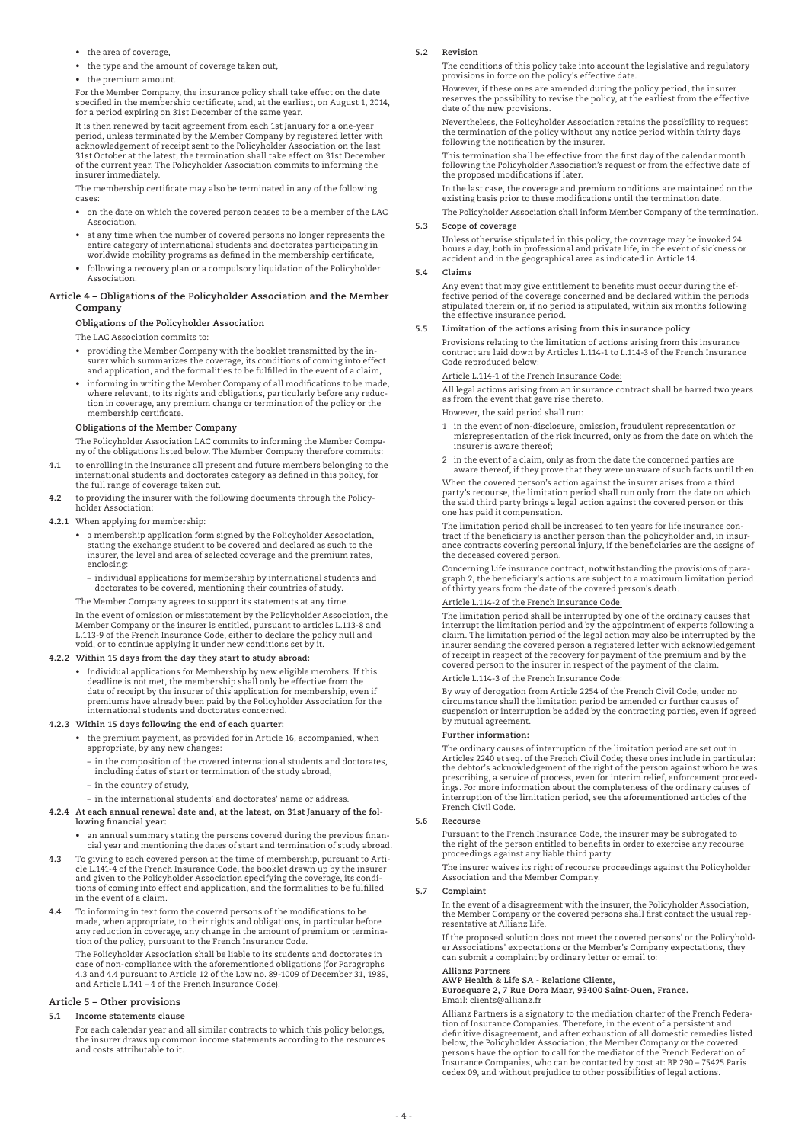- • the area of coverage,
- • the type and the amount of coverage taken out,
- the premium amount

 For the Member Company, the insurance policy shall take effect on the date specified in the membership certificate, and, at the earliest, on August 1, 2014, for a period expiring on 31st December of the same year.

 It is then renewed by tacit agreement from each 1st January for a one-year period, unless terminated by the Member Company by registered letter with acknowledgement of receipt sent to the Policyholder Association on the last 31st October at the latest; the termination shall take effect on 31st December of the current year. The Policyholder Association commits to informing the insurer immediately.

 The membership certificate may also be terminated in any of the following cases:

- • on the date on which the covered person ceases to be a member of the LAC Association,
- • at any time when the number of covered persons no longer represents the entire category of international students and doctorates participating in worldwide mobility programs as defined in the membership certificate,
- • following a recovery plan or a compulsory liquidation of the Policyholder Association.

#### **Article 4 – Obligations of the Policyholder Association and the Member Company**

### **Obligations of the Policyholder Association**

The LAC Association commits to:

- • providing the Member Company with the booklet transmitted by the insurer which summarizes the coverage, its conditions of coming into effect and application, and the formalities to be fulfilled in the event of a claim,
- • informing in writing the Member Company of all modifications to be made, where relevant, to its rights and obligations, particularly before any reduc-tion in coverage, any premium change or termination of the policy or the membership certificate.

### **Obligations of the Member Company**

 The Policyholder Association LAC commits to informing the Member Company of the obligations listed below. The Member Company therefore commits:

- **4.1** to enrolling in the insurance all present and future members belonging to the international students and doctorates category as defined in this policy, for the full range of coverage taken out.
- **4.2** to providing the insurer with the following documents through the Policyholder Association:

#### **4.2.1** When applying for membership:

- • a membership application form signed by the Policyholder Association, stating the exchange student to be covered and declared as such to the insurer, the level and area of selected coverage and the premium rates, enclosing:
- individual applications for membership by international students and doctorates to be covered, mentioning their countries of study.

The Member Company agrees to support its statements at any time.

 In the event of omission or misstatement by the Policyholder Association, the Member Company or the insurer is entitled, pursuant to articles L.113-8 and L.113-9 of the French Insurance Code, either to declare the policy null and void, or to continue applying it under new conditions set by it.

# **4.2.2 Within 15 days from the day they start to study abroad:**

Individual applications for Membership by new eligible members. If this deadline is not met, the membership shall only be effective from the date of receipt by the insurer of this application for membership, even if premiums have already been paid by the Policyholder Association for the international students and doctorates concerned.

#### **4.2.3 Within 15 days following the end of each quarter:**

- • the premium payment, as provided for in Article 16, accompanied, when appropriate, by any new changes:
	- in the composition of the covered international students and doctorates, including dates of start or termination of the study abroad,
	- in the country of study,
- in the international students' and doctorates' name or address.
- **4.2.4 At each annual renewal date and, at the latest, on 31st January of the following financial year:**
	- • an annual summary stating the persons covered during the previous financial year and mentioning the dates of start and termination of study abroad.
- **4.3** To giving to each covered person at the time of membership, pursuant to Article L.141-4 of the French Insurance Code, the booklet drawn up by the insurer and given to the Policyholder Association specifying the coverage, its conditions of coming into effect and application, and the formalities to be fulfilled in the event of a claim.
- **4.4** To informing in text form the covered persons of the modifications to be made, when appropriate, to their rights and obligations, in particular before any reduction in coverage, any change in the amount of premium or termina-tion of the policy, pursuant to the French Insurance Code.

 The Policyholder Association shall be liable to its students and doctorates in case of non-compliance with the aforementioned obligations (for Paragraphs 4.3 and 4.4 pursuant to Article 12 of the Law no. 89-1009 of December 31, 1989, and Article L.141 – 4 of the French Insurance Code).

### **Article 5 – Other provisions**

#### **5.1 Income statements clause**

 For each calendar year and all similar contracts to which this policy belongs, the insurer draws up common income statements according to the resources and costs attributable to it.

#### **5.2 Revision**

 The conditions of this policy take into account the legislative and regulatory provisions in force on the policy's effective date

 However, if these ones are amended during the policy period, the insurer reserves the possibility to revise the policy, at the earliest from the effective date of the new provisions.

 Nevertheless, the Policyholder Association retains the possibility to request the termination of the policy without any notice period within thirty days following the notification by the insurer.

 This termination shall be effective from the first day of the calendar month following the Policyholder Association's request or from the effective date of the proposed modifications if later.

 In the last case, the coverage and premium conditions are maintained on the existing basis prior to these modifications until the termination date.

The Policyholder Association shall inform Member Company of the termination.

### **5.3 Scope of coverage**

 Unless otherwise stipulated in this policy, the coverage may be invoked 24 hours a day, both in professional and private life, in the event of sickness or accident and in the geographical area as indicated in Article 14.

#### **5.4 Claims**

 Any event that may give entitlement to benefits must occur during the effective period of the coverage concerned and be declared within the periods stipulated therein or, if no period is stipulated, within six months following the effective insurance period.

### **5.5 Limitation of the actions arising from this insurance policy**

 Provisions relating to the limitation of actions arising from this insurance contract are laid down by Articles L.114-1 to L.114-3 of the French Insurance Code reproduced below:

Article L.114-1 of the French Insurance Code:

 All legal actions arising from an insurance contract shall be barred two years as from the event that gave rise thereto.

However, the said period shall run:

- 1 in the event of non-disclosure, omission, fraudulent representation or misrepresentation of the risk incurred, only as from the date on which the insurer is aware thereof;
- 2 in the event of a claim, only as from the date the concerned parties are aware thereof, if they prove that they were unaware of such facts until then.

 When the covered person's action against the insurer arises from a third party's recourse, the limitation period shall run only from the date on which the said third party brings a legal action against the covered person or this one has paid it compensation.

The limitation period shall be increased to ten years for life insurance con-<br>tract if the beneficiary is another person than the policyholder and, in insur-<br>ance contracts covering personal injury, if the beneficiaries ar the deceased covered person.

 Concerning Life insurance contract, notwithstanding the provisions of paragraph 2, the beneficiary's actions are subject to a maximum limitation period of thirty years from the date of the covered person's death.

### Article L.114-2 of the French Insurance Code:

 The limitation period shall be interrupted by one of the ordinary causes that interrupt the limitation period and by the appointment of experts following a claim. The limitation period of the legal action may also be interrupted by the insurer sending the covered person a registered letter with acknowledgement of receipt in respect of the recovery for payment of the premium and by the covered person to the insurer in respect of the payment of the claim.

#### Article L.114-3 of the French Insurance Code:

 By way of derogation from Article 2254 of the French Civil Code, under no circumstance shall the limitation period be amended or further causes of suspension or interruption be added by the contracting parties, even if agreed by mutual agreement.

#### **Further information:**

 The ordinary causes of interruption of the limitation period are set out in Articles 2240 et seq. of the French Civil Code; these ones include in particular: the debtor's acknowledgement of the right of the person against whom he was prescribing, a service of process, even for interim relief, enforcement proceedings. For more information about the completeness of the ordinary causes of interruption of the limitation period, see the aforementioned articles of the French Civil Code.

#### **5.6 Recourse**

 Pursuant to the French Insurance Code, the insurer may be subrogated to the right of the person entitled to benefits in order to exercise any recourse proceedings against any liable third party.

 The insurer waives its right of recourse proceedings against the Policyholder Association and the Member Company.

#### **5.7 Complaint**

 In the event of a disagreement with the insurer, the Policyholder Association, the Member Company or the covered persons shall first contact the usual representative at Allianz Life.

 If the proposed solution does not meet the covered persons' or the Policyholder Associations' expectations or the Member's Company expectations, they can submit a complaint by ordinary letter or email to:

# **Allianz Partners AWP Health & Life SA - Relations Clients,**

**Eurosquare 2, 7 Rue Dora Maar, 93400 Saint-Ouen, France.** Email: clients@allianz.fr

 Allianz Partners is a signatory to the mediation charter of the French Federation of Insurance Companies. Therefore, in the event of a persistent and definitive disagreement, and after exhaustion of all domestic remedies listed below, the Policyholder Association, the Member Company or the covered persons have the option to call for the mediator of the French Federation of Insurance Companies, who can be contacted by post at: BP 290 – 75425 Paris cedex 09, and without prejudice to other possibilities of legal actions.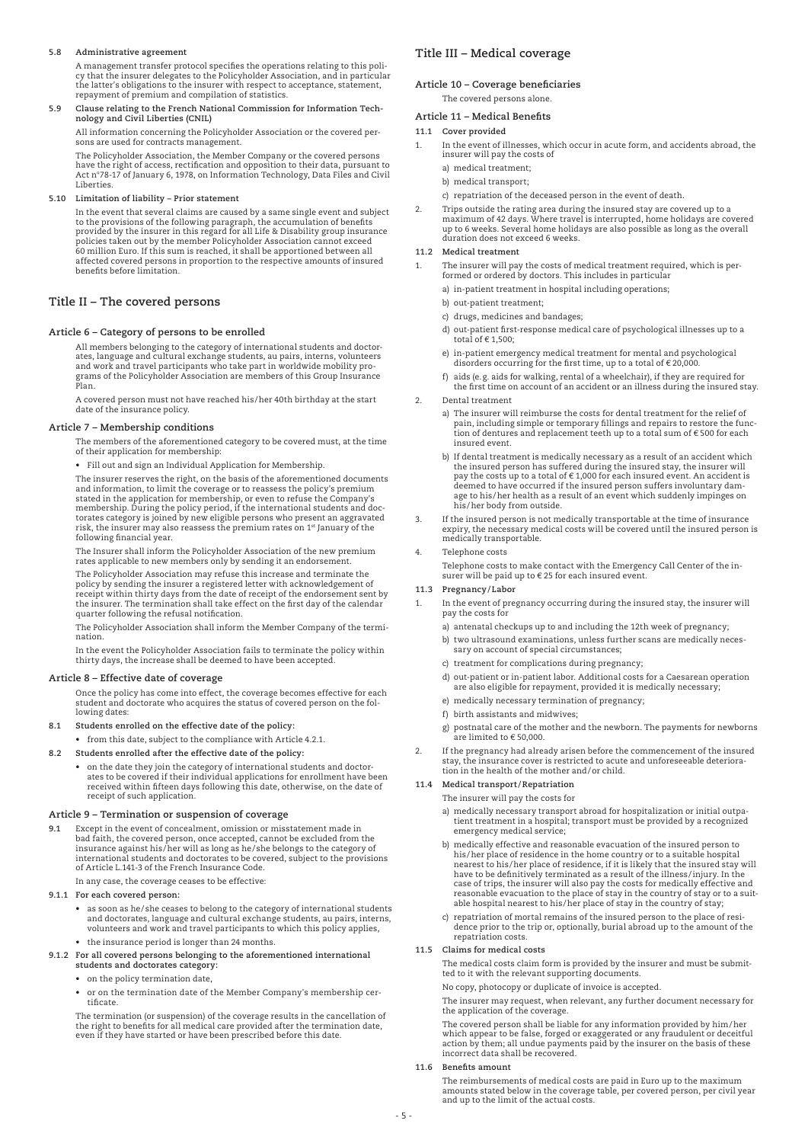### **5.8 Administrative agreement**

 A management transfer protocol specifies the operations relating to this poli-cy that the insurer delegates to the Policyholder Association, and in particular the latter's obligations to the insurer with respect to acceptance, statement, repayment of premium and compilation of statistics.

**5.9 Clause relating to the French National Commission for Information Tech-nology and Civil Liberties (CNIL)**

All information concerning the Policyholder Association or the covered per-sons are used for contracts management.

 The Policyholder Association, the Member Company or the covered persons have the right of access, rectification and opposition to their data, pursuant to Act n°78-17 of January 6, 1978, on Information Technology, Data Files and Civil Liberties.

**5.10 Limitation of liability – Prior statement**

 In the event that several claims are caused by a same single event and subject to the provisions of the following paragraph, the accumulation of benefits provided by the insurer in this regard for all Life & Disability group insurance<br>policies taken out by the member Policyholder Association cannot exceed<br>60 million Euro. If this sum is reached, it shall be apportioned betw affected covered persons in proportion to the respective amounts of insured benefits before limitation.

### **Title ii – The covered persons**

### **Article 6 – Category of persons to be enrolled**

 All members belonging to the category of international students and doctorates, language and cultural exchange students, au pairs, interns, volunteers and work and travel participants who take part in worldwide mobility pro-grams of the Policyholder Association are members of this Group Insurance Plan.

 A covered person must not have reached his/her 40th birthday at the start date of the insurance policy.

### **Article 7 – Membership conditions**

 The members of the aforementioned category to be covered must, at the time of their application for membership:

 • Fill out and sign an Individual Application for Membership.

 The insurer reserves the right, on the basis of the aforementioned documents and information, to limit the coverage or to reassess the policy's premium stated in the application for membership, or even to refuse the Company's membership. During the policy period, if the international students and doctorates category is joined by new eligible persons who present an aggravated risk, the insurer may also reassess the premium rates on 1st January of the following financial year.

The Insurer shall inform the Policyholder Association of the new premium rates applicable to new members only by sending it an endorsement.

 The Policyholder Association may refuse this increase and terminate the policy by sending the insurer a registered letter with acknowledgement of receipt within thirty days from the date of receipt of the endorsement sent by the insurer. The termination shall take effect on the first day of the calendar quarter following the refusal notification.

 The Policyholder Association shall inform the Member Company of the termination.

 In the event the Policyholder Association fails to terminate the policy within thirty days, the increase shall be deemed to have been accepted.

### **Article 8 – Effective date of coverage**

 Once the policy has come into effect, the coverage becomes effective for each student and doctorate who acquires the status of covered person on the following dates:

- **8.1 Students enrolled on the effective date of the policy:**
- • from this date, subject to the compliance with Article 4.2.1.
- **8.2 Students enrolled after the effective date of the policy:**
- • on the date they join the category of international students and doctor-ates to be covered if their individual applications for enrollment have been received within fifteen days following this date, otherwise, on the date of receipt of such application.

#### **Article 9 – Termination or suspension of coverage**

**9.1** Except in the event of concealment, omission or misstatement made in bad faith, the covered person, once accepted, cannot be excluded from the insurance against his/her will as long as he/she belongs to the category of international students and doctorates to be covered, subject to the provisions of Article L.141-3 of the French Insurance Code.

In any case, the coverage ceases to be effective:

### **9.1.1 For each covered person:**

- • as soon as he/she ceases to belong to the category of international students and doctorates, language and cultural exchange students, au pairs, interns, volunteers and work and travel participants to which this policy applies,
	- • the insurance period is longer than 24 months.
- **9.1.2 For all covered persons belonging to the aforementioned international students and doctorates category:**
	- • on the policy termination date,
	- • or on the termination date of the Member Company's membership certificate.

 The termination (or suspension) of the coverage results in the cancellation of the right to benefits for all medical care provided after the termination date, even if they have started or have been prescribed before this date

### **Title iii – Medical coverage**

### **Article 10 – Coverage beneficiaries**

The covered persons alone.

**Article 11 – Medical Benefits**

#### **11.1 Cover provided**

- In the event of illnesses, which occur in acute form, and accidents abroad, the insurer will pay the costs of
	- a) medical treatment;
	- b) medical transport;
	- c) repatriation of the deceased person in the event of death.
- Trips outside the rating area during the insured stay are covered up to a maximum of 42 days. Where travel is interrupted, home holidays are covered up to 6 weeks. Several home holidays are also possible as long as the overall duration does not exceed 6 weeks.

#### **11.2 Medical treatment**

- The insurer will pay the costs of medical treatment required, which is performed or ordered by doctors. This includes in particular
	- a) in-patient treatment in hospital including operations;
	- b) out-patient treatment;
	- c) drugs, medicines and bandages;
	- d) out-patient first-response medical care of psychological illnesses up to a total of  $\in$  1,500;
	- e) in-patient emergency medical treatment for mental and psychological disorders occurring for the first time, up to a total of € 20,000.
	- f) aids (e.g. aids for walking, rental of a wheelchair), if they are required for the first time on account of an accident or an illness during the insured stay.
	- 2. Dental treatment
		- a) The insurer will reimburse the costs for dental treatment for the relief of pain, including simple or temporary fillings and repairs to restore the func- $\overline{\text{t}}$ ion of dentures and replacement teeth up to a total sum of € 500 for each insured event.
	- b) If dental treatment is medically necessary as a result of an accident which the insured person has suffered during the insured stay, the insurer will<br>pay the costs up to a total of € 1,000 for each insured event. An accident is<br>deemed to have occurred if the insured person suffers involuntary damage to his/her health as a result of an event which suddenly impinges on his/her body from outside.
- 3. If the insured person is not medically transportable at the time of insurance expiry, the necessary medical costs will be covered until the insured person is medically transportable.

#### Telephone costs

 Telephone costs to make contact with the Emergency Call Center of the insurer will be paid up to € 25 for each insured event.

### **11.3 Pregnancy/Labor**

- 1. In the event of pregnancy occurring during the insured stay, the insurer will pay the costs for
	- a) antenatal checkups up to and including the 12th week of pregnancy;
	- b) two ultrasound examinations, unless further scans are medically necessary on account of special circumstances;
	- c) treatment for complications during pregnancy;
	- d) out-patient or in-patient labor. Additional costs for a Caesarean operation are also eligible for repayment, provided it is medically necessary;
	- e) medically necessary termination of pregnancy;
	- f) birth assistants and midwives;
	- g) postnatal care of the mother and the newborn. The payments for newborns are limited to € 50,000.
- If the pregnancy had already arisen before the commencement of the insured stay, the insurance cover is restricted to acute and unforeseeable deteriora-tion in the health of the mother and/or child.
- **11.4 Medical transport/Repatriation**

#### The insurer will pay the costs for

- a) medically necessary transport abroad for hospitalization or initial outpatient treatment in a hospital; transport must be provided by a recognized emergency medical service;
- b) medically effective and reasonable evacuation of the insured person to his/her place of residence in the home country or to a suitable hospital nearest to his/her place of residence, if it is likely that the insured stay will have to be definitively terminated as a result of the illness/injury. In the case of trips, the insurer will also pay the costs for medically effective and reasonable evacuation to the place of stay in the country of stay or to a suitable hospital nearest to his/her place of stay in the country of stay;
- c) repatriation of mortal remains of the insured person to the place of residence prior to the trip or, optionally, burial abroad up to the amount of the repatriation costs.

### **11.5 Claims for medical costs**

 The medical costs claim form is provided by the insurer and must be submitted to it with the relevant supporting documents.

No copy, photocopy or duplicate of invoice is accepted.

 The insurer may request, when relevant, any further document necessary for the application of the coverage.

 The covered person shall be liable for any information provided by him/her which appear to be false, forged or exaggerated or any fraudulent or deceitful action by them; all undue payments paid by the insurer on the basis of these incorrect data shall be recovered.

#### $11.6$  B

 The reimbursements of medical costs are paid in Euro up to the maximum amounts stated below in the coverage table, per covered person, per civil year and up to the limit of the actual costs.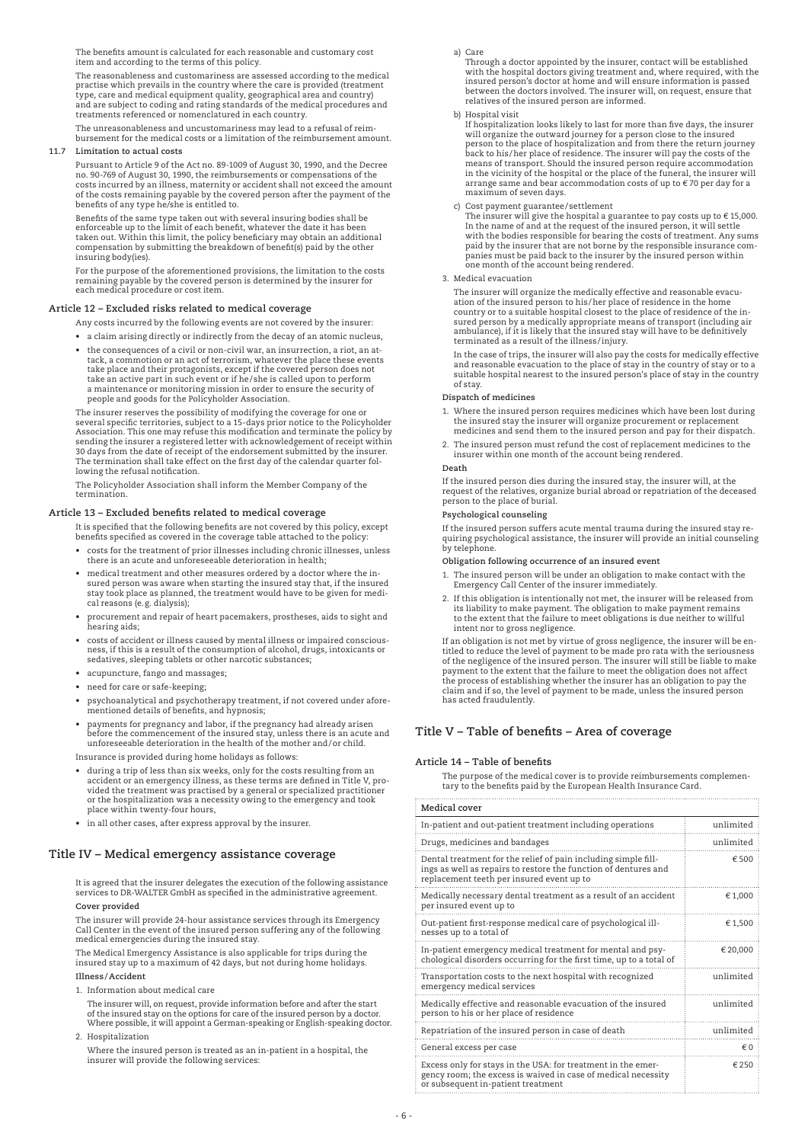The benefits amount is calculated for each reasonable and customary cost item and according to the terms of this policy.

 The reasonableness and customariness are assessed according to the medical practise which prevails in the country where the care is provided (treatment type, care and medical equipment quality, geographical area and country) and are subject to coding and rating standards of the medical procedures and treatments referenced or nomenclatured in each country.

 The unreasonableness and uncustomariness may lead to a refusal of reimbursement for the medical costs or a limitation of the reimbursement amount.

### **11.7 Limitation to actual costs**

 Pursuant to Article 9 of the Act no. 89-1009 of August 30, 1990, and the Decree no. 90-769 of August 30, 1990, the reimbursements or compensations of the costs incurred by an illness, maternity or accident shall not exceed the amount of the costs remaining payable by the covered person after the payment of the benefits of any type he/she is entitled to.

 Benefits of the same type taken out with several insuring bodies shall be enforceable up to the limit of each benefit, whatever the date it has been<br>taken out. Within this limit, the policy beneficiary may obtain an additional<br>compensation by submitting the breakdown of benefit(s) paid by the ot insuring body(ies).

 For the purpose of the aforementioned provisions, the limitation to the costs remaining payable by the covered person is determined by the insurer for each medical procedure or cost item.

### **Article 12 – Excluded risks related to medical coverage**

- Any costs incurred by the following events are not covered by the insurer:
- a claim arising directly or indirectly from the decay of an atomic nucleus,
- the consequences of a civil or non-civil war, an insurrection, a riot, an attack, a commotion or an act of terrorism, whatever the place these events take place and their protagonists, except if the covered person does not take an active part in such event or if he/she is called upon to perform a maintenance or monitoring mission in order to ensure the security of people and goods for the Policyholder Association.

 The insurer reserves the possibility of modifying the coverage for one or several specific territories, subject to a 15-days prior notice to the Policyholder Association. This one may refuse this modification and terminate the policy by sending the insurer a registered letter with acknowledgement of receipt within 30 days from the date of receipt of the endorsement submitted by the insurer. The termination shall take effect on the first day of the calendar quarter following the refusal notification.

 The Policyholder Association shall inform the Member Company of the termination.

### **Article 13 – Excluded benefits related to medical coverage**

It is specified that the following benefits are not covered by this policy, except benefits specified as covered in the coverage table attached to the policy:

- • costs for the treatment of prior illnesses including chronic illnesses, unless there is an acute and unforeseeable deterioration in health;
- • medical treatment and other measures ordered by a doctor where the in-sured person was aware when starting the insured stay that, if the insured stay took place as planned, the treatment would have to be given for medical reasons (e.g. dialysis);
	- procurement and repair of heart pacemakers, prostheses, aids to sight and hearing aids;
	- costs of accident or illness caused by mental illness or impaired consciousness, if this is a result of the consumption of alcohol, drugs, intoxicants or sedatives, sleeping tablets or other narcotic substances;
	- • acupuncture, fango and massages;
	- need for care or safe-keeping;
	- psychoanalytical and psychotherapy treatment, if not covered under aforementioned details of benefits, and hypnosis;
	- payments for pregnancy and labor, if the pregnancy had already arisen before the commencement of the insured stay, unless there is an acute and unforeseeable deterioration in the health of the mother and/or child.

Insurance is provided during home holidays as follows:

- during a trip of less than six weeks, only for the costs resulting from an accident or an emergency illness, as these terms are defined in Title V, pro-<br>vided the treatment was practised by a general or specialized practitioner<br>or the hospitalization was a necessity owing to the emergency and too place within twenty-four hours,
- • in all other cases, after express approval by the insurer.

### **Title IV – Medical emergency assistance coverage**

 It is agreed that the insurer delegates the execution of the following assistance services to DR-WALTER GmbH as specified in the administrative agreement.  **Cover provided**

 The insurer will provide 24-hour assistance services through its Emergency Call Center in the event of the insured person suffering any of the following medical emergencies during the insured stay.

 The Medical Emergency Assistance is also applicable for trips during the insured stay up to a maximum of 42 days, but not during home holidays. **Illness /Accident**

1. Information about medical care

 The insurer will, on request, provide information before and after the start of the insured stay on the options for care of the insured person by a doctor. Where possible, it will appoint a German-speaking or English-speaking doctor.

2. Hospitalization

 Where the insured person is treated as an in-patient in a hospital, the insurer will provide the following services:

a) Care

Through a doctor appointed by the insurer, contact will be established with the hospital doctors giving treatment and, where required, with the insured person's doctor at home and will ensure information is passed between the doctors involved. The insurer will, on request, ensure that relatives of the insured person are informed.

### b) Hospital visit

If hospitalization looks likely to last for more than five days, the insurer<br>will organize the outward journey for a person close to the insured<br>person to the place of hospitalization and from there the return journey<br>pack means of transport. Should the insured person require accommodation<br>in the vicinity of the hospital or the place of the funeral, the insurer will<br>arrange same and bear accommodation costs of up to € 70 per day for a maximum of seven days.

c) Cost payment guarantee/settlement<br>The insurer will give the hospital a guarantee to pay costs up to € 15,000.<br>In the name of and at the request of the insured person, it will settle with the bodies responsible for bearing the costs of treatment. Any sums paid by the insurer that are not borne by the responsible insurance com-panies must be paid back to the insurer by the insured person within one month of the account being rendered.

#### 3. Medical evacuation

 The insurer will organize the medically effective and reasonable evacuation of the insured person to his/her place of residence in the home<br>country or to a suitable hospital closest to the place of residence of the in-<br>sured person by a medically appropriate means of transport (including air

 In the case of trips, the insurer will also pay the costs for medically effective and reasonable evacuation to the place of stay in the country of stay or to a suitable hospital nearest to the insured person's place of stay in the country of stay.

#### **Dispatch of medicines**

- 1. Where the insured person requires medicines which have been lost during the insured stay the insurer will organize procurement or replacement medicines and send them to the insured person and pay for their dispatch.
- 2. The insured person must refund the cost of replacement medicines to the insurer within one month of the account being rendered.

### **Death**

 If the insured person dies during the insured stay, the insurer will, at the request of the relatives, organize burial abroad or repatriation of the deceased person to the place of burial.

#### **Psychological counseling**

 If the insured person suffers acute mental trauma during the insured stay requiring psychological assistance, the insurer will provide an initial counseling by telephone.

**Obligation following occurrence of an insured event**

- 1. The insured person will be under an obligation to make contact with the Emergency Call Center of the insurer immediately.
- 2. If this obligation is intentionally not met, the insurer will be released from its liability to make payment. The obligation to make payment remains to the extent that the failure to meet obligations is due neither to willful intent nor to gross negligence.

 If an obligation is not met by virtue of gross negligence, the insurer will be entitled to reduce the level of payment to be made pro rata with the seriousness of the negligence of the insured person. The insurer will still be liable to make payment to the extent that the failure to meet the obligation does not affect the process of establishing whether the insurer has an obligation to pay the claim and if so, the level of payment to be made, unless the insured person has acted fraudulently.

### **Title V – Table of benefits – Area of coverage**

### **Article 14 – Table of benefits**

The purpose of the medical cover is to provide reimbursements complemen-tary to the benefits paid by the European Health Insurance Card.

| Medical cover                                                                                                                                                                  |           |
|--------------------------------------------------------------------------------------------------------------------------------------------------------------------------------|-----------|
| In-patient and out-patient treatment including operations                                                                                                                      | unlimited |
| Drugs, medicines and bandages                                                                                                                                                  | unlimited |
| Dental treatment for the relief of pain including simple fill-<br>ings as well as repairs to restore the function of dentures and<br>replacement teeth per insured event up to | € 500     |
| Medically necessary dental treatment as a result of an accident<br>per insured event up to                                                                                     | €1,000    |
| Out-patient first-response medical care of psychological ill-<br>nesses up to a total of                                                                                       | €1.500    |
| In-patient emergency medical treatment for mental and psy-<br>chological disorders occurring for the first time, up to a total of                                              | € 20,000  |
| Transportation costs to the next hospital with recognized<br>emergency medical services                                                                                        | unlimited |
| Medically effective and reasonable evacuation of the insured<br>person to his or her place of residence                                                                        | unlimited |
| Repatriation of the insured person in case of death                                                                                                                            | unlimited |
| General excess per case                                                                                                                                                        | € 0       |
| Excess only for stays in the USA: for treatment in the emer-<br>gency room; the excess is waived in case of medical necessity<br>or subsequent in-patient treatment            | € 250     |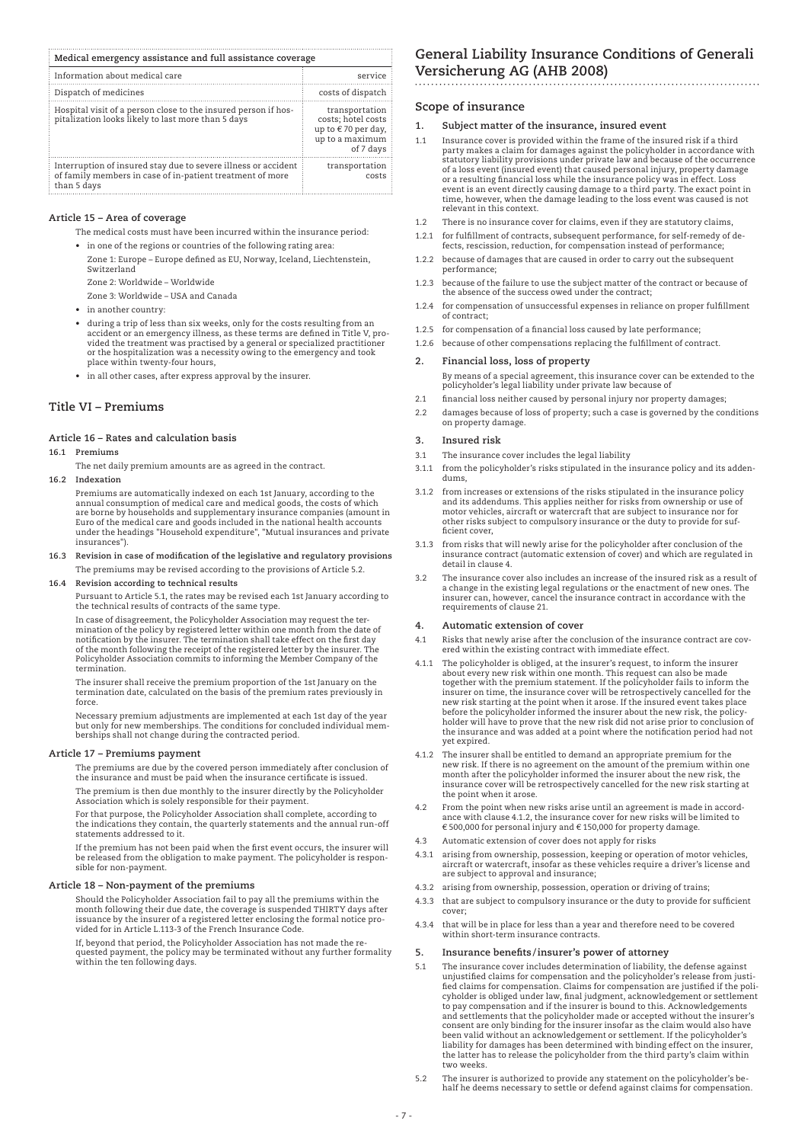| Medical emergency assistance and full assistance coverage                                                                                  |                                                                                            |
|--------------------------------------------------------------------------------------------------------------------------------------------|--------------------------------------------------------------------------------------------|
| Information about medical care                                                                                                             | service                                                                                    |
| Dispatch of medicines                                                                                                                      | costs of dispatch                                                                          |
| Hospital visit of a person close to the insured person if hos-<br>pitalization looks likely to last more than 5 days                       | transportation<br>costs: hotel costs<br>up to €70 per day,<br>up to a maximum<br>of 7 days |
| Interruption of insured stay due to severe illness or accident<br>of family members in case of in-patient treatment of more<br>than 5 days | transportation<br>costs                                                                    |

#### **Article 15 – Area of coverage**

The medical costs must have been incurred within the insurance period:

- • in one of the regions or countries of the following rating area: Zone 1: Europe – Europe defined as EU, Norway, Iceland, Liechtenstein, Switzerland
- Zone 2: Worldwide Worldwide
- Zone 3: Worldwide USA and Canada
- • in another country:
- • during a trip of less than six weeks, only for the costs resulting from an accident or an emergency illness, as these terms are defined in Title V, provided the treatment was practised by a general or specialized practitioner or the hospitalization was a necessity owing to the emergency and took place within twenty-four hours,
- • in all other cases, after express approval by the insurer.

### **Title Vi – Premiums**

### **Article 16 – Rates and calculation basis**

#### **16.1 Premiums**

The net daily premium amounts are as agreed in the contract.

**16.2 Indexation**

 Premiums are automatically indexed on each 1st January, according to the annual consumption of medical care and medical goods, the costs of which are borne by households and supplementary insurance companies (amount in Euro of the medical care and goods included in the national health accounts under the headings "Household expenditure", "Mutual insurances and private insurances").

**16.3 Revision in case of modification of the legislative and regulatory provisions** The premiums may be revised according to the provisions of Article 5.2.

#### **16.4 Revision according to technical results**

 Pursuant to Article 5.1, the rates may be revised each 1st January according to the technical results of contracts of the same type.

 In case of disagreement, the Policyholder Association may request the termination of the policy by registered letter within one month from the date of notification by the insurer. The termination shall take effect on the first day of the month following the receipt of the registered letter by the insurer. The Policyholder Association commits to informing the Member Company of the termination.

 The insurer shall receive the premium proportion of the 1st January on the termination date, calculated on the basis of the premium rates previously in force.

 Necessary premium adjustments are implemented at each 1st day of the year but only for new memberships. The conditions for concluded individual mem-berships shall not change during the contracted period.

#### **Article 17 – Premiums payment**

 The premiums are due by the covered person immediately after conclusion of the insurance and must be paid when the insurance certificate is issued.

The premium is then due monthly to the insurer directly by the Policyholder Association which is solely responsible for their payment.

 For that purpose, the Policyholder Association shall complete, according to the indications they contain, the quarterly statements and the annual run-off statements addressed to it.

 If the premium has not been paid when the first event occurs, the insurer will be released from the obligation to make payment. The policyholder is responsible for non-payment.

### **Article 18 – Non-payment of the premiums**

 Should the Policyholder Association fail to pay all the premiums within the month following their due date, the coverage is suspended THIRTY days after issuance by the insurer of a registered letter enclosing the formal notice provided for in Article L.113-3 of the French Insurance Code.

 If, beyond that period, the Policyholder Association has not made the requested payment, the policy may be terminated without any further formality within the ten following days.

# **General Liability Insurance Conditions of Generali Versicherung AG (AHB 2008)**

### **Scope of insurance**

- **1. Subject matter of the insurance, insured event**
- 1.1 Insurance cover is provided within the frame of the insured risk if a third party makes a claim for damages against the policyholder in accordance with statutory liability provisions under private law and because of the occurrence of a loss event (insured event) that caused personal injury, property damage or a resulting financial loss while the insurance policy was in effect. Loss event is an event directly causing damage to a third party. The exact point in time, however, when the damage leading to the loss event was caused is not relevant in this context.
- 1.2 There is no insurance cover for claims, even if they are statutory claims,
- 1.2.1 for fulfillment of contracts, subsequent performance, for self-remedy of defects, rescission, reduction, for compensation instead of performance
- 1.2.2 because of damages that are caused in order to carry out the subsequent performance;
- 1.2.3 because of the failure to use the subject matter of the contract or because of the absence of the success owed under the contract;
- 1.2.4 for compensation of unsuccessful expenses in reliance on proper fulfillment of contract;
- 1.2.5 for compensation of a financial loss caused by late performance;
- 1.2.6 because of other compensations replacing the fulfillment of contract.

#### **2. Financial loss, loss of property**

 By means of a special agreement, this insurance cover can be extended to the policyholder's legal liability under private law because of

- 2.1 financial loss neither caused by personal injury nor property damages;
- 2.2 damages because of loss of property; such a case is governed by the conditions on property damage.

### **3. Insured risk**

- 3.1 The insurance cover includes the legal liability
- 3.1.1 from the policyholder's risks stipulated in the insurance policy and its addendums,
- 3.1.2 from increases or extensions of the risks stipulated in the insurance policy and its addendums. This applies neither for risks from ownership or use of motor vehicles, aircraft or watercraft that are subject to insurance nor for other risks subject to compulsory insurance or the duty to provide for sufficient cover,
- 3.1.3 from risks that will newly arise for the policyholder after conclusion of the insurance contract (automatic extension of cover) and which are regulated in detail in clause 4.
- 3.2 The insurance cover also includes an increase of the insured risk as a result of a change in the existing legal regulations or the enactment of new ones. The insurer can, however, cancel the insurance contract in accordance with the requirements of clause 21.

#### **4. Automatic extension of cover**

- 4.1 Risks that newly arise after the conclusion of the insurance contract are covered within the existing contract with immediate effect.
- 4.1.1 The policyholder is obliged, at the insurer's request, to inform the insurer about every new risk within one month. This request can also be made together with the premium statement. If the policyholder fails to inform the insurer on time, the insurance cover will be retrospectively cancelled for the<br>new risk starting at the point when it arose. If the insured event takes place<br>before the policyholder informed the insurer about the new risk, the insurance and was added at a point where the notification period had not yet expired.
- 4.1.2 The insurer shall be entitled to demand an appropriate premium for the new risk. If there is no agreement on the amount of the premium within one month after the policyholder informed the insurer about the new risk, the insurance cover will be retrospectively cancelled for the new risk starting at the point when it arose.
- 4.2 From the point when new risks arise until an agreement is made in accordance with clause 4.1.2, the insurance cover for new risks will be limited to € 500,000 for personal injury and € 150,000 for property damage.
- 4.3 Automatic extension of cover does not apply for risks
- 4.3.1 arising from ownership, possession, keeping or operation of motor vehicles, aircraft or watercraft, insofar as these vehicles require a driver's license and
- are subject to approval and insurance; 4.3.2 arising from ownership, possession, operation or driving of trains;
- 4.3.3 that are subject to compulsory insurance or the duty to provide for sufficient cover;
- 4.3.4 that will be in place for less than a year and therefore need to be covered within short-term insurance contracts.

#### **5. Insurance benefits /insurer's power of attorney**

- 5.1 The insurance cover includes determination of liability, the defense against unjustified claims for compensation and the policyholder's release from justi-fied claims for compensation. Claims for compensation are justified if the policyholder is obliged under law, final judgment, acknowledgement or settlement to pay compensation and if the insurer is bound to this. Acknowledgements and settlements that the policyholder made or accepted without the insurer's consent are only binding for the insurer insofar as the claim would also have been valid without an acknowledgement or settlement. If the policyholder's liability for damages has been determined with binding effect on the insurer, the latter has to release the policyholder from the third party's claim within two weeks.
- 5.2 The insurer is authorized to provide any statement on the policyholder's behalf he deems necessary to settle or defend against claims for compensation.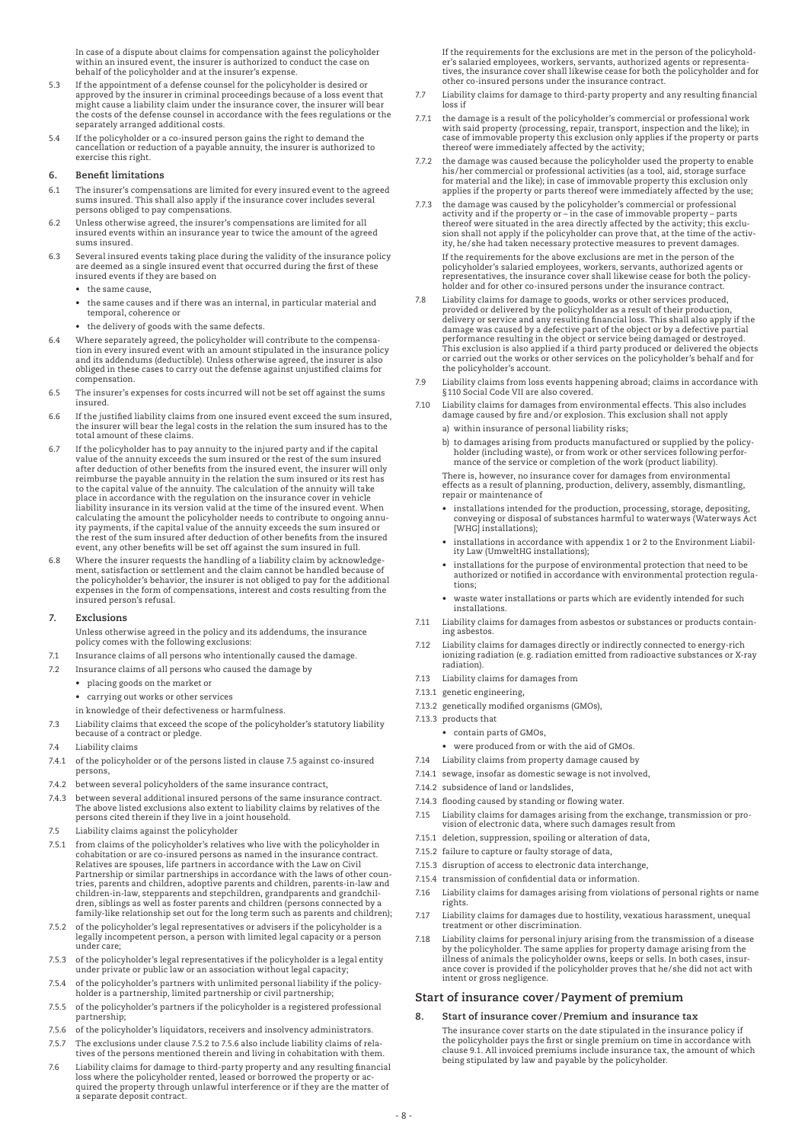In case of a dispute about claims for compensation against the policyholder within an insured event, the insurer is authorized to conduct the case on behalf of the policyholder and at the insurer's expense.

- 5.3 If the appointment of a defense counsel for the policyholder is desired or approved by the insurer in criminal proceedings because of a loss event that might cause a liability claim under the insurance cover, the insurer will bear the costs of the defense counsel in accordance with the fees regulations or the separately arranged additional costs.
- 5.4 If the policyholder or a co-insured person gains the right to demand the cancellation or reduction of a payable annuity, the insurer is authorized to exercise this right.

### **6. Benefit limitations**

- 6.1 The insurer's compensations are limited for every insured event to the agreed sums insured. This shall also apply if the insurance cover includes several persons obliged to pay compensations.
- 6.2 Unless otherwise agreed, the insurer's compensations are limited for all insured events within an insurance year to twice the amount of the agreed sums insured.
- 6.3 Several insured events taking place during the validity of the insurance policy are deemed as a single insured event that occurred during the first of these insured events if they are based on
	- the same cause,
- the same causes and if there was an internal, in particular material and temporal, coherence or
- the delivery of goods with the same defects.
- 6.4 Where separately agreed, the policyholder will contribute to the compensation in every insured event with an amount stipulated in the insurance policy and its addendums (deductible). Unless otherwise agreed, the insurer is also obliged in these cases to carry out the defense against unjustified claims for compensation.
- 6.5 The insurer's expenses for costs incurred will not be set off against the sums insured.
- 6.6 If the justified liability claims from one insured event exceed the sum insured, the insurer will bear the legal costs in the relation the sum insured has to the total amount of these claims.
- 6.7 If the policyholder has to pay annuity to the injured party and if the capital value of the annuity exceeds the sum insured or the rest of the sum insured after deduction of other benefits from the insured event, the insurer will only reimburse the payable annuity in the relation the sum insured or its rest has to the capital value of the annuity. The calculation of the annuity will take place in accordance with the regulation on the insurance cover in vehicle liability insurance in its version valid at the time of the insured event. When calculating the amount the policyholder needs to contribute to ongoing annuity payments, if the capital value of the annuity exceeds the sum insured or the rest of the sum insured after deduction of other benefits from the insured event, any other benefits will be set off against the sum insured in full.
- 6.8 Where the insurer requests the handling of a liability claim by acknowledge-<br>ment, satisfaction or settlement and the claim cannot be handled because of<br>the policyholder's behavior, the insurer is not obliged to pay fo expenses in the form of compensations, interest and costs resulting from the insured person's refusal.

### **7. Exclusions**

- Unless otherwise agreed in the policy and its addendums, the insurance policy comes with the following exclusions:
- 7.1 Insurance claims of all persons who intentionally caused the damage.
- 7.2 Insurance claims of all persons who caused the damage by
	- • placing goods on the market or
		- • carrying out works or other services
	- in knowledge of their defectiveness or harmfulness.
- 7.3 Liability claims that exceed the scope of the policyholder's statutory liability because of a contract or pledge.
- 7.4 Liability claims
- 7.4.1 of the policyholder or of the persons listed in clause 7.5 against co-insured persons,
- 7.4.2 between several policyholders of the same insurance contract,
- 7.4.3 between several additional insured persons of the same insurance contract. The above listed exclusions also extent to liability claims by relatives of the persons cited therein if they live in a joint household.
- 7.5 Liability claims against the policyholder
- 7.5.1 from claims of the policyholder's relatives who live with the policyholder in cohabitation or are co-insured persons as named in the insurance contract. Relatives are spouses, life partners in accordance with the Law on Civil Partnership or similar partnerships in accordance with the laws of other coun-tries, parents and children, adoptive parents and children, parents-in-law and children-in-law, stepparents and stepchildren, grandparents and grandchil-<br>dren, siblings as well as foster parents and children (persons connected by a<br>family-like relationship set out for the long term such as parents an
- 7.5.2 of the policyholder's legal representatives or advisers if the policyholder is a legally incompetent person, a person with limited legal capacity or a person under care;
- 7.5.3 of the policyholder's legal representatives if the policyholder is a legal entity under private or public law or an association without legal capacity;
- 7.5.4 of the policyholder's partners with unlimited personal liability if the policyholder is a partnership, limited partnership or civil partnership;
- 7.5.5 of the policyholder's partners if the policyholder is a registered professional partnership;
- 7.5.6 of the policyholder's liquidators, receivers and insolvency administrators.
- 7.5.7 The exclusions under clause 7.5.2 to 7.5.6 also include liability claims of relatives of the persons mentioned therein and living in cohabitation with them.
- 7.6 Liability claims for damage to third-party property and any resulting financial loss where the policyholder rented, leased or borrowed the property or acquired the property through unlawful interference or if they are the matter of a separate deposit contract.

 If the requirements for the exclusions are met in the person of the policyholder's salaried employees, workers, servants, authorized agents or representa-tives, the insurance cover shall likewise cease for both the policyholder and for other co-insured persons under the insurance contract.

- 7.7 Liability claims for damage to third-party property and any resulting financial loss if
- 7.7.1 the damage is a result of the policyholder's commercial or professional work with said property (processing, repair, transport, inspection and the like); in case of immovable property this exclusion only applies if the property or parts thereof were immediately affected by the activity;
- 7.7.2 the damage was caused because the policyholder used the property to enable his/her commercial or professional activities (as a tool, aid, storage surface for material and the like); in case of immovable property this exclusion only applies if the property or parts thereof were immediately affected by the use;
- 7.7.3 the damage was caused by the policyholder's commercial or professional activity and if the property or in the case of immovable property parts thereof were situated in the area directly affected by the activity; this exclu-sion shall not apply if the policyholder can prove that, at the time of the activity, he/she had taken necessary protective measures to prevent damages. If the requirements for the above exclusions are met in the person of the policyholder's salaried employees, workers, servants, authorized agents or representatives, the insurance cover shall likewise cease for both the policy-holder and for other co-insured persons under the insurance contract.
- 7.8 Liability claims for damage to goods, works or other services produced,<br>provided or delivered by the policyholder as a result of their production,<br>delivery or service and any resulting financial loss. This shall also a This exclusion is also applied if a third party produced or delivered the objects or carried out the works or other services on the policyholder's behalf and for the policyholder's account.
- 7.9 Liability claims from loss events happening abroad; claims in accordance with §110 Social Code VII are also covered.
- 7.10 Liability claims for damages from environmental effects. This also includes damage caused by fire and/or explosion. This exclusion shall not apply
	- a) within insurance of personal liability risks;
	- b) to damages arising from products manufactured or supplied by the policyholder (including waste), or from work or other services following performance of the service or completion of the work (product liability).

 There is, however, no insurance cover for damages from environmental effects as a result of planning, production, delivery, assembly, dismantling, repair or maintenance of

- installations intended for the production, processing, storage, depositing, conveying or disposal of substances harmful to waterways (Waterways Act [WHG] installations);
	- installations in accordance with appendix 1 or 2 to the Environment Liability Law (UmweltHG installations);
	- installations for the purpose of environmental protection that need to be authorized or notified in accordance with environmental protection regulations;
	- waste water installations or parts which are evidently intended for such installations.
- 7.11 Liability claims for damages from asbestos or substances or products containing asbestos.
- 7.12 Liability claims for damages directly or indirectly connected to energy-rich ionizing radiation (e.g. radiation emitted from radioactive substances or X-ray radiation).
- 7.13 Liability claims for damages from
- 7.13.1 genetic engineering,
- 7.13.2 genetically modified organisms (GMOs),
- 7.13.3 products that
	- contain parts of GMOs,
	- were produced from or with the aid of GMOs.
- 7.14 Liability claims from property damage caused by
- 7.14.1 sewage, insofar as domestic sewage is not involved,
- 7.14.2 subsidence of land or landslides,
- 7.14.3 flooding caused by standing or flowing water.
- 7.15 Liability claims for damages arising from the exchange, transmission or provision of electronic data, where such damages result from
- 7.15.1 deletion, suppression, spoiling or alteration of data,
- 7.15.2 failure to capture or faulty storage of data,
- 7.15.3 disruption of access to electronic data interchange,
- 7.15.4 transmission of confidential data or information.
- 7.16 Liability claims for damages arising from violations of personal rights or name rights.
- 7.17 Liability claims for damages due to hostility, vexatious harassment, unequal treatment or other discrimination.
- 7.18 Liability claims for personal injury arising from the transmission of a disease by the policyholder. The same applies for property damage arising from the illness of animals the policyholder owns, keeps or sells. In both cases, insur-ance cover is provided if the policyholder proves that he/she did not act with intent or gross negligence.

### **Start of insurance cover /Payment of premium**

**8. Start of insurance cover /Premium and insurance tax** The insurance cover starts on the date stipulated in the insurance policy if the policyholder pays the first or single premium on time in accordance with clause 9.1. All invoiced premiums include insurance tax, the amount of which being stipulated by law and payable by the policyholder.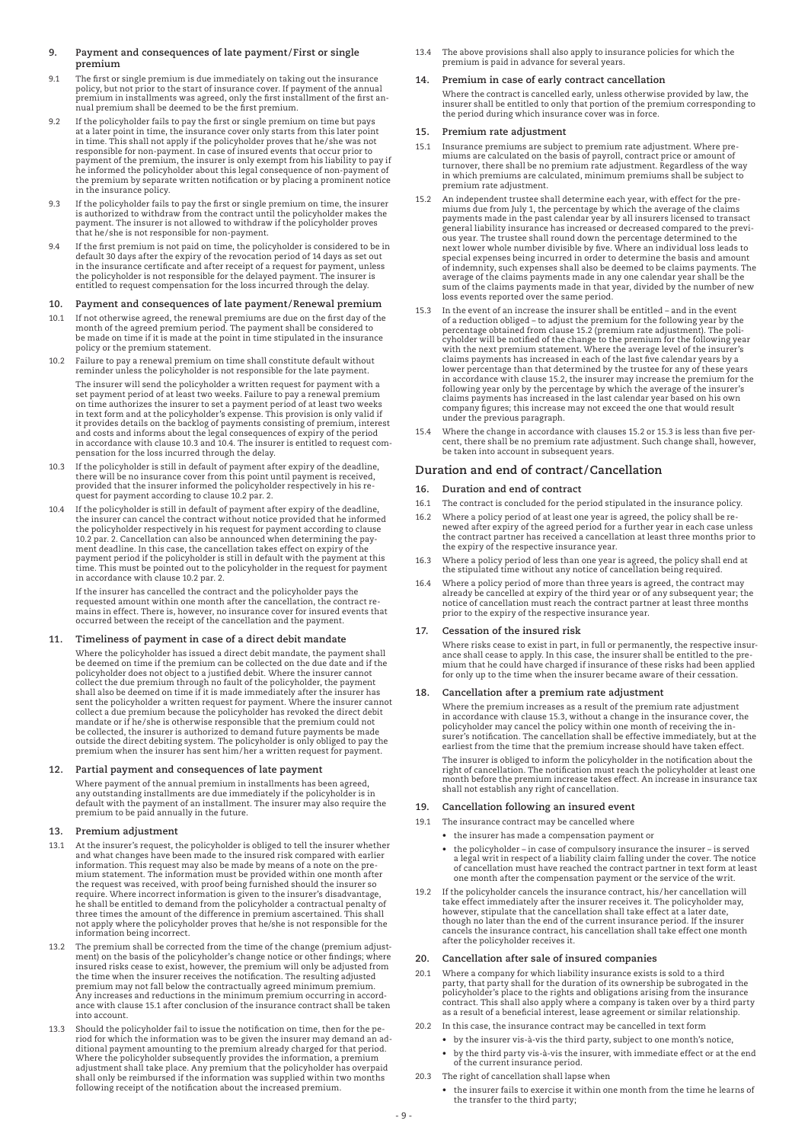### **9. Payment and consequences of late payment/First or single premium**

- 9.1 The first or single premium is due immediately on taking out the insurance policy, but not prior to the start of insurance cover. If payment of the annual premium in installments was agreed, only the first installment of the first annual premium shall be deemed to be the first premium.
- 9.2 If the policyholder fails to pay the first or single premium on time but pays at a later point in time, the insurance cover only starts from this later point<br>in time. This shall not apply if the policyholder proves that he/she was not<br>responsible for non-payment. In case of insured events that occur he informed the policyholder about this legal consequence of non-payment of the premium by separate written notification or by placing a prominent notice in the insurance policy.
- 9.3 If the policyholder fails to pay the first or single premium on time, the insurer is authorized to withdraw from the contract until the policyholder makes the payment. The insurer is not allowed to withdraw if the policyholder proves that he/she is not responsible for non-payment.
- 9.4 If the first premium is not paid on time, the policyholder is considered to be in<br>default 30 days after the expiry of the revocation period of 14 days as set out<br>in the insurance certificate and after receipt of a requ the policyholder is not responsible for the delayed payment. The insurer is entitled to request compensation for the loss incurred through the delay.

### **10. Payment and consequences of late payment/Renewal premium**

- 10.1 If not otherwise agreed, the renewal premiums are due on the first day of the month of the agreed premium period. The payment shall be considered to be made on time if it is made at the point in time stipulated in the insurance policy or the premium statement.
- 10.2 Failure to pay a renewal premium on time shall constitute default without reminder unless the policyholder is not responsible for the late payment.

 The insurer will send the policyholder a written request for payment with a set payment period of at least two weeks. Failure to pay a renewal premium on time authorizes the insurer to set a payment period of at least two weeks in text form and at the policyholder's expense. This provision is only valid if it provides details on the backlog of payments consisting of premium, interest and costs and informs about the legal consequences of expiry of the period in accordance with clause 10.3 and 10.4. The insurer is entitled to request compensation for the loss incurred through the delay.

- 10.3 If the policyholder is still in default of payment after expiry of the deadline, there will be no insurance cover from this point until payment is received, provided that the insurer informed the policyholder respectively in his re-quest for payment according to clause 10.2 par. 2.
- 10.4 If the policyholder is still in default of payment after expiry of the deadline, the insurer can cancel the contract without notice provided that he informed the policyholder respectively in his request for payment according to clause<br>10.2 par. 2. Cancellation can also be announced when determining the pay-<br>ment deadline. In this case, the cancellation takes effect on expiry of payment period if the policyholder is still in default with the payment at this time. This must be pointed out to the policyholder in the request for payment in accordance with clause 10.2 par. 2.

 If the insurer has cancelled the contract and the policyholder pays the requested amount within one month after the cancellation, the contract remains in effect. There is, however, no insurance cover for insured events that occurred between the receipt of the cancellation and the payment.

### **11. Timeliness of payment in case of a direct debit mandate**

 Where the policyholder has issued a direct debit mandate, the payment shall be deemed on time if the premium can be collected on the due date and if the policyholder does not object to a justified debit. Where the insurer cannot<br>collect the due premium through no fault of the policyholder, the payment<br>shall also be deemed on time if it is made immediately after the insurer be collected, the insurer is authorized to demand future payments be made outside the direct debiting system. The policyholder is only obliged to pay the premium when the insurer has sent him/her a written request for payment.

### **12. Partial payment and consequences of late payment**

 Where payment of the annual premium in installments has been agreed, any outstanding installments are due immediately if the policyholder is in default with the payment of an installment. The insurer may also require the premium to be paid annually in the future.

### **13. Premium adjustment**

- At the insurer's request, the policyholder is obliged to tell the insurer whether and what changes have been made to the insured risk compared with earlier information. This request may also be made by means of a note on the premium statement. The information must be provided within one month after the request was received, with proof being furnished should the insurer so require. Where incorrect information is given to the insurer's disadvantage, he shall be entitled to demand from the policyholder a contractual penalty of three times the amount of the difference in premium ascertained. This shall<br>not apply where the policyholder proves that he/she is not responsible for the<br>information being incorrect.
- 13.2 The premium shall be corrected from the time of the change (premium adjust-ment) on the basis of the policyholder's change notice or other findings; where insured risks cease to exist, however, the premium will only be adjusted from the time when the insurer receives the notification. The resulting adjusted premium may not fall below the contractually agreed minimum premium. Any increases and reductions in the minimum premium occurring in accordance with clause 15.1 after conclusion of the insurance contract shall be taken into account.
- 13.3 Should the policyholder fail to issue the notification on time, then for the period for which the information was to be given the insurer may demand an ad-ditional payment amounting to the premium already charged for that period. Where the policyholder subsequently provides the information, a premium<br>adjustment shall take place. Any premium that the policyholder has overpaid<br>shall only be reimbursed if the information was supplied within two months following receipt of the notification about the increased premium.

13.4 The above provisions shall also apply to insurance policies for which the premium is paid in advance for several years.

### **14. Premium in case of early contract cancellation**

 Where the contract is cancelled early, unless otherwise provided by law, the insurer shall be entitled to only that portion of the premium corresponding to the period during which insurance cover was in force.

### **15. Premium rate adjustment**

- 15.1 Insurance premiums are subject to premium rate adjustment. Where pre-miums are calculated on the basis of payroll, contract price or amount of turnover, there shall be no premium rate adjustment. Regardless of the way in which premiums are calculated, minimum premiums shall be subject to premium rate adjustment.
- 15.2 An independent trustee shall determine each year, with effect for the premiums due from July 1, the percentage by which the average of the claims payments made in the past calendar year by which the average of to rans ous year. The trustee shall round down the percentage determined to the next lower whole number divisible by five. Where an individual loss leads to special expenses being incurred in order to determine the basis and amount of indemnity, such expenses shall also be deemed to be claims payments. The average of the claims payments made in any one calendar year shall be the sum of the claims payments made in that year, divided by the number of new loss events reported over the same period.
- 15.3 In the event of an increase the insurer shall be entitled and in the event<br>of a reduction obliged to adjust the premium for the following year by the<br>percentage obtained from clause 15.2 (premium rate adjustment). lower percentage than that determined by the trustee for any of these years in accordance with clause 15.2, the insurer may increase the premium for the following year only by the percentage by which the average of the insurer's claims payments has increased in the last calendar year based on his own company figures; this increase may not exceed the one that would result under the previous paragraph.
- 15.4 Where the change in accordance with clauses 15.2 or 15.3 is less than five percent, there shall be no premium rate adjustment. Such change shall, however, be taken into account in subsequent years.

### **Duration and end of contract/Cancellation**

### **16. Duration and end of contract**

- 16.1 The contract is concluded for the period stipulated in the insurance policy.
- 16.2 Where a policy period of at least one year is agreed, the policy shall be renewed after expiry of the agreed period for a further year in each case unless the contract partner has received a cancellation at least three months prior to the expiry of the respective insurance year.
- Where a policy period of less than one year is agreed, the policy shall end at the stipulated time without any notice of cancellation being required.
- 16.4 Where a policy period of more than three years is agreed, the contract may already be cancelled at expiry of the third year or of any subsequent year; the notice of cancellation must reach the contract partner at least three months prior to the expiry of the respective insurance year.

### **17. Cessation of the insured risk**

Where risks cease to exist in part, in full or permanently, the respective insurance shall cease to apply. In this case, the insurer shall be entitled to the premium mium that he could have charged if insurance of these ri

### **18. Cancellation after a premium rate adjustment**

 Where the premium increases as a result of the premium rate adjustment in accordance with clause 15.3, without a change in the insurance cover, the policyholder may cancel the policy within one month of receiving the insurer's notification. The cancellation shall be effective immediately, but at the earliest from the time that the premium increase should have taken effect.

 The insurer is obliged to inform the policyholder in the notification about the right of cancellation. The notification must reach the policyholder at least one month before the premium increase takes effect. An increase in insurance tax shall not establish any right of cancellation.

### **19. Cancellation following an insured event**

- 19.1 The insurance contract may be cancelled where
	- • the insurer has made a compensation payment or
	- • the policyholder in case of compulsory insurance the insurer is served a legal writ in respect of a liability claim falling under the cover. The notice of cancellation must have reached the contract partner in text form at least one month after the compensation payment or the service of the writ.
- 19.2 If the policyholder cancels the insurance contract, his/her cancellation will take effect immediately after the insurer receives it. The policyholder may, however, stipulate that the cancellation shall take effect at a later date, though no later than the end of the current insurance period. If the insurer cancels the insurance contract, his cancellation shall take effect one month after the policyholder receives it.

### **20. Cancellation after sale of insured companies**

- 20.1 Where a company for which liability insurance exists is sold to a third party, that party shall for the duration of its ownership be subrogated in the policyholder's place to the rights and obligations arising from the insurance contract. This shall also apply where a company is taken over by a third party as a result of a beneficial interest, lease agreement or similar relationship.
- 20.2 In this case, the insurance contract may be cancelled in text form
- • by the insurer vis-à-vis the third party, subject to one month's notice, • by the third party vis-à-vis the insurer, with immediate effect or at the end of the current insurance period.
- 20.3 The right of cancellation shall lapse when
	- • the insurer fails to exercise it within one month from the time he learns of the transfer to the third party;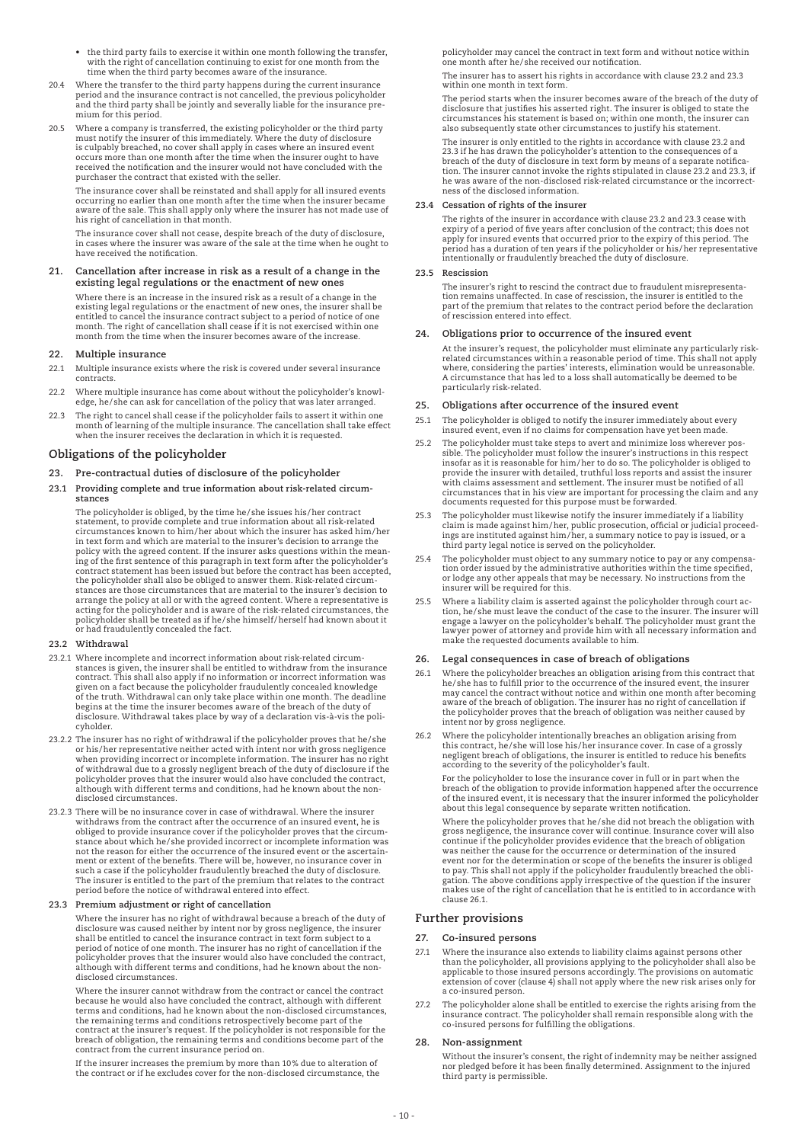- • the third party fails to exercise it within one month following the transfer, with the right of cancellation continuing to exist for one month from the time when the third party becomes aware of the insurance.
- 20.4 Where the transfer to the third party happens during the current insurance period and the insurance contract is not cancelled, the previous policyholder and the third party shall be jointly and severally liable for the insurance premium for this period.
- 20.5 Where a company is transferred, the existing policyholder or the third party must notify the insurer of this immediately. Where the duty of disclosure<br>is culpably breached, no cover shall apply in cases where an insured event<br>occurs more than one month after the time when the insurer ought to have received the notification and the insurer would not have concluded with the purchaser the contract that existed with the seller.

-<br>The insurance cover shall be reinstated and shall apply for all insured events occurring no earlier than one month after the time when the insurer became aware of the sale. This shall apply only where the insurer has not made use of his right of cancellation in that month.

 The insurance cover shall not cease, despite breach of the duty of disclosure, in cases where the insurer was aware of the sale at the time when he ought to have received the notification.

#### **21. Cancellation after increase in risk as a result of a change in the existing legal regulations or the enactment of new ones**

 Where there is an increase in the insured risk as a result of a change in the existing legal regulations or the enactment of new ones, the insurer shall be entitled to cancel the insurance contract subject to a period of notice of one month. The right of cancellation shall cease if it is not exercised within one month from the time when the insurer becomes aware of the increase.

### **22. Multiple insurance**

- 22.1 Multiple insurance exists where the risk is covered under several insurance contracts.
- 22.2 Where multiple insurance has come about without the policyholder's knowledge, he/she can ask for cancellation of the policy that was later arranged.
- 22.3 The right to cancel shall cease if the policyholder fails to assert it within one month of learning of the multiple insurance. The cancellation shall take effect when the insurer receives the declaration in which it is requested.

### **Obligations of the policyholder**

### **23. Pre-contractual duties of disclosure of the policyholder**

**23.1 Providing complete and true information about risk-related circumstances**

 The policyholder is obliged, by the time he/she issues his/her contract statement, to provide complete and true information about all risk-related circumstances known to him/her about which the insurer has asked him/her in text form and which are material to the insurer's decision to arrange the policy with the agreed content. If the insurer asks questions within the mean-ing of the first sentence of this paragraph in text form after the policyholder's contract statement has been issued but before the contract has been accepted, the policyholder shall also be obliged to answer them. Risk-related circumstances are those circumstances that are material to the insurer's decision to arrange the policy at all or with the agreed content. Where a representative is acting for the policyholder and is aware of the risk-related circumstances, the policyholder shall be treated as if he/she himself/herself had known about it or had fraudulently concealed the fact.

### **23.2 Withdrawal**

- 23.2.1 Where incomplete and incorrect information about risk-related circumstances is given, the insurer shall be entitled to withdraw from the insurance contract. This shall also apply if no information or incorrect information was<br>given on a fact because the policyholder fraudulently concealed knowledge<br>of the truth. Withdrawal can only take place within one month. The de begins at the time the insurer becomes aware of the breach of the duty of disclosure. Withdrawal takes place by way of a declaration vis-à-vis the policyholder.
- 23.2.2 The insurer has no right of withdrawal if the policyholder proves that he/she or his/her representative neither acted with intent nor with gross negligence when providing incorrect or incomplete information. The insurer has no right of withdrawal due to a grossly negligent breach of the duty of disclosure if the policyholder proves that the insurer would also have concluded the contract, although with different terms and conditions, had he known about the nondisclosed circumstances.
- 23.2.3 There will be no insurance cover in case of withdrawal. Where the insurer withdraws from the contract after the occurrence of an insured event, he is<br>obliged to provide insurance cover if the policyholder proves that the circum-<br>stance about which he/she provided incorrect or incomplete informat not the reason for either the occurrence of the insured event or the ascertainment or extent of the benefits. There will be, however, no insurance cover in such a case if the policyholder fraudulently breached the duty of disclosure. The insurer is entitled to the part of the premium that relates to the contract period before the notice of withdrawal entered into effect.

### **23.3 Premium adjustment or right of cancellation**

 Where the insurer has no right of withdrawal because a breach of the duty of disclosure was caused neither by intent nor by gross negligence, the insurer shall be entitled to cancel the insurance contract in text form subject to a period of notice of one month. The insurer has no right of cancellation if the policyholder proves that the insurer would also have concluded the contract, although with different terms and conditions, had he known about the nondisclosed circumstances.

 Where the insurer cannot withdraw from the contract or cancel the contract because he would also have concluded the contract, although with different terms and conditions, had he known about the non-disclosed circumstances, the remaining terms and conditions retrospectively become part of the contract at the insurer's request. If the policyholder is not responsible for the breach of obligation, the remaining terms and conditions become part of the contract from the current insurance period on.

 If the insurer increases the premium by more than 10% due to alteration of the contract or if he excludes cover for the non-disclosed circumstance, the policyholder may cancel the contract in text form and without notice within one month after he/she received our notification.

 The insurer has to assert his rights in accordance with clause 23.2 and 23.3 within one month in text form.

 The period starts when the insurer becomes aware of the breach of the duty of disclosure that justifies his asserted right. The insurer is obliged to state the circumstances his statement is based on; within one month, the insurer can also subsequently state other circumstances to justify his statement.

 The insurer is only entitled to the rights in accordance with clause 23.2 and 23.3 if he has drawn the policyholder's attention to the consequences of a breach of the duty of disclosure in text form by means of a separate notifica-tion. The insurer cannot invoke the rights stipulated in clause 23.2 and 23.3, if he was aware of the non-disclosed risk-related circumstance or the incorrect-ness of the disclosed information.

#### **23.4 Cessation of rights of the insurer**

 The rights of the insurer in accordance with clause 23.2 and 23.3 cease with expiry of a period of five years after conclusion of the contract; this does not<br>apply for insured events that occurred prior to the expiry of this period. The<br>period has a duration of ten years if the policyholder or his/ intentionally or fraudulently breached the duty of disclosure.

#### **23.5 Rescission**

 The insurer's right to rescind the contract due to fraudulent misrepresenta-tion remains unaffected. In case of rescission, the insurer is entitled to the part of the premium that relates to the contract period before the declaration of rescission entered into effect.

### **24. Obligations prior to occurrence of the insured event**

 At the insurer's request, the policyholder must eliminate any particularly riskrelated circumstances within a reasonable period of time. This shall not apply where, considering the parties' interests, elimination would be unreasonable. A circumstance that has led to a loss shall automatically be deemed to be particularly risk-related.

### **25. Obligations after occurrence of the insured event**

- 25.1 The policyholder is obliged to notify the insurer immediately about every insured event, even if no claims for compensation have yet been made.
- 25.2 The policyholder must take steps to avert and minimize loss wherever pos-sible. The policyholder must follow the insurer's instructions in this respect insofar as it is reasonable for him/her to do so. The policyholder is obliged to provide the insurer with detailed, truthful loss reports and assist the insurer with claims assessment and settlement. The insurer must be notified of all circumstances that in his view are important for processing the claim and any documents requested for this purpose must be forwarded.
- 25.3 The policyholder must likewise notify the insurer immediately if a liability claim is made against him/her, public prosecution, official or judicial proceedings are instituted against him/her, a summary notice to pay is issued, or a third party legal notice is served on the policyholder.
- 25.4 The policyholder must object to any summary notice to pay or any compensa-tion order issued by the administrative authorities within the time specified, or lodge any other appeals that may be necessary. No instructions from the insurer will be required for this.
- 25.5 Where a liability claim is asserted against the policyholder through court action, he/she must leave the conduct of the case to the insurer. The insurer will engage a lawyer on the policyholder's behalf. The policyholder must grant the lawyer power of attorney and provide him with all necessary information and make the requested documents available to him.

### **26. Legal consequences in case of breach of obligations**

- 26.1 Where the policyholder breaches an obligation arising from this contract that he/she has to fulfill prior to the occurrence of the insured event, the insurer may cancel the contract without notice and within one month after becoming aware of the breach of obligation. The insurer has no right of cancellation if the policyholder proves that the breach of obligation was neither caused by intent nor by gross negligence.
- 26.2 Where the policyholder intentionally breaches an obligation arising from this contract, he/she will lose his/her insurance cover. In case of a grossly negligent breach of obligations, the insurer is entitled to reduce his benefits according to the severity of the policyholder's fault.

 For the policyholder to lose the insurance cover in full or in part when the breach of the obligation to provide information happened after the occurrence of the insured event, it is necessary that the insurer informed the policyholder about this legal consequence by separate written notification.

 Where the policyholder proves that he/she did not breach the obligation with gross negligence, the insurance cover will continue. Insurance cover will also continue if the policyholder provides evidence that the breach of obligation was neither the cause for the occurrence or determination of the insured event nor for the determination or scope of the benefits the insurer is obliged to pay. This shall not apply if the policyholder fraudulently breached the obli-<br>gation. The above conditions apply irrespective of the question if the insurer<br>makes use of the right of cancellation that he is entitled to clause 26.1.

### **Further provisions**

### **27. Co-insured persons**

- 27.1 Where the insurance also extends to liability claims against persons other than the policyholder, all provisions applying to the policyholder shall also be applicable to those insured persons accordingly. The provisions on automatic extension of cover (clause 4) shall not apply where the new risk arises only for a co-insured person.
- 27.2 The policyholder alone shall be entitled to exercise the rights arising from the insurance contract. The policyholder shall remain responsible along with the co-insured persons for fulfilling the obligations.

#### **28. Non-assignment**

 Without the insurer's consent, the right of indemnity may be neither assigned nor pledged before it has been finally determined. Assignment to the injured third party is permissible.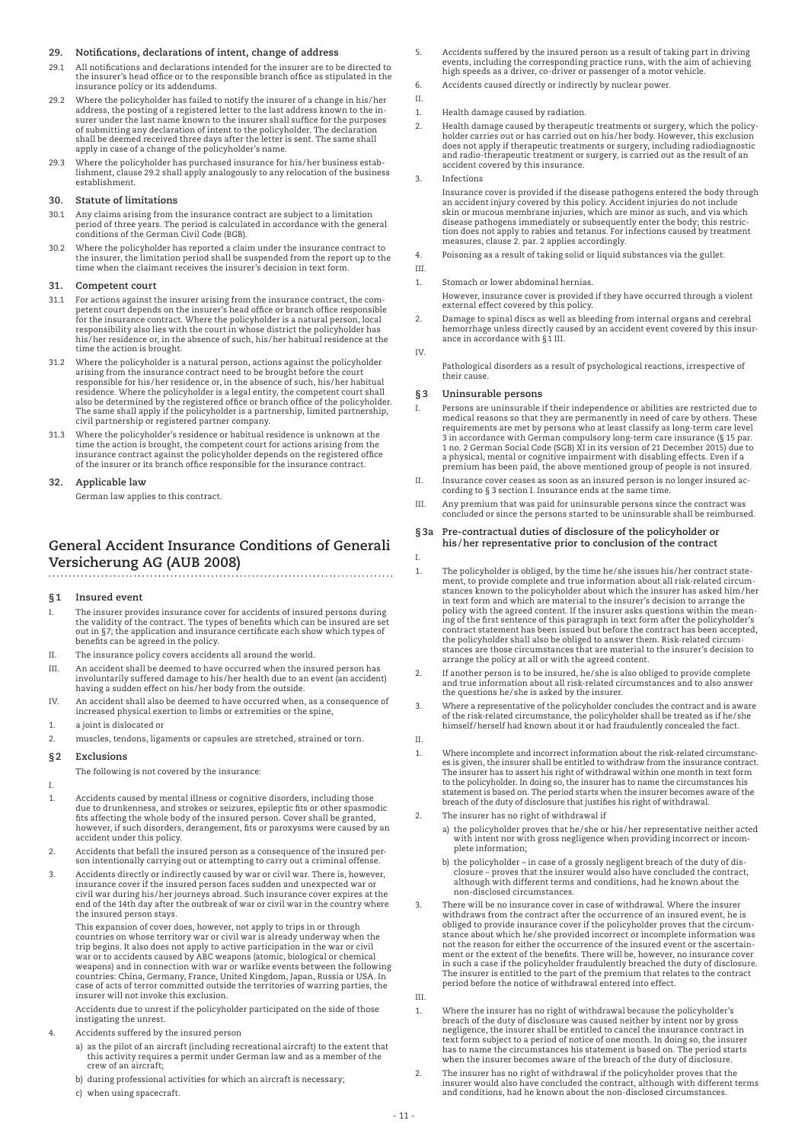### **29. Notifications, declarations of intent, change of address**

- 29.1 All notifications and declarations intended for the insurer are to be directed to the insurer's head office or to the responsible branch office as stipulated in the insurance policy or its addendums.
- 29.2 Where the policyholder has failed to notify the insurer of a change in his/her<br>- address, the posting of a registered letter to the last address known to the in surer under the last name known to the insurer shall suffice for the purposes of submitting any declaration of intent to the policyholder. The declaration shall be deemed received three days after the letter is sent. The same shall apply in case of a change of the policyholder's name.
- 29.3 Where the policyholder has purchased insurance for his/her business establishment, clause 29.2 shall apply analogously to any relocation of the business establishment.

### **30. Statute of limitations**

- 30.1 Any claims arising from the insurance contract are subject to a limitation period of three years. The period is calculated in accordance with the general conditions of the German Civil Code (BGB).
- 30.2 Where the policyholder has reported a claim under the insurance contract to the insurer, the limitation period shall be suspended from the report up to the time when the claimant receives the insurer's decision in text form.

### **31. Competent court**

- 31.1 For actions against the insurer arising from the insurance contract, the com-petent court depends on the insurer's head office or branch office responsible for the insurance contract. Where the policyholder is a natural person, local responsibility also lies with the court in whose district the policyholder has his/her residence or, in the absence of such, his/her habitual residence at the time the action is brought.
- 31.2 Where the policyholder is a natural person, actions against the policyholder arising from the insurance contract need to be brought before the court responsible for his/her residence or, in the absence of such, his/her habitual residence. Where the policyholder is a legal entity, the competent court shall also be determined by the registered office or branch office of the policyholder. The same shall apply if the policyholder is a partnership, limited partnership, civil partnership or registered partner company.
- 31.3 Where the policyholder's residence or habitual residence is unknown at the time the action is brought, the competent court for actions arising from the insurance contract against the policyholder depends on the registered office of the insurer or its branch office responsible for the insurance contract.

#### **32. Applicable law**

German law applies to this contract.

### **General Accident Insurance Conditions of Generali Versicherung AG (AUB 2008)**

### **§1 Insured event**

- I. The insurer provides insurance cover for accidents of insured persons during the validity of the contract. The types of benefits which can be insured are set out in §7; the application and insurance certificate each show which types of benefits can be agreed in the policy.
- II. The insurance policy covers accidents all around the world.
- III. An accident shall be deemed to have occurred when the insured person has involuntarily suffered damage to his/her health due to an event (an accident) having a sudden effect on his/her body from the outside.
- IV. An accident shall also be deemed to have occurred when, as a consequence of increased physical exertion to limbs or extremities or the spine,
- 1. a joint is dislocated or
- 2. muscles, tendons, ligaments or capsules are stretched, strained or torn.

#### **§2 Exclusions**

The following is not covered by the insurance:

I.

- 1. Accidents caused by mental illness or cognitive disorders, including those due to drunkenness, and strokes or seizures, epileptic fits or other spasmodic fits affecting the whole body of the insured person. Cover shall be granted, however, if such disorders, derangement, fits or paroxysms were caused by an accident under this policy.
- 2. Accidents that befall the insured person as a consequence of the insured person intentionally carrying out or attempting to carry out a criminal offense
- 3. Accidents directly or indirectly caused by war or civil war. There is, however, insurance cover if the insured person faces sudden and unexpected war or civil war during his/her journeys abroad. Such insurance cover expires at the end of the 14th day after the outbreak of war or civil war in the country where the insured person stays.

 This expansion of cover does, however, not apply to trips in or through countries on whose territory war or civil war is already underway when the trip begins. It also does not apply to active participation in the war or civil war or to accidents caused by ABC weapons (atomic, biological or chemical weapons) and in connection with war or warlike events between the following countries: China, Germany, France, United Kingdom, Japan, Russia or USA. In case of acts of terror committed outside the territories of warring parties, the insurer will not invoke this exclusion.

 Accidents due to unrest if the policyholder participated on the side of those instigating the unrest.

- 4. Accidents suffered by the insured person
	- a) as the pilot of an aircraft (including recreational aircraft) to the extent that this activity requires a permit under German law and as a member of the crew of an aircraft;
	- b) during professional activities for which an aircraft is necessary;
	- c) when using spacecraft.
- 5. Accidents suffered by the insured person as a result of taking part in driving events, including the corresponding practice runs, with the aim of achieving high speeds as a driver, co-driver or passenger of a motor vehicle.
- 6. Accidents caused directly or indirectly by nuclear power.
- II.
- 1. Health damage caused by radiation.
- 2. Health damage caused by therapeutic treatments or surgery, which the policyholder carries out or has carried out on his/her body. However, this exclusion does not apply if therapeutic treatments or surgery, including radiodiagnostic and radio-therapeutic treatment or surgery, is carried out as the result of an accident covered by this insurance.
- 3. Infections

 Insurance cover is provided if the disease pathogens entered the body through an accident injury covered by this policy. Accident injuries do not include skin or mucous membrane injuries, which are minor as such, and via which disease pathogens immediately or subsequently enter the body; this restric-tion does not apply to rabies and tetanus. For infections caused by treatment measures, clause 2. par. 2 applies accordingly.

- 4. Poisoning as a result of taking solid or liquid substances via the gullet.
- III.
	- 1. Stomach or lower abdominal hernias. However, insurance cover is provided if they have occurred through a violent external effect covered by this policy.
	- 2. Damage to spinal discs as well as bleeding from internal organs and cerebral hemorrhage unless directly caused by an accident event covered by this insurance in accordance with §1 III.
	- IV.

I.

 Pathological disorders as a result of psychological reactions, irrespective of their cause.

### **§3 Uninsurable persons**

- I. Persons are uninsurable if their independence or abilities are restricted due to medical reasons so that they are permanently in need of care by others. These requirements are met by persons who at least classify as long-term care level 3 in accordance with German compulsory long-term care insurance (§ 15 par. 1 no. 2 German Social Code (SGB) XI in its version of 21 December 2015) due to a physical, mental or cognitive impairment with disabling effects. Even if a premium has been paid, the above mentioned group of people is not insured.
- II. Insurance cover ceases as soon as an insured person is no longer insured according to § 3 section I. Insurance ends at the same time.
- III. Any premium that was paid for uninsurable persons since the contract was concluded or since the persons started to be uninsurable shall be reimbursed.

### **§3a Pre-contractual duties of disclosure of the policyholder or his /her representative prior to conclusion of the contract**

- 1. The policyholder is obliged, by the time he/she issues his/her contract statement, to provide complete and true information about all risk-related circum-stances known to the policyholder about which the insurer has asked him/her in text form and which are material to the insurer's decision to arrange the<br>policy with the agreed content. If the insurer asks questions within the mean<br>ing of the first sentence of this paragraph in text form after the contract statement has been issued but before the contract has been accepted, the policyholder shall also be obliged to answer them. Risk-related circum-stances are those circumstances that are material to the insurer's decision to arrange the policy at all or with the agreed content.
- 2. If another person is to be insured, he/she is also obliged to provide complete and true information about all risk-related circumstances and to also answer the questions he/she is asked by the insurer.
- 3. Where a representative of the policyholder concludes the contract and is aware of the risk-related circumstance, the policyholder shall be treated as if he/she himself/herself had known about it or had fraudulently concealed the fact.
	-

II.

- 1. Where incomplete and incorrect information about the risk-related circumstanc-es is given, the insurer shall be entitled to withdraw from the insurance contract. The insurer has to assert his right of withdrawal within one month in text form to the policyholder. In doing so, the insurer has to name the circumstances his statement is based on. The period starts when the insurer becomes aware of the breach of the duty of disclosure that justifies his right of withdrawal.
- The insurer has no right of withdrawal if
	- a) the policyholder proves that he/she or his/her representative neither acted with intent nor with gross negligence when providing incorrect or incomplete information;
	- b) the policyholder in case of a grossly negligent breach of the duty of dis-closure proves that the insurer would also have concluded the contract, although with different terms and conditions, had he known about the non-disclosed circumstances.
- 3. There will be no insurance cover in case of withdrawal. Where the insurer withdraws from the contract after the occurrence of an insured event, he is obliged to provide insurance cover if the policyholder proves that the circumstance about which he/she provided incorrect or incomplete information was not the reason for either the occurrence of the insured event or the ascertainment or the extent of the benefits. There will be, however, no insurance cover in such a case if the policyholder fraudulently breached the duty of disclosure. The insurer is entitled to the part of the premium that relates to the contract period before the notice of withdrawal entered into effect.

III.

- 1. Where the insurer has no right of withdrawal because the policyholder's<br>breach of the duty of disclosure was caused neither by intent nor by gross<br>negligence, the insurer shall be entitled to cancel the insurance contra text form subject to a period of notice of one month. In doing so, the insurer has to name the circumstances his statement is based on. The period starts when the insurer becomes aware of the breach of the duty of disclosure.
- 2. The insurer has no right of withdrawal if the policyholder proves that the insurer would also have concluded the contract, although with different terms and conditions, had he known about the non-disclosed circumstances.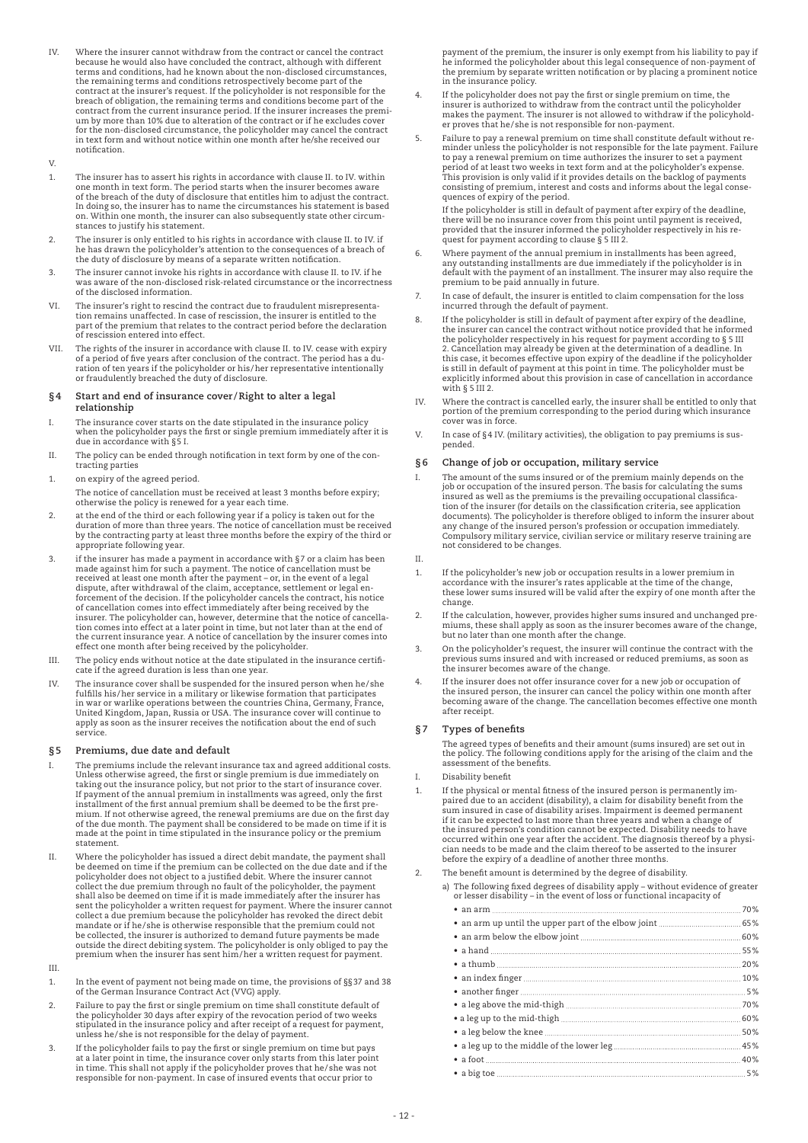IV. Where the insurer cannot withdraw from the contract or cancel the contract because he would also have concluded the contract, although with different terms and conditions, had he known about the non-disclosed circumstances, the remaining terms and conditions retrospectively become part of the contract at the insurer's request. If the policyholder is not responsible for the breach of obligation, the remaining terms and conditions become part of the contract from the current insurance period. If the insurer increases the premium by more than 10% due to alteration of the contract or if he excludes cover for the non-disclosed circumstance, the policyholder may cancel the contract in text form and without notice within one month after he/she received our notification.

#### V.

- 1. The insurer has to assert his rights in accordance with clause II. to IV. within one month in text form. The period starts when the insurer becomes aware of the breach of the duty of disclosure that entitles him to adjust the contract. In doing so, the insurer has to name the circumstances his statement is based on. Within one month, the insurer can also subsequently state other circumstances to justify his statement.
- 2. The insurer is only entitled to his rights in accordance with clause II. to IV. if he has drawn the policyholder's attention to the consequences of a breach of the duty of disclosure by means of a separate written notification.
- 3. The insurer cannot invoke his rights in accordance with clause II. to IV. if he was aware of the non-disclosed risk-related circumstance or the incorrectness of the disclosed information.
- VI. The insurer's right to rescind the contract due to fraudulent misrepresentation remains unaffected. In case of rescission, the insurer is entitled to the part of the premium that relates to the contract period before the declaration of rescission entered into effect.
- VII. The rights of the insurer in accordance with clause II. to IV. cease with expiry of a period of five years after conclusion of the contract. The period has a duration of ten years if the policyholder or his/her representative intentionally or fraudulently breached the duty of disclosure.

#### **§4 Start and end of insurance cover /Right to alter a legal relationship**

- I. The insurance cover starts on the date stipulated in the insurance policy when the policyholder pays the first or single premium immediately after it is when the poneyholder pays<br>due in accordance with §5 I.
- II. The policy can be ended through notification in text form by one of the contracting parties
- 1. on expiry of the agreed period.
- The notice of cancellation must be received at least 3 months before expiry; otherwise the policy is renewed for a year each time.
- 2. at the end of the third or each following year if a policy is taken out for the duration of more than three years. The notice of cancellation must be received by the contracting party at least three months before the expiry of the third or appropriate following year.
- 3. if the insurer has made a payment in accordance with  $\S$  7 or a claim has been made against him for such a payment. The notice of cancellation must be<br>received at least one month after the payment – or, in the event of a legal<br>dispute, after withdrawal of the claim, acceptance, settlement or legal en of cancellation comes into effect immediately after being received by the insurer. The policyholder can, however, determine that the notice of cancellation comes into effect at a later point in time, but not later than at the end of the current insurance year. A notice of cancellation by the insurer comes into effect one month after being received by the policyholder.
- III. The policy ends without notice at the date stipulated in the insurance certificate if the agreed duration is less than one year.
- IV. The insurance cover shall be suspended for the insured person when he/she fulfills his/her service in a military or likewise formation that participates in war or warlike operations between the countries China, Germany, France, United Kingdom, Japan, Russia or USA. The insurance cover will continue to apply as soon as the insurer receives the notification about the end of such service.

### **§5 Premiums, due date and default**

- I. The premiums include the relevant insurance tax and agreed additional costs.<br>Unless otherwise agreed, the first or single premium is due immediately on<br>taking out the insurance policy, but not prior to the start of insu If payment of the annual premium in installments was agreed, only the first installment of the first annual premium shall be deemed to be the first premium. If not otherwise agreed, the renewal premiums are due on the first day of the due month. The payment shall be considered to be made on time if it is made at the point in time stipulated in the insurance policy or the premium statement.
- II. Where the policyholder has issued a direct debit mandate, the payment shall be deemed on time if the premium can be collected on the due date and if the policyholder does not object to a justified debit. Where the insurer cannot collect the due premium through no fault of the policyholder, the payment shall also be deemed on time if it is made immediately after the insurer has sent the policyholder a written request for payment. Where the insurer cannot collect a due premium because the policyholder has revoked the direct debit mandate or if he/she is otherwise responsible that the premium could not be collected, the insurer is authorized to demand future payments be made outside the direct debiting system. The policyholder is only obliged to pay the premium when the insurer has sent him/her a written request for payment.

### III.

- 1. In the event of payment not being made on time, the provisions of §§37 and 38 of the German Insurance Contract Act (VVG) apply.
- 2. Failure to pay the first or single premium on time shall constitute default of the policyholder 30 days after expiry of the revocation period of two weeks stipulated in the insurance policy and after receipt of a request for payment, unless he/she is not responsible for the delay of payment.
- 3. If the policyholder fails to pay the first or single premium on time but pays at a later point in time, the insurance cover only starts from this later point<br>in time. This shall not apply if the policyholder proves that he/she was not<br>responsible for non-payment. In case of insured events that occur

payment of the premium, the insurer is only exempt from his liability to pay if he informed the policyholder about this legal consequence of non-payment of the premium by separate written notification or by placing a prominent notice in the insurance policy.

- If the policyholder does not pay the first or single premium on time, the insurer is authorized to withdraw from the contract until the policyholder makes the payment. The insurer is not allowed to withdraw if the policyholder proves that he/she is not responsible for non-payment.
- 5. Failure to pay a renewal premium on time shall constitute default without reminder unless the policyholder is not responsible for the late payment. Failure to pay a renewal premium on time authorizes the insurer to set a payment period of at least two weeks in text form and at the policyholder's expense. This provision is only valid if it provides details on the backlog of payments consisting of premium, interest and costs and informs about the legal consequences of expiry of the period.

 If the policyholder is still in default of payment after expiry of the deadline, there will be no insurance cover from this point until payment is received, provided that the insurer informed the policyholder respectively in his re-quest for payment according to clause § 5 III 2.

- 6. Where payment of the annual premium in installments has been agreed, any outstanding installments are due immediately if the policyholder is in default with the payment of an installment. The insurer may also require the premium to be paid annually in future.
- In case of default, the insurer is entitled to claim compensation for the loss incurred through the default of payment.
- 8. If the policyholder is still in default of payment after expiry of the deadline, the insurer can cancel the contract without notice provided that he informed the policyholder respectively in his request for payment according to § 5 III 2. Cancellation may already be given at the determination of a deadline. In this case, it becomes effective upon expiry of the deadline if the policyholder is still in default of payment at this point in time. The policyholder must be explicitly informed about this provision in case of cancellation in accordance with § 5 III 2.
- IV. Where the contract is cancelled early, the insurer shall be entitled to only that portion of the premium corresponding to the period during which insurance cover was in force.
- V. In case of §4 IV. (military activities), the obligation to pay premiums is suspended.

### **§6 Change of job or occupation, military service**

I. The amount of the sums insured or of the premium mainly depends on the job or occupation of the insured person. The basis for calculating the sums<br>insured as well as the premiums is the prevailing occupational classifica-<br>tion of the insurer (for details on the classification criteria, see ap documents). The policyholder is therefore obliged to inform the insurer about any change of the insured person's profession or occupation immediately. Compulsory military service, civilian service or military reserve training are not considered to be changes.

### II.

- 1. If the policyholder's new job or occupation results in a lower premium in accordance with the insurer's rates applicable at the time of the change, these lower sums insured will be valid after the expiry of one month after the change.
- 2. If the calculation, however, provides higher sums insured and unchanged pre-miums, these shall apply as soon as the insurer becomes aware of the change, but no later than one month after the change.
- 3. On the policyholder's request, the insurer will continue the contract with the previous sums insured and with increased or reduced premiums, as soon as the insurer becomes aware of the change.
- If the insurer does not offer insurance cover for a new job or occupation of the insured person, the insurer can cancel the policy within one month after becoming aware of the change. The cancellation becomes effective one month after receipt.

### **§7 Types of benefits**

The agreed types of benefits and their amount (sums insured) are set out in the policy. The following conditions apply for the arising of the claim and the assessment of the benefits.

- I. Disability benefit
- 1. If the physical or mental fitness of the insured person is permanently im-paired due to an accident (disability), a claim for disability benefit from the sum insured in case of disability arises. Impairment is deemed permanent<br>if it can be expected to last more than three years and when a change of<br>the insured person's condition cannot be expected. Disability needs to have<br> before the expiry of a deadline of another three months.
- The benefit amount is determined by the degree of disability.
	- a) The following fixed degrees of disability apply without evidence of greater or lesser disability in the event of loss or functional incapacity of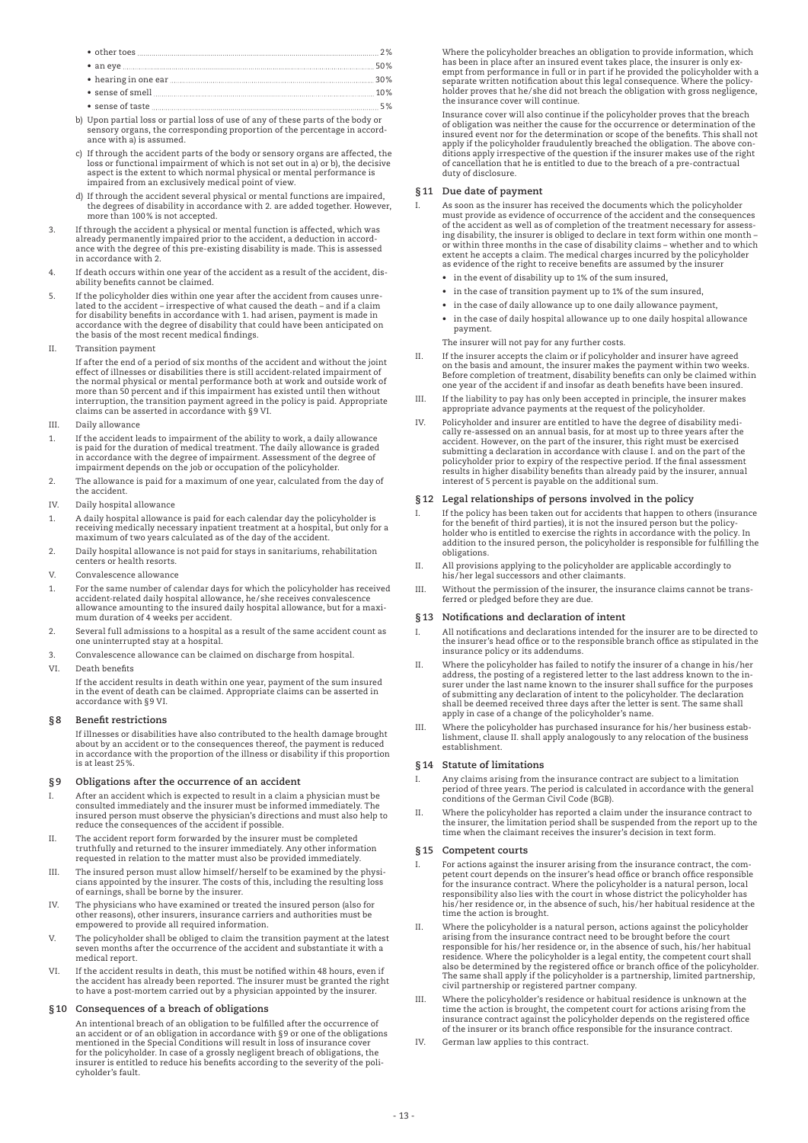- other toes 2% • an eye 50% • hearing in one ear 30% • sense of smell 10%
- sense of taste  $\ldots$  5%
- b) Upon partial loss or partial loss of use of any of these parts of the body or sensory organs, the corresponding proportion of the percentage in accordance with a) is assumed.
- c) If through the accident parts of the body or sensory organs are affected, the loss or functional impairment of which is not set out in a) or b), the decisive aspect is the extent to which normal physical or mental performance is impaired from an exclusively medical point of view.
- d) If through the accident several physical or mental functions are impaired, the degrees of disability in accordance with 2. are added together. However, more than 100% is not accepted.
- 3. If through the accident a physical or mental function is affected, which was already permanently impaired prior to the accident, a deduction in accordance with the degree of this pre-existing disability is made. This is assessed in accordance with 2.
- 4. If death occurs within one year of the accident as a result of the accident, dis-ability benefits cannot be claimed.
- 5. If the policyholder dies within one year after the accident from causes unre-lated to the accident irrespective of what caused the death and if a claim for disability benefits in accordance with 1. had arisen, payment is made in accordance with the degree of disability that could have been anticipated on the basis of the most recent medical findings.
- II. Transition payment

 If after the end of a period of six months of the accident and without the joint effect of illnesses or disabilities there is still accident-related impairment of the normal physical or mental performance both at work and outside work of more than 50 percent and if this impairment has existed until then without interruption, the transition payment agreed in the policy is paid. Appropriate claims can be asserted in accordance with §9 VI.

- III. Daily allowance
- If the accident leads to impairment of the ability to work, a daily allowance is paid for the duration of medical treatment. The daily allowance is graded in accordance with the degree of impairment. Assessment of the degree of impairment depends on the job or occupation of the policyholder.
- 2. The allowance is paid for a maximum of one year, calculated from the day of the accident.
- IV. Daily hospital allowance
- 1. A daily hospital allowance is paid for each calendar day the policyholder is receiving medically necessary inpatient treatment at a hospital, but only for a maximum of two years calculated as of the day of the accident.
- 2. Daily hospital allowance is not paid for stays in sanitariums, rehabilitation centers or health resorts.
- V. Convalescence allowance
- 1. For the same number of calendar days for which the policyholder has received accident-related daily hospital allowance, he/she receives convalescence allowance amounting to the insured daily hospital allowance, but for a maximum duration of 4 weeks per accident.
- 2. Several full admissions to a hospital as a result of the same accident count as one uninterrupted stay at a hospital.
- 3. Convalescence allowance can be claimed on discharge from hospital.
- VI. Death benefits If the accident results in death within one year, payment of the sum insured in the event of death can be claimed. Appropriate claims can be asserted in accordance with §9 VI.

### **§8 Benefit restrictions**

 If illnesses or disabilities have also contributed to the health damage brought about by an accident or to the consequences thereof, the payment is reduced in accordance with the proportion of the illness or disability if this proportion is at least 25%.

### **§9 Obligations after the occurrence of an accident**

- I. After an accident which is expected to result in a claim a physician must be consulted immediately and the insurer must be informed immediately. The insured person must observe the physician's directions and must also help to reduce the consequences of the accident if possible.
- II. The accident report form forwarded by the insurer must be completed truthfully and returned to the insurer immediately. Any other information requested in relation to the matter must also be provided immediately.
- III. The insured person must allow himself/herself to be examined by the physicians appointed by the insurer. The costs of this, including the resulting loss of earnings, shall be borne by the insurer.
- IV. The physicians who have examined or treated the insured person (also for other reasons), other insurers, insurance carriers and authorities must be empowered to provide all required information.
- V. The policyholder shall be obliged to claim the transition payment at the latest seven months after the occurrence of the accident and substantiate it with a medical report.
- VI. If the accident results in death, this must be notified within 48 hours, even if the accident has already been reported. The insurer must be granted the right to have a post-mortem carried out by a physician appointed by the insurer.

### **§10 Consequences of a breach of obligations**

 An intentional breach of an obligation to be fulfilled after the occurrence of an accident or of an obligation in accordance with §9 or one of the obligations mentioned in the Special Conditions will result in loss of insurance cover for the policyholder. In case of a grossly negligent breach of obligations, the insurer is entitled to reduce his benefits according to the severity of the policyholder's fault.

 Where the policyholder breaches an obligation to provide information, which has been in place after an insured event takes place, the insurer is only exempt from performance in full or in part if he provided the policyholder with a separate written notification about this legal consequence. Where the policyholder proves that he/she did not breach the obligation with gross negligence, the insurance cover will continue.

 Insurance cover will also continue if the policyholder proves that the breach of obligation was neither the cause for the occurrence or determination of the<br>insured event nor for the determination or scope of the benefits. This shall not<br>apply if the policyholder fraudulently breached the obligation duty of disclosure.

### **§11 Due date of payment**

- As soon as the insurer has received the documents which the policyholder must provide as evidence of occurrence of the accident and the consequences of the accident as well as of completion of the treatment necessary for assessing disability, the insurer is obliged to declare in text form within one month –<br>or within three months in the case of disability claims – whether and to which<br>extent he accepts a claim. The medical charges incurred by th as evidence of the right to receive benefits are assumed by the insurer
	- • in the event of disability up to 1% of the sum insured,
	- • in the case of transition payment up to 1% of the sum insured,
	- • in the case of daily allowance up to one daily allowance payment,
	- • in the case of daily hospital allowance up to one daily hospital allowance payment.

### The insurer will not pay for any further costs.

- II. If the insurer accepts the claim or if policyholder and insurer have agreed on the basis and amount, the insurer makes the payment within two weeks. Before completion of treatment, disability benefits can only be claimed within one year of the accident if and insofar as death benefits have been insured.
- III. If the liability to pay has only been accepted in principle, the insurer makes appropriate advance payments at the request of the policyholder.
- IV. Policyholder and insurer are entitled to have the degree of disability medically re-assessed on an annual basis, for at most up to three years after the accident. However, on the part of the insurer, this right must be exercised submitting a declaration in accordance with clause I. and on the part of the policyholder prior to expiry of the respective period. If the final assessment results in higher disability benefits than already paid by the insurer, annual interest of 5 percent is payable on the additional sum.

### **§12 Legal relationships of persons involved in the policy**

- I. If the policy has been taken out for accidents that happen to others (insurance for the benefit of third parties), it is not the insured person but the policyholder who is entitled to exercise the rights in accordance with the policy. In addition to the insured person, the policyholder is responsible for fulfilling the obligations.
- II. All provisions applying to the policyholder are applicable accordingly to his/her legal successors and other claimants.
- III. Without the permission of the insurer, the insurance claims cannot be transferred or pledged before they are due.

### **§13 Notifications and declaration of intent**

- I. All notifications and declarations intended for the insurer are to be directed to the insurer's head office or to the responsible branch office as stipulated in the insurance policy or its addendums.
- II. Where the policyholder has failed to notify the insurer of a change in his /her address, the posting of a registered letter to the last address known to the insurer under the last name known to the insurer shall suffice for the purposes of submitting any declaration of intent to the policyholder. The declaration shall be deemed received three days after the letter is sent. The same shall apply in case of a change of the policyholder's name.
- Where the policyholder has purchased insurance for his/her business establishment, clause II. shall apply analogously to any relocation of the business establishment.

#### **§14 Statute of limitations**

- I. Any claims arising from the insurance contract are subject to a limitation period of three years. The period is calculated in accordance with the general conditions of the German Civil Code (BGB).
- II. Where the policyholder has reported a claim under the insurance contract to the insurer, the limitation period shall be suspended from the report up to the time when the claimant receives the insurer's decision in text form.

#### **§15 Competent courts**

- For actions against the insurer arising from the insurance contract, the competent court depends on the insurer's head office or branch office responsible for the insurance contract. Where the policyholder is a natural person, local responsibility also lies with the court in whose district the policyholder has his/her residence or, in the absence of such, his/her habitual residence at the time the action is brought.
- II. Where the policyholder is a natural person, actions against the policyholder arising from the insurance contract need to be brought before the court responsible for his/her residence or, in the absence of such, his/her habitual residence. Where the policyholder is a legal entity, the competent court shall<br>also be determined by the registered office or branch office of the policyholder.<br>The same shall apply if the policyholder is a partnership, li civil partnership or registered partner company.
- III. Where the policyholder's residence or habitual residence is unknown at the time the action is brought, the competent court for actions arising from the insurance contract against the policyholder depends on the registered office of the insurer or its branch office responsible for the insurance contract.
- IV. German law applies to this contract.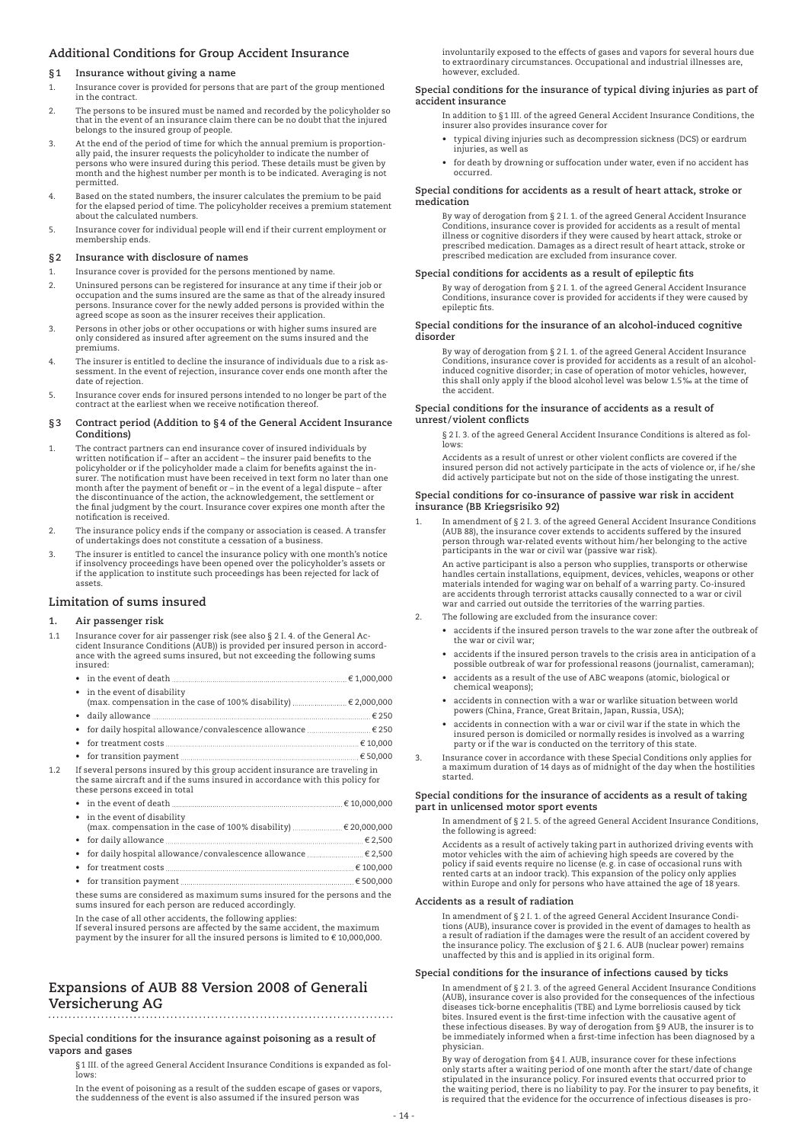### **Additional Conditions for Group Accident Insurance**

#### **§1 Insurance without giving a name**

- 1. Insurance cover is provided for persons that are part of the group mentioned in the contract.
- 2. The persons to be insured must be named and recorded by the policyholder so that in the event of an insurance claim there can be no doubt that the injured belongs to the insured group of people.
- 3. At the end of the period of time for which the annual premium is proportionally paid, the insurer requests the policyholder to indicate the number of persons who were insured during this period. These details must be given by month and the highest number per month is to be indicated. Averaging is not permitted.
- 4. Based on the stated numbers, the insurer calculates the premium to be paid for the elapsed period of time. The policyholder receives a premium statement about the calculated numbers.
- 5. Insurance cover for individual people will end if their current employment or membership ends.

### **§2 Insurance with disclosure of names**

- 1. Insurance cover is provided for the persons mentioned by name.
- 2. Uninsured persons can be registered for insurance at any time if their job or occupation and the sums insured are the same as that of the already insured persons. Insurance cover for the newly added persons is provided within the agreed scope as soon as the insurer receives their application.
- 3. Persons in other jobs or other occupations or with higher sums insured are only considered as insured after agreement on the sums insured and the premiums.
- The insurer is entitled to decline the insurance of individuals due to a risk assessment. In the event of rejection, insurance cover ends one month after the date of rejection.
- 5. Insurance cover ends for insured persons intended to no longer be part of the contract at the earliest when we receive notification thereof.

#### **§3 Contract period (Addition to §4 of the General Accident Insurance Conditions)**

- 1. The contract partners can end insurance cover of insured individuals by written notification if after an accident the insurer paid benefits to the policyholder or if the policyholder made a claim for benefits against the insurer. The notification must have been received in text form no later than one month after the payment of benefit or – in the event of a legal dispute – after the discontinuance of the action, the acknowledgement, the settlement or the final judgment by the court. Insurance cover expires one month after the notification is received.
- 2. The insurance policy ends if the company or association is ceased. A transfer of undertakings does not constitute a cessation of a business.
- 3. The insurer is entitled to cancel the insurance policy with one month's notice if insolvency proceedings have been opened over the policyholder's assets or if the application to institute such proceedings has been rejected for lack of assets.

### **Limitation of sums insured**

#### **1. Air passenger risk**

- 1.1 Insurance cover for air passenger risk (see also § 2 I. 4. of the General Ac-cident Insurance Conditions (AUB)) is provided per insured person in accordance with the agreed sums insured, but not exceeding the following sums insured:
	- in the event of death  $\frac{1}{2}$  = 1,000,000
	- • in the event of disability (max. compensation in the case of 100% disability) ......................... € 2,000,000 • daily allowance € 250 • for daily hospital allowance/convalescence allowance  $\ldots$  $\ldots$  $\ldots$  $\ldots$  $\ldots$  $\in$  250
	- • for treatment costs € 10,000
	- • for transition payment € 50,000
- 1.2 If several persons insured by this group accident insurance are traveling in the same aircraft and if the sums insured in accordance with this policy for these persons exceed in total
- in the event of death  $\frac{1}{2}$  10,000,000 • in the event of disability<br>(max. compensation in the case of 100% disability) ........................€ 20,000,000
	- • for daily allowance € 2,500 • for daily hospital allowance/convalescence allowance  $\ldots$  $\ldots$  $\ldots$  $\ldots$  $\ldots$  $\in$  2,500
	- • for treatment costs € 100,000
	- • for transition payment € 500,000

 these sums are considered as maximum sums insured for the persons and the sums insured for each person are reduced accordingly.

In the case of all other accidents, the following applies:

If several insured persons are affected by the same accident, the maximum payment by the insurer for all the insured persons is limited to € 10,000,000.

### **Expansions of AUB 88 Version 2008 of Generali Versicherung AG**

**Special conditions for the insurance against poisoning as a result of vapors and gases**

 §1 III. of the agreed General Accident Insurance Conditions is expanded as follows:

 In the event of poisoning as a result of the sudden escape of gases or vapors, the suddenness of the event is also assumed if the insured person was

involuntarily exposed to the effects of gases and vapors for several hours due to extraordinary circumstances. Occupational and industrial illnesses are, however, excluded.

#### **Special conditions for the insurance of typical diving injuries as part of accident insurance**

- In addition to §1 III. of the agreed General Accident Insurance Conditions, the insurer also provides insurance cover for
- typical diving injuries such as decompression sickness (DCS) or eardrum injuries, as well as
	- for death by drowning or suffocation under water, even if no accident has occurred.

#### **Special conditions for accidents as a result of heart attack, stroke or medication**

 By way of derogation from § 2 I. 1. of the agreed General Accident Insurance Conditions, insurance cover is provided for accidents as a result of mental illness or cognitive disorders if they were caused by heart attack, stroke or prescribed medication. Damages as a direct result of heart attack, stroke or prescribed medication are excluded from insurance cover.

### **Special conditions for accidents as a result of epileptic fits**

 By way of derogation from § 2 I. 1. of the agreed General Accident Insurance Conditions, insurance cover is provided for accidents if they were caused by epileptic fits.

### **Special conditions for the insurance of an alcohol-induced cognitive disorder**

 By way of derogation from § 2 I. 1. of the agreed General Accident Insurance Conditions, insurance cover is provided for accidents as a result of an alcohol-induced cognitive disorder; in case of operation of motor vehicles, however, this shall only apply if the blood alcohol level was below 1.5‰ at the time of the accident.

### **Special conditions for the insurance of accidents as a result of unrest/violent conflicts**

 § 2 I. 3. of the agreed General Accident Insurance Conditions is altered as follows:

 Accidents as a result of unrest or other violent conflicts are covered if the insured person did not actively participate in the acts of violence or, if he/she did actively participate but not on the side of those instigating the unrest.

### **Special conditions for co-insurance of passive war risk in accident insurance (BB Kriegsrisiko 92)**

1. In amendment of § 2 I. 3. of the agreed General Accident Insurance Conditions (AUB 88), the insurance cover extends to accidents suffered by the insured person through war-related events without him/her belonging to the active participants in the war or civil war (passive war risk).

 An active participant is also a person who supplies, transports or otherwise handles certain installations, equipment, devices, vehicles, weapons or other<br>materials intended for waging war on behalf of a warring party. Co-insured<br>are accidents through terrorist attacks causally connected to a war o war and carried out outside the territories of the warring parties.

- 2. The following are excluded from the insurance cover:
	- accidents if the insured person travels to the war zone after the outbreak of the war or civil war;
- • accidents if the insured person travels to the crisis area in anticipation of a possible outbreak of war for professional reasons (journalist, cameraman);
	- accidents as a result of the use of ABC weapons (atomic, biological or chemical weapons);
	- • accidents in connection with a war or warlike situation between world powers (China, France, Great Britain, Japan, Russia, USA);
	- • accidents in connection with a war or civil war if the state in which the insured person is domiciled or normally resides is involved as a warring party or if the war is conducted on the territory of this state.
- 3. Insurance cover in accordance with these Special Conditions only applies for a maximum duration of 14 days as of midnight of the day when the hostilities started.

#### **Special conditions for the insurance of accidents as a result of taking part in unlicensed motor sport events**

 In amendment of § 2 I. 5. of the agreed General Accident Insurance Conditions, the following is agreed:

 Accidents as a result of actively taking part in authorized driving events with motor vehicles with the aim of achieving high speeds are covered by the policy if said events require no license (e.g. in case of occasional runs with rented carts at an indoor track). This expansion of the policy only applies within Europe and only for persons who have attained the age of 18 years.

### **Accidents as a result of radiation**

 In amendment of § 2 I. 1. of the agreed General Accident Insurance Conditions (AUB), insurance cover is provided in the event of damages to health as a result of radiation if the damages were the result of an accident covered by the insurance policy. The exclusion of § 2 I. 6. AUB (nuclear power) remains unaffected by this and is applied in its original form.

### **Special conditions for the insurance of infections caused by ticks**

 In amendment of § 2 I. 3. of the agreed General Accident Insurance Conditions (AUB), insurance cover is also provided for the consequences of the infectious diseases tick-borne encephalitis (TBE) and Lyme borreliosis caused by tick bites. Insured event is the first-time infection with the causative agent of these infectious diseases. By way of derogation from §9 AUB, the insurer is to be immediately informed when a first-time infection has been diagnosed by a physician.

 By way of derogation from §4 I. AUB, insurance cover for these infections only starts after a waiting period of one month after the start/date of change stipulated in the insurance policy. For insured events that occurred prior to the waiting period, there is no liability to pay. For the insurer to pay benefits, it is required that the evidence for the occurrence of infectious diseases is pro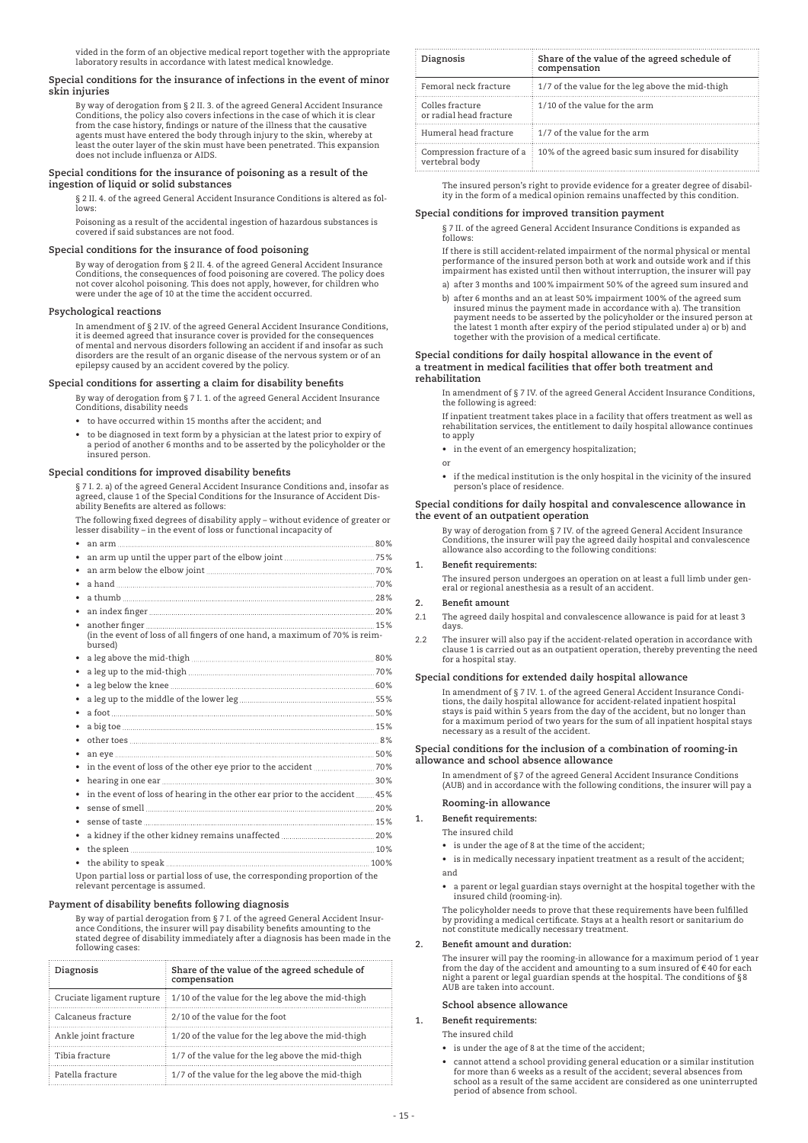vided in the form of an objective medical report together with the appropriate laboratory results in accordance with latest medical knowledge.

### **Special conditions for the insurance of infections in the event of minor skin injuries**

 By way of derogation from § 2 II. 3. of the agreed General Accident Insurance Conditions, the policy also covers infections in the case of which it is clear from the case history, findings or nature of the illness that the causative agents must have entered the body through injury to the skin, whereby at least the outer layer of the skin must have been penetrated. This expansion does not include influenza or AIDS.

### **Special conditions for the insurance of poisoning as a result of the ingestion of liquid or solid substances**

 § 2 II. 4. of the agreed General Accident Insurance Conditions is altered as follows:

 Poisoning as a result of the accidental ingestion of hazardous substances is covered if said substances are not food.

### **Special conditions for the insurance of food poisoning**

 By way of derogation from § 2 II. 4. of the agreed General Accident Insurance Conditions, the consequences of food poisoning are covered. The policy does not cover alcohol poisoning. This does not apply, however, for children who were under the age of 10 at the time the accident occurred.

### **Psychological reactions**

 In amendment of § 2 IV. of the agreed General Accident Insurance Conditions, it is deemed agreed that insurance cover is provided for the consequences of mental and nervous disorders following an accident if and insofar as such disorders are the result of an organic disease of the nervous system or of an epilepsy caused by an accident covered by the policy.

#### **Special conditions for asserting a claim for disability benefits**

By way of derogation from § 7 I. 1. of the agreed General Accident Insurance Conditions, disability needs

- to have occurred within 15 months after the accident; and
- to be diagnosed in text form by a physician at the latest prior to expiry of a period of another 6 months and to be asserted by the policyholder or the insured person.

### **Special conditions for improved disability benefits**

 § 7 I. 2. a) of the agreed General Accident Insurance Conditions and, insofar as agreed, clause 1 of the Special Conditions for the Insurance of Accident Dis-ability Benefits are altered as follows:

 The following fixed degrees of disability apply – without evidence of greater or lesser disability – in the event of loss or functional incapacity of

| ٠                                                                                      |  |
|----------------------------------------------------------------------------------------|--|
|                                                                                        |  |
| ٠                                                                                      |  |
| $\bullet$                                                                              |  |
| $\bullet$                                                                              |  |
| ٠                                                                                      |  |
|                                                                                        |  |
| (in the event of loss of all fingers of one hand, a maximum of 70% is reim-<br>bursed) |  |
| ٠                                                                                      |  |
| ٠                                                                                      |  |
| ٠                                                                                      |  |
| ٠                                                                                      |  |
|                                                                                        |  |
|                                                                                        |  |
|                                                                                        |  |
|                                                                                        |  |
|                                                                                        |  |
| ٠                                                                                      |  |
| in the event of loss of hearing in the other ear prior to the accident  45%            |  |
|                                                                                        |  |
|                                                                                        |  |
|                                                                                        |  |
|                                                                                        |  |
|                                                                                        |  |
| Upon partial loss or partial loss of use, the corresponding proportion of the          |  |

 Upon partial loss or partial loss of use, the corresponding proportion of the relevant percentage is assumed.

### **Payment of disability benefits following diagnosis**

 By way of partial derogation from § 7 I. of the agreed General Accident Insurance Conditions, the insurer will pay disability benefits amounting to the stated degree of disability immediately after a diagnosis has been made in the following cases:

| Diagnosis                 | Share of the value of the agreed schedule of<br>compensation |
|---------------------------|--------------------------------------------------------------|
| Cruciate ligament rupture | 1/10 of the value for the leg above the mid-thigh            |
| Calcaneus fracture        | 2/10 of the value for the foot                               |
| Ankle joint fracture      | 1/20 of the value for the leg above the mid-thigh            |
| Tibia fracture            | 1/7 of the value for the leg above the mid-thigh             |
| Patella fracture          | 1/7 of the value for the leg above the mid-thigh             |

| Diagnosis                                   | Share of the value of the agreed schedule of<br>compensation |
|---------------------------------------------|--------------------------------------------------------------|
| Femoral neck fracture                       | 1/7 of the value for the leg above the mid-thigh             |
| Colles fracture<br>or radial head fracture  | 1/10 of the value for the arm                                |
| Humeral head fracture                       | $\frac{1}{2}$ 1/7 of the value for the arm                   |
| Compression fracture of a<br>vertebral body | 10% of the agreed basic sum insured for disability           |

 The insured person's right to provide evidence for a greater degree of disability in the form of a medical opinion remains unaffected by this condition.

### **Special conditions for improved transition payment**

 § 7 II. of the agreed General Accident Insurance Conditions is expanded as follows:

 If there is still accident-related impairment of the normal physical or mental performance of the insured person both at work and outside work and if this impairment has existed until then without interruption, the insurer will pay

- a) after 3 months and 100% impairment 50% of the agreed sum insured and
- b) after 6 months and an at least 50% impairment 100% of the agreed sum insured minus the payment made in accordance with a). The transition payment needs to be asserted by the policyholder or the insured person at the latest 1 month after expiry of the period stipulated under a) or b) and together with the provision of a medical certificate.

#### **Special conditions for daily hospital allowance in the event of a treatment in medical facilities that offer both treatment and rehabilitation**

 In amendment of § 7 IV. of the agreed General Accident Insurance Conditions, the following is agreed:

 If inpatient treatment takes place in a facility that offers treatment as well as rehabilitation services, the entitlement to daily hospital allowance continues to apply

 • in the event of an emergency hospitalization;

- or
- if the medical institution is the only hospital in the vicinity of the insured person's place of residence.

#### **Special conditions for daily hospital and convalescence allowance in the event of an outpatient operation**

 By way of derogation from § 7 IV. of the agreed General Accident Insurance Conditions, the insurer will pay the agreed daily hospital and convalescence allowance also according to the following conditions:

#### **1. Benefit requirements:**

 The insured person undergoes an operation on at least a full limb under general or regional anesthesia as a result of an accident.

### **2. Benefit amount**

2.1 The agreed daily hospital and convalescence allowance is paid for at least 3 days.

2.2 The insurer will also pay if the accident-related operation in accordance with clause 1 is carried out as an outpatient operation, thereby preventing the need for a hospital stay.

### **Special conditions for extended daily hospital allowance**

 In amendment of § 7 IV. 1. of the agreed General Accident Insurance Condi-tions, the daily hospital allowance for accident-related inpatient hospital stays is paid within 5 years from the day of the accident, but no longer than for a maximum period of two years for the sum of all inpatient hospital stays necessary as a result of the accident.

#### **Special conditions for the inclusion of a combination of rooming-in allowance and school absence allowance**

In amendment of §7 of the agreed General Accident Insurance Conditions (AUB) and in accordance with the following conditions, the insurer will pay a

### **Rooming-in allowance**

**1. Benefit requirements:**

The insured child

 • is under the age of 8 at the time of the accident;

 • is in medically necessary inpatient treatment as a result of the accident; and

 • a parent or legal guardian stays overnight at the hospital together with the insured child (rooming-in).

 The policyholder needs to prove that these requirements have been fulfilled by providing a medical certificate. Stays at a health resort or sanitarium do not constitute medically necessary treatment.

#### **2. Benefit amount and duration:**

 The insurer will pay the rooming-in allowance for a maximum period of 1 year from the day of the accident and amounting to a sum insured of € 40 for each night a parent or legal guardian spends at the hospital. The conditions of §8 AUB are taken into account.

### **School absence allowance**

**1. Benefit requirements:**

The insured child

- is under the age of 8 at the time of the accident;
- cannot attend a school providing general education or a similar institution for more than 6 weeks as a result of the accident; several absences from school as a result of the same accident are considered as one uninterrupted period of absence from school.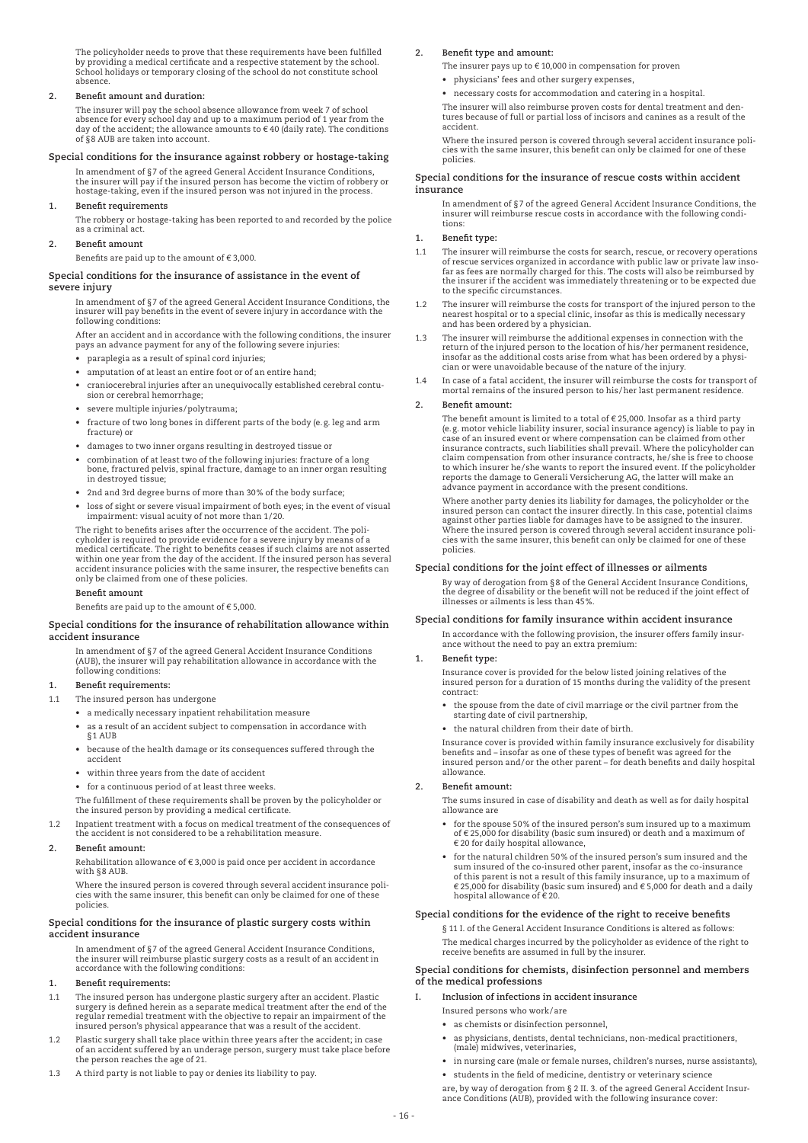The policyholder needs to prove that these requirements have been fulfilled by providing a medical certificate and a respective statement by the school. School holidays or temporary closing of the school do not constitute school absence.

#### **2. Benefit amount and duration:**

 The insurer will pay the school absence allowance from week 7 of school absence for every school day and up to a maximum period of 1 year from the day of the accident; the allowance amounts to  $\epsilon$  40 (daily rate). The conditions of §8 AUB are taken into account.

#### **Special conditions for the insurance against robbery or hostage-taking**

 In amendment of §7 of the agreed General Accident Insurance Conditions, the insurer will pay if the insured person has become the victim of robbery or hostage-taking, even if the insured person was not injured in the process.

### **1. Benefit requirements**

 The robbery or hostage-taking has been reported to and recorded by the police as a criminal act.

## **2. Benefit amount**

Benefits are paid up to the amount of  $\epsilon$  3,000.

### **Special conditions for the insurance of assistance in the event of severe injury**

 In amendment of §7 of the agreed General Accident Insurance Conditions, the insurer will pay benefits in the event of severe injury in accordance with the following conditions:

 After an accident and in accordance with the following conditions, the insurer pays an advance payment for any of the following severe injuries:

- paraplegia as a result of spinal cord injuries;
- amputation of at least an entire foot or of an entire hand;
- craniocerebral injuries after an unequivocally established cerebral contusion or cerebral hemorrhage;
- severe multiple injuries/polytrauma;
- fracture of two long bones in different parts of the body (e.g. leg and arm fracture) or
- damages to two inner organs resulting in destroyed tissue or
- combination of at least two of the following injuries: fracture of a long bone, fractured pelvis, spinal fracture, damage to an inner organ resulting in destroyed tissue;
	- 2nd and 3rd degree burns of more than 30% of the body surface;
	- loss of sight or severe visual impairment of both eyes; in the event of visual impairment: visual acuity of not more than 1/20.

 The right to benefits arises after the occurrence of the accident. The policyholder is required to provide evidence for a severe injury by means of a medical certificate. The right to benefits ceases if such claims are not asserted within one year from the day of the accident. If the insured person has several accident insurance policies with the same insurer, the respective benefits can only be claimed from one of these policies.

#### **Benefit amount**

Benefits are paid up to the amount of € 5,000.

#### **Special conditions for the insurance of rehabilitation allowance within accident insurance**

 In amendment of §7 of the agreed General Accident Insurance Conditions (AUB), the insurer will pay rehabilitation allowance in accordance with the following conditions:

#### **1. Benefit requirements:**

#### 1.1 The insured person has undergone

- a medically necessary inpatient rehabilitation measure
- as a result of an accident subject to compensation in accordance with §1 AUB
	- because of the health damage or its consequences suffered through the accident
	- within three years from the date of accident
	- for a continuous period of at least three weeks.

 The fulfillment of these requirements shall be proven by the policyholder or the insured person by providing a medical certificate.

1.2 Inpatient treatment with a focus on medical treatment of the consequences of the accident is not considered to be a rehabilitation measure.

#### **2. Benefit amount:**

Rehabilitation allowance of  $\epsilon$  3,000 is paid once per accident in accordance with §8 AUB.

 Where the insured person is covered through several accident insurance poli-cies with the same insurer, this benefit can only be claimed for one of these policies.

#### **Special conditions for the insurance of plastic surgery costs within accident insurance**

 In amendment of §7 of the agreed General Accident Insurance Conditions, the insurer will reimburse plastic surgery costs as a result of an accident in accordance with the following conditions:

### **1. Benefit requirements:**

- 1.1 The insured person has undergone plastic surgery after an accident. Plastic surgery is defined herein as a separate medical treatment after the end of the regular remedial treatment with the objective to repair an impairment of the insured person's physical appearance that was a result of the accident.
- 1.2 Plastic surgery shall take place within three years after the accident; in case of an accident suffered by an underage person, surgery must take place before the person reaches the age of 21.
- 1.3 A third party is not liable to pay or denies its liability to pay.

### **2. Benefit type and amount:**

The insurer pays up to  $\epsilon$  10,000 in compensation for proven

- physicians' fees and other surgery expenses,
- necessary costs for accommodation and catering in a hospital.

 The insurer will also reimburse proven costs for dental treatment and dentures because of full or partial loss of incisors and canines as a result of the accident.

 Where the insured person is covered through several accident insurance policies with the same insurer, this benefit can only be claimed for one of these policies.

#### **Special conditions for the insurance of rescue costs within accident insurance**

 In amendment of §7 of the agreed General Accident Insurance Conditions, the insurer will reimburse rescue costs in accordance with the following conditions:

### **1. Benefit type:**

- 1.1 The insurer will reimburse the costs for search, rescue, or recovery operations of rescue services organized in accordance with public law or private law insofar as fees are normally charged for this. The costs will also be reimbursed by the insurer if the accident was immediately threatening or to be expected due to the specific circumstances.
- 1.2 The insurer will reimburse the costs for transport of the injured person to the nearest hospital or to a special clinic, insofar as this is medically necessary and has been ordered by a physician.
- 1.3 The insurer will reimburse the additional expenses in connection with the return of the injured person to the location of his/her permanent residence, insofar as the additional costs arise from what has been ordered by a physician or were unavoidable because of the nature of the injury.
- 1.4 In case of a fatal accident, the insurer will reimburse the costs for transport of mortal remains of the insured person to his/her last permanent residence.

#### **2. Benefit amount:**

The benefit amount is limited to a total of  $\epsilon$  25,000. Insofar as a third party (e.g. motor vehicle liability insurer, social insurance agency) is liable to pay in case of an insured event or where compensation can be claimed from other insurance contracts, such liabilities shall prevail. Where the policyholder can claim compensation from other insurance contracts, he/she is free to choose to which insurer he/she wants to report the insured event. If the policyholder<br>reports the damage to Generali Versicherung AG, the latter will make an<br>advance payment in accordance with the present conditions.

 Where another party denies its liability for damages, the policyholder or the insured person can contact the insurer directly. In this case, potential claims<br>against other parties liable for damages have to be assigned to the insurer.<br>Where the insured person is covered through several accident insu cies with the same insurer, this benefit can only be claimed for one of these policies.

#### **Special conditions for the joint effect of illnesses or ailments**

 By way of derogation from §8 of the General Accident Insurance Conditions, the degree of disability or the benefit will not be reduced if the joint effect of illnesses or ailments is less than 45%.

#### **Special conditions for family insurance within accident insurance**

 In accordance with the following provision, the insurer offers family insurance without the need to pay an extra premium:

#### **1. Benefit type:**

 Insurance cover is provided for the below listed joining relatives of the insured person for a duration of 15 months during the validity of the present contract:

- the spouse from the date of civil marriage or the civil partner from the starting date of civil partnership,
- the natural children from their date of birth.

 Insurance cover is provided within family insurance exclusively for disability benefits and – insofar as one of these types of benefit was agreed for the insured person and/or the other parent – for death benefits and daily hospital allowance.

#### **2. Benefit amount:**

 The sums insured in case of disability and death as well as for daily hospital allowance are

- for the spouse 50% of the insured person's sum insured up to a maximum of € 25,000 for disability (basic sum insured) or death and a maximum of € 20 for daily hospital allowance,
- for the natural children 50% of the insured person's sum insured and the sum insured of the co-insured other parent, insofar as the co-insurance of this parent is not a result of this family insurance, up to a maximum of € 25,000 for disability (basic sum insured) and € 5,000 for death and a daily hospital allowance of € 20.

### **Special conditions for the evidence of the right to receive benefits**

 § 11 I. of the General Accident Insurance Conditions is altered as follows: The medical charges incurred by the policyholder as evidence of the right to receive benefits are assumed in full by the insurer.

#### **Special conditions for chemists, disinfection personnel and members of the medical professions**

- **I. Inclusion of infections in accident insurance**
	- Insured persons who work/are
	- as chemists or disinfection personnel,
	- as physicians, dentists, dental technicians, non-medical practitioners, (male) midwives, veterinaries,
	- in nursing care (male or female nurses, children's nurses, nurse assistants), • students in the field of medicine, dentistry or veterinary science
- are, by way of derogation from § 2 II. 3. of the agreed General Accident Insur-ance Conditions (AUB), provided with the following insurance cover: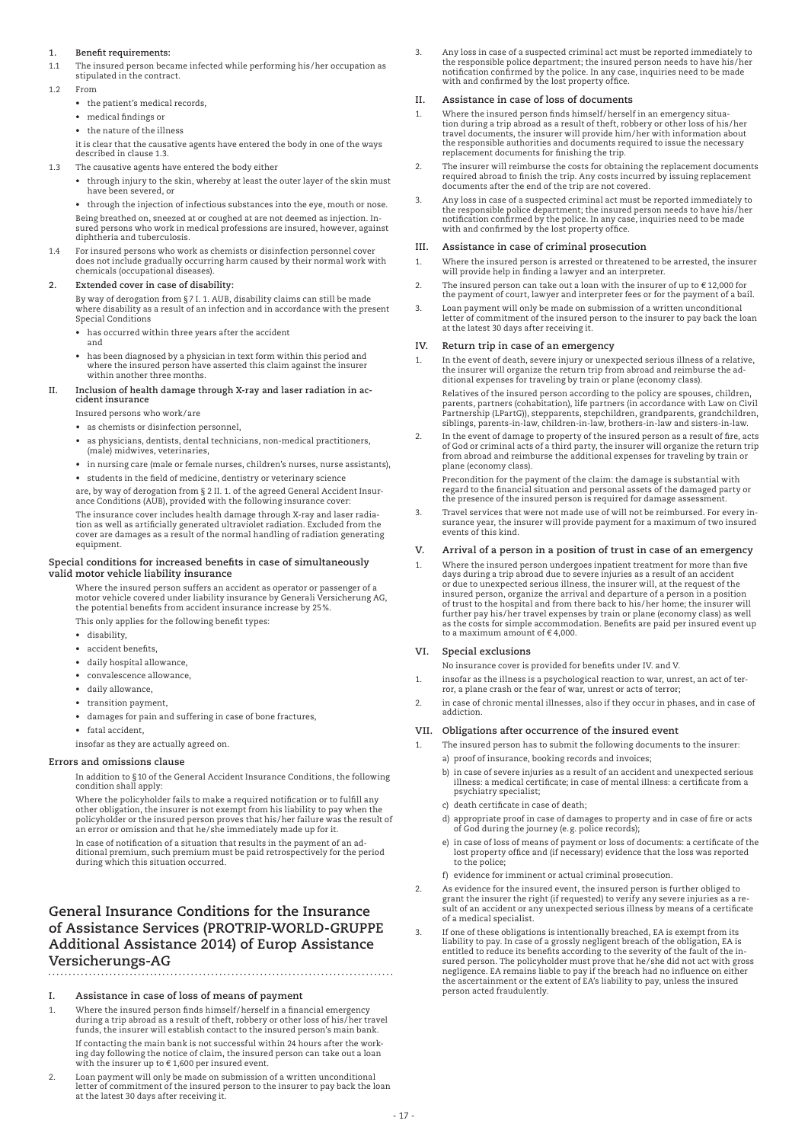### **1. Benefit requirements:**

1.1 The insured person became infected while performing his/her occupation as stipulated in the contract.

- 1.2 From
	- the patient's medical records
	- medical findings or
	- the nature of the illness

 it is clear that the causative agents have entered the body in one of the ways described in clause 1.3.

- 1.3 The causative agents have entered the body either
	- through injury to the skin, whereby at least the outer layer of the skin must have been severed, or

 • through the injection of infectious substances into the eye, mouth or nose. Being breathed on, sneezed at or coughed at are not deemed as injection. Insums predimed on, processed at or coagried at the not deemed as injection. In<br>sured persons who work in medical professions are insured, however, against diphtheria and tuberculosis.

For insured persons who work as chemists or disinfection personnel cover does not include gradually occurring harm caused by their normal work with chemicals (occupational diseases).

#### **2. Extended cover in case of disability:**

 By way of derogation from §7 I. 1. AUB, disability claims can still be made where disability as a result of an infection and in accordance with the present Special Conditions

- has occurred within three years after the accident and
- has been diagnosed by a physician in text form within this period and where the insured person have asserted this claim against the insurer within another three months.

#### **II. Inclusion of health damage through X-ray and laser radiation in accident insurance**

Insured persons who work/are

- as chemists or disinfection personnel.
- as physicians, dentists, dental technicians, non-medical practitioners, (male) midwives, veterinaries,
- in nursing care (male or female nurses, children's nurses, nurse assistants), • students in the field of medicine, dentistry or veterinary science

are, by way of derogation from § 2 II. 1. of the agreed General Accident Insur-ance Conditions (AUB), provided with the following insurance cover:

 The insurance cover includes health damage through X-ray and laser radiation as well as artificially generated ultraviolet radiation. Excluded from the cover are damages as a result of the normal handling of radiation generating equipment.

#### **Special conditions for increased benefits in case of simultaneously valid motor vehicle liability insurance**

Where the insured person suffers an accident as operator or passenger of a motor vehicle covered under liability insurance by Generali Versicherung AG, the potential benefits from accident insurance increase by 25%.

This only applies for the following benefit types:

- disability.
- accident benefits
- daily hospital allowance,
- convalescence allowance.
- daily allowance,
- transition payment,
- damages for pain and suffering in case of bone fractures,
- fatal accident,

insofar as they are actually agreed on.

### **Errors and omissions clause**

 In addition to §10 of the General Accident Insurance Conditions, the following condition shall apply:

 Where the policyholder fails to make a required notification or to fulfill any other obligation, the insurer is not exempt from his liability to pay when the policyholder or the insured person proves that his/her failure was the result of an error or omission and that he/she immediately made up for it.

 In case of notification of a situation that results in the payment of an additional premium, such premium must be paid retrospectively for the period during which this situation occurred.

## **General Insurance Conditions for the Insurance of Assistance Services (PROTRIP-WORLD-GRUPPE Additional Assistance 2014) of Europ Assistance Versicherungs-AG**

- **I. Assistance in case of loss of means of payment**
- 1. Where the insured person finds himself/herself in a financial emergency during a trip abroad as a result of theft, robbery or other loss of his/her travel funds, the insurer will establish contact to the insured person's main bank. If contacting the main bank is not successful within 24 hours after the working day following the notice of claim, the insured person can take out a loan with the insurer up to € 1,600 per insured event.
- 2. Loan payment will only be made on submission of a written unconditional letter of commitment of the insured person to the insurer to pay back the loan at the latest 30 days after receiving it.

3. Any loss in case of a suspected criminal act must be reported immediately to the responsible police department; the insured person needs to have his/her<br>notification confirmed by the police. In any case, inquiries need to be made with and confirmed by the lost property office.

#### **II. Assistance in case of loss of documents**

- 1. Where the insured person finds himself/herself in an emergency situation during a trip abroad as a result of theft, robbery or other loss of his/her travel documents, the insurer will provide him/her with information about the responsible authorities and documents required to issue the necessary replacement documents for finishing the trip.
- 2. The insurer will reimburse the costs for obtaining the replacement documents required abroad to finish the trip. Any costs incurred by issuing replacement documents after the end of the trip are not covered.
- 3. Any loss in case of a suspected criminal act must be reported immediately to the responsible police department; the insured person needs to have his/her<br>notification confirmed by the police. In any case, inquiries need to be made with and confirmed by the lost property office.

#### **III. Assistance in case of criminal prosecution**

- 1. Where the insured person is arrested or threatened to be arrested, the insurer will provide help in finding a lawyer and an interpreter.
- 2. The insured person can take out a loan with the insurer of up to  $\epsilon$  12,000 for the payment of court, lawyer and interpreter fees or for the payment of a bail.
- 3. Loan payment will only be made on submission of a written unconditional letter of commitment of the insured person to the insurer to pay back the loan at the latest 30 days after receiving it.

#### **IV. Return trip in case of an emergency**

1. In the event of death, severe injury or unexpected serious illness of a relative, the insurer will organize the return trip from abroad and reimburse the ad-ditional expenses for traveling by train or plane (economy class).

 Relatives of the insured person according to the policy are spouses, children, parents, partners (cohabitation), life partners (in accordance with Law on Civil Partnership (LPartG)), stepparents, stepchildren, grandparents, grandchildren, siblings, parents-in-law, children-in-law, brothers-in-law and sisters-in-law.

2. In the event of damage to property of the insured person as a result of fire, acts of God or criminal acts of a third party, the insurer will organize the return trip from abroad and reimburse the additional expenses for traveling by train or plane (economy class).

 Precondition for the payment of the claim: the damage is substantial with regard to the financial situation and personal assets of the damaged party or the presence of the insured person is required for damage assessment.

3. Travel services that were not made use of will not be reimbursed. For every in-surance year, the insurer will provide payment for a maximum of two insured events of this kind.

### **V. Arrival of a person in a position of trust in case of an emergency**

1. Where the insured person undergoes inpatient treatment for more than five days during a trip abroad due to severe injuries as a result of an accident or due to unexpected serious illness, the insurer will, at the request of the insured person, organize the arrival and departure of a person in a position of trust to the hospital and from there back to his/her home; the insurer will further pay his/her travel expenses by train or plane (economy class) as well as the costs for simple accommodation. Benefits are paid per insured event up to a maximum amount of  $\epsilon$  4,000.

#### **VI. Special exclusions**

No insurance cover is provided for benefits under IV. and V.

- 1. insofar as the illness is a psychological reaction to war, unrest, an act of terror, a plane crash or the fear of war, unrest or acts of terror;
- 2. in case of chronic mental illnesses, also if they occur in phases, and in case of addiction.

#### **VII. Obligations after occurrence of the insured event**

- 1. The insured person has to submit the following documents to the insurer: a) proof of insurance, booking records and invoices;
	- b) in case of severe injuries as a result of an accident and unexpected serious illness: a medical certificate; in case of mental illness: a certificate from a psychiatry specialist;
	- c) death certificate in case of death;
	- d) appropriate proof in case of damages to property and in case of fire or acts of God during the journey (e.g. police records);
	- e) in case of loss of means of payment or loss of documents: a certificate of the lost property office and (if necessary) evidence that the loss was reported to the police;
	- f) evidence for imminent or actual criminal prosecution.
- 2. As evidence for the insured event, the insured person is further obliged to grant the insurer the right (if requested) to verify any severe injuries as a result of an accident or any unexpected serious illness by means of a certificate of a medical specialist.
- 3. If one of these obligations is intentionally breached, EA is exempt from its liability to pay. In case of a grossly negligent breach of the obligation, EA is entitled to reduce its benefits according to the severity of the fault of the insured person. The policyholder must prove that he/she did not act with gross negligence. EA remains liable to pay if the breach had no influence on either the ascertainment or the extent of EA's liability to pay, unless the insured person acted fraudulently.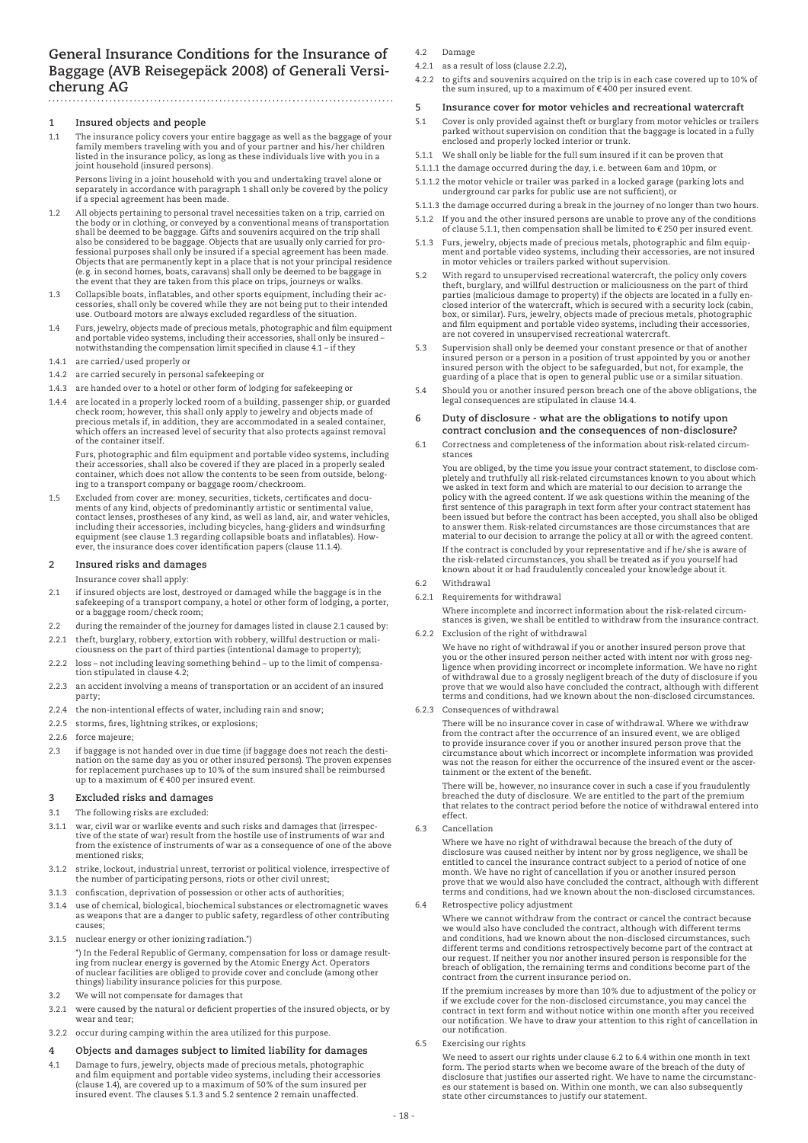### **General Insurance Conditions for the Insurance of Baggage (AVB Reisegepäck 2008) of Generali Versicherung AG**

### **1 Insured objects and people**

1.1 The insurance policy covers your entire baggage as well as the baggage of your family members traveling with you and of your partner and his/her children listed in the insurance policy, as long as these individuals live with you in a joint household (insured persons).

 Persons living in a joint household with you and undertaking travel alone or separately in accordance with paragraph 1 shall only be covered by the policy if a special agreement has been made.

- 1.2 All objects pertaining to personal travel necessities taken on a trip, carried on the body or in clothing, or conveyed by a conventional means of transportation shall be deemed to be baggage. Gifts and souvenirs acquired on the trip shall also be considered to be baggage. Objects that are usually only carried for pro-<br>fessional purposes shall only be insured if a special agreement has been made.<br>Objects that are permanently kept in a place that is not your (e.g. in second homes, boats, caravans) shall only be deemed to be baggage in the event that they are taken from this place on trips, journeys or walks.
- 1.3 Collapsible boats, inflatables, and other sports equipment, including their ac-cessories, shall only be covered while they are not being put to their intended use. Outboard motors are always excluded regardless of the situation.
- 1.4 Furs, jewelry, objects made of precious metals, photographic and film equipment and portable video systems, including their accessories, shall only be insured – notwithstanding the compensation limit specified in clause 4.1 – if they
- 1.4.1 are carried/used properly or
- 1.4.2 are carried securely in personal safekeeping or
- 1.4.3 are handed over to a hotel or other form of lodging for safekeeping or
- 1.4.4 are located in a properly locked room of a building, passenger ship, or guarded check room; however, this shall only apply to jewelry and objects made of precious metals if, in addition, they are accommodated in a sealed container, which offers an increased level of security that also protects against removal of the container itself.

 Furs, photographic and film equipment and portable video systems, including their accessories, shall also be covered if they are placed in a properly sealed container, which does not allow the contents to be seen from outside, belonging to a transport company or baggage room/checkroom.

1.5 Excluded from cover are: money, securities, tickets, certificates and documents of any kind, objects of predominantly artistic or sentimental value,<br>contact lenses, prostheses of any kind, as well as land, air, and water vehicles,<br>including their accessories, including bicycles, hang-gliders and ever, the insurance does cover identification papers (clause 11.1.4).

#### **2 Insured risks and damages**

Insurance cover shall apply:

- 2.1 if insured objects are lost, destroyed or damaged while the baggage is in the safekeeping of a transport company, a hotel or other form of lodging, a porter, or a baggage room/check room;
- 2.2 during the remainder of the journey for damages listed in clause 2.1 caused by: 2.2.1 theft, burglary, robbery, extortion with robbery, willful destruction or mali-
- ciousness on the part of third parties (intentional damage to property); 2.2.2 loss – not including leaving something behind – up to the limit of compensation stipulated in clause 4.2;
- 2.2.3 an accident involving a means of transportation or an accident of an insured party;
- 2.2.4 the non-intentional effects of water, including rain and snow;
- 2.2.5 storms, fires, lightning strikes, or explosions;
- 2.2.6 force majeure;
- 2.3 if baggage is not handed over in due time (if baggage does not reach the destination on the same day as you or other insured persons). The proven expenses for replacement purchases up to 10% of the sum insured shall be reimbursed up to a maximum of  $\epsilon$  400 per insured event.

#### **3 Excluded risks and damages**

- 3.1 The following risks are excluded:
- 3.1.1 war, civil war or warlike events and such risks and damages that (irrespective of the state of war) result from the hostile use of instruments of war and from the existence of instruments of war as a consequence of one of the above mentioned risks;
- 3.1.2 strike, lockout, industrial unrest, terrorist or political violence, irrespective of the number of participating persons, riots or other civil unrest;
- 3.1.3 confiscation, deprivation of possession or other acts of authorities;
- 3.1.4 use of chemical, biological, biochemical substances or electromagnetic waves as weapons that are a danger to public safety, regardless of other contributing causes;
- 3.1.5 nuclear energy or other ionizing radiation.\*)

 \*) In the Federal Republic of Germany, compensation for loss or damage resulting from nuclear energy is governed by the Atomic Energy Act. Operators of nuclear facilities are obliged to provide cover and conclude (among other things) liability insurance policies for this purpose.

- 3.2 We will not compensate for damages that
- 3.2.1 were caused by the natural or deficient properties of the insured objects, or by wear and tear;
- 3.2.2 occur during camping within the area utilized for this purpose.

#### **4 Objects and damages subject to limited liability for damages**

4.1 Damage to furs, jewelry, objects made of precious metals, photographic and film equipment and portable video systems, including their accessories (clause 1.4), are covered up to a maximum of 50% of the sum insured per insured event. The clauses 5.1.3 and 5.2 sentence 2 remain unaffected.

4.2 Damage

- 4.2.1 as a result of loss (clause 2.2.2),
- 4.2.2 to gifts and souvenirs acquired on the trip is in each case covered up to 10% of the sum insured, up to a maximum of  $\epsilon$  400 per insured event.

#### **5 Insurance cover for motor vehicles and recreational watercraft**

- 5.1 Cover is only provided against theft or burglary from motor vehicles or trailers parked without supervision on condition that the baggage is located in a fully enclosed and properly locked interior or trunk.
- 5.1.1 We shall only be liable for the full sum insured if it can be proven that
- 5.1.1.1 the damage occurred during the day, i.e. between 6am and 10pm, or
- 5.1.1.2 the motor vehicle or trailer was parked in a locked garage (parking lots and underground car parks for public use are not sufficient), or
- 5.1.1.3 the damage occurred during a break in the journey of no longer than two hours. 5.1.2 If you and the other insured persons are unable to prove any of the conditions
- of clause 5.1.1, then compensation shall be limited to  $\epsilon$  250 per insured event.
- 5.1.3 Furs, jewelry, objects made of precious metals, photographic and film equipment and portable video systems, including their accessories, are not insured in motor vehicles or trailers parked without supervision.
- 5.2 With regard to unsupervised recreational watercraft, the policy only covers theft, burglary, and willful destruction or maliciousness on the part of third parties (malicious damage to property) if the objects are located in a fully en-closed interior of the watercraft, which is secured with a security lock (cabin, box, or similar). Furs, jewelry, objects made of precious metals, photographic and film equipment and portable video systems, including their accessories, are not covered in unsupervised recreational watercraft.
- 5.3 Supervision shall only be deemed your constant presence or that of another insured person or a person in a position of trust appointed by you or another insured person with the object to be safeguarded, but not, for example, the guarding of a place that is open to general public use or a similar situation.
- 5.4 Should you or another insured person breach one of the above obligations, the legal consequences are stipulated in clause 14.4.

#### **6 Duty of disclosure - what are the obligations to notify upon contract conclusion and the consequences of non-disclosure?**

6.1 Correctness and completeness of the information about risk-related circumstances

 You are obliged, by the time you issue your contract statement, to disclose com-pletely and truthfully all risk-related circumstances known to you about which we asked in text form and which are material to our decision to arrange the policy with the agreed content. If we ask questions within the meaning of the first sentence of this paragraph in text form after your contract statement has been issued but before the contract has been accepted, you shall also be obliged to answer them. Risk-related circumstances are those circumstances that are material to our decision to arrange the policy at all or with the agreed content. If the contract is concluded by your representative and if he/she is aware of the risk-related circumstances, you shall be treated as if you yourself had known about it or had fraudulently concealed your knowledge about it.

- 6.2 Withdrawal
- 6.2.1 Requirements for withdrawal
	- Where incomplete and incorrect information about the risk-related circumstances is given, we shall be entitled to withdraw from the insurance contract.
- 6.2.2 Exclusion of the right of withdrawal

 We have no right of withdrawal if you or another insured person prove that you or the other insured person neither acted with intent nor with gross neg-ligence when providing incorrect or incomplete information. We have no right of withdrawal due to a grossly negligent breach of the duty of disclosure if you<br>prove that we would also have concluded the contract, although with different<br>terms and conditions, had we known about the non-disclosed circ

6.2.3 Consequences of withdrawal

 There will be no insurance cover in case of withdrawal. Where we withdraw from the contract after the occurrence of an insured event, we are obliged to provide insurance cover if you or another insured person prove that the circumstance about which incorrect or incomplete information was provided was not the reason for either the occurrence of the insured event or the ascertainment or the extent of the benefit.

 There will be, however, no insurance cover in such a case if you fraudulently breached the duty of disclosure. We are entitled to the part of the premium that relates to the contract period before the notice of withdrawal entered into effect.

6.3 Cancellation

 Where we have no right of withdrawal because the breach of the duty of disclosure was caused neither by intent nor by gross negligence, we shall be entitled to cancel the insurance contract subject to a period of notice of one month. We have no right of cancellation if you or another insured person prove that we would also have concluded the contract, although with different terms and conditions, had we known about the non-disclosed circumstances.

6.4 Retrospective policy adjustment

 Where we cannot withdraw from the contract or cancel the contract because we would also have concluded the contract, although with different terms and conditions, had we known about the non-disclosed circumstances, such different terms and conditions retrospectively become part of the contract at our request. If neither you nor another insured person is responsible for the breach of obligation, the remaining terms and conditions become part of the contract from the current insurance period on.

 If the premium increases by more than 10% due to adjustment of the policy or if we exclude cover for the non-disclosed circumstance, you may cancel the contract in text form and without notice within one month after you received our notification. We have to draw your attention to this right of cancellation in our notification.

6.5 Exercising our rights

 We need to assert our rights under clause 6.2 to 6.4 within one month in text form. The period starts when we become aware of the breach of the duty of disclosure that justifies our asserted right. We have to name the circumstances our statement is based on. Within one month, we can also subsequently state other circumstances to justify our statement.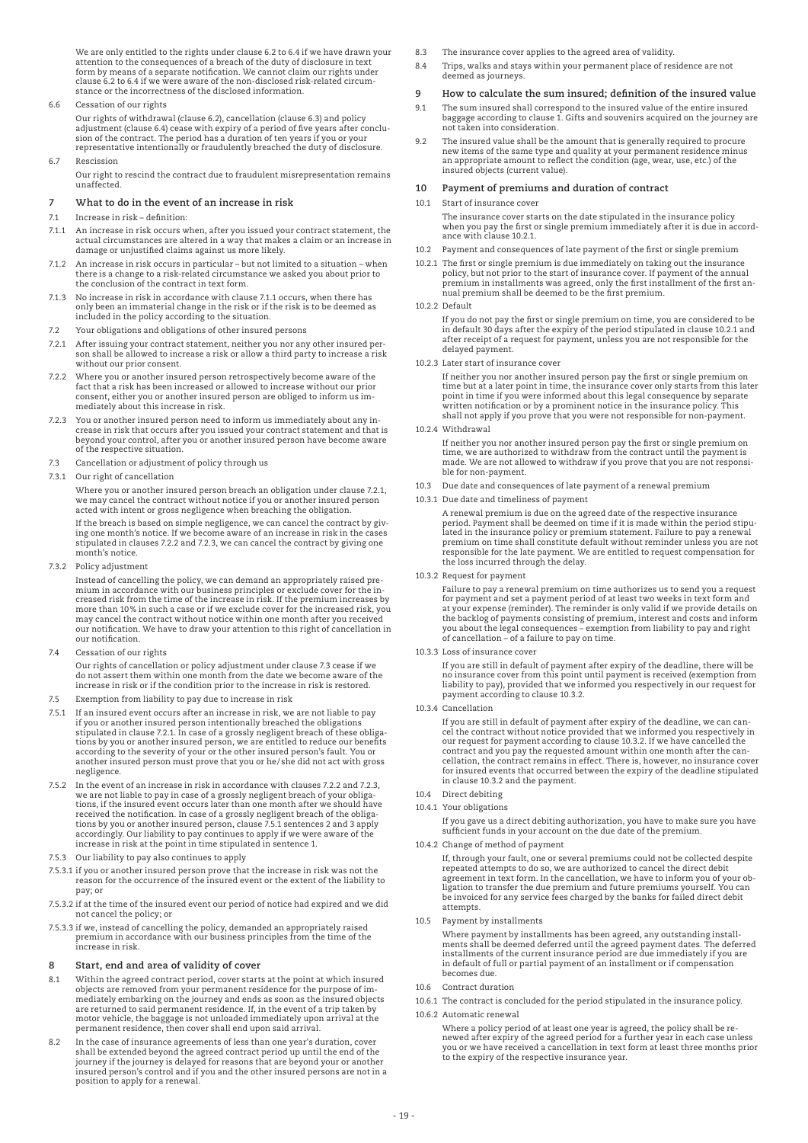We are only entitled to the rights under clause 6.2 to 6.4 if we have drawn your<br>attention to the consequences of a breach of the duty of disclosure in text<br>form by means of a separate notification. We cannot claim our ri stance or the incorrectness of the disclosed information.

### 6.6 Cessation of our rights

 Our rights of withdrawal (clause 6.2), cancellation (clause 6.3) and policy adjustment (clause 6.4) cease with expiry of a period of five years after conclu-<br>sion of the contract. The period has a duration of ten years if you or your<br>representative intentionally or fraudulently breached the duty o

#### 6.7 Rescission

 Our right to rescind the contract due to fraudulent misrepresentation remains unaffected.

### **7 What to do in the event of an increase in risk**

### 7.1 Increase in risk – definition:

- 7.1.1 An increase in risk occurs when, after you issued your contract statement, the actual circumstances are altered in a way that makes a claim or an increase in damage or unjustified claims against us more likely.
- 7.1.2 An increase in risk occurs in particular but not limited to a situation when there is a change to a risk-related circumstance we asked you about prior to the conclusion of the contract in text form.
- 7.1.3 No increase in risk in accordance with clause 7.1.1 occurs, when there has only been an immaterial change in the risk or if the risk is to be deemed as included in the policy according to the situation.
- 7.2 Your obligations and obligations of other insured persons
- 7.2.1 After issuing your contract statement, neither you nor any other insured per-son shall be allowed to increase a risk or allow a third party to increase a risk without our prior consent.
- 7.2.2 Where you or another insured person retrospectively become aware of the fact that a risk has been increased or allowed to increase without our prior consent, either you or another insured person are obliged to inform mediately about this increase in risk.
- 7.2.3 You or another insured person need to inform us immediately about any increase in risk that occurs after you issued your contract statement and that is beyond your control, after you or another insured person have become aware of the respective situation.
- 7.3 Cancellation or adjustment of policy through us
- 7.3.1 Our right of cancellation

 Where you or another insured person breach an obligation under clause 7.2.1, we may cancel the contract without notice if you or another insured person acted with intent or gross negligence when breaching the obligation.

 If the breach is based on simple negligence, we can cancel the contract by giv-ing one month's notice. If we become aware of an increase in risk in the cases stipulated in clauses 7.2.2 and 7.2.3, we can cancel the contract by giving one month's notice.

7.3.2 Policy adjustment

 Instead of cancelling the policy, we can demand an appropriately raised premium in accordance with our business principles or exclude cover for the in-creased risk from the time of the increase in risk. If the premium increases by more than 10% in such a case or if we exclude cover for the increased risk, you may cancel the contract without notice within one month after you received our notification. We have to draw your attention to this right of cancellation in our notification.

7.4 Cessation of our rights

 Our rights of cancellation or policy adjustment under clause 7.3 cease if we do not assert them within one month from the date we become aware of the increase in risk or if the condition prior to the increase in risk is restored.

- 7.5 Exemption from liability to pay due to increase in risk
- 7.5.1 If an insured event occurs after an increase in risk, we are not liable to pay if you or another insured person intentionally breached the obligations stipulated in clause 7.2.1. In case of a grossly negligent breach of these obligations by you or another insured person, we are entitled to reduce our benefits according to the severity of your or the other insured person's fault. You or another insured person must prove that you or he/she did not act with gross negligence.
- 7.5.2 In the event of an increase in risk in accordance with clauses 7.2.2 and 7.2.3, we are not liable to pay in case of a grossly negligent breach of your obliga-tions, if the insured event occurs later than one month after we should have received the notification. In case of a grossly negligent breach of the obligations by you or another insured person, clause 7.5.1 sentences 2 and 3 apply accordingly. Our liability to pay continues to apply if we were aware of the increase in risk at the point in time stipulated in sentence 1.
- 7.5.3 Our liability to pay also continues to apply
- 7.5.3.1 if you or another insured person prove that the increase in risk was not the reason for the occurrence of the insured event or the extent of the liability to pay; or
- 7.5.3.2 if at the time of the insured event our period of notice had expired and we did not cancel the policy; or
- 7.5.3.3 if we, instead of cancelling the policy, demanded an appropriately raised premium in accordance with our business principles from the time of the increase in risk.

# **8 Start, end and area of validity of cover**

- Within the agreed contract period, cover starts at the point at which insured objects are removed from your permanent residence for the purpose of immediately embarking on the journey and ends as soon as the insured objects are returned to said permanent residence. If, in the event of a trip taken by motor vehicle, the baggage is not unloaded immediately upon arrival at the permanent residence, then cover shall end upon said arrival.
- 8.2 In the case of insurance agreements of less than one year's duration, cover shall be extended beyond the agreed contract period up until the end of the journey if the journey is delayed for reasons that are beyond your or another insured person's control and if you and the other insured persons are not in a position to apply for a renewal.
- 8.3 The insurance cover applies to the agreed area of validity.
- 8.4 Trips, walks and stays within your permanent place of residence are not deemed as journeys.

#### **9 How to calculate the sum insured; definition of the insured value**

- 9.1 The sum insured shall correspond to the insured value of the entire insured baggage according to clause 1. Gifts and souvenirs acquired on the journey are not taken into consideration.
- 9.2 The insured value shall be the amount that is generally required to procure new items of the same type and quality at your permanent residence minus an appropriate amount to reflect the condition (age, wear, use, etc.) of the insured objects (current value).

### **10 Payment of premiums and duration of contract**

#### 10.1 Start of insurance cover

 The insurance cover starts on the date stipulated in the insurance policy when you pay the first or single premium immediately after it is due in accordance with clause 10.2.1.

- 10.2 Payment and consequences of late payment of the first or single premium
- 10.2.1 The first or single premium is due immediately on taking out the insurance policy, but not prior to the start of insurance cover. If payment of the annual premium in installments was agreed, only the first installment of the first annual premium shall be deemed to be the first premium.

#### 10.2.2 Default

 If you do not pay the first or single premium on time, you are considered to be in default 30 days after the expiry of the period stipulated in clause 10.2.1 and after receipt of a request for payment, unless you are not responsible for the delayed payment.

### 10.2.3 Later start of insurance cover

 If neither you nor another insured person pay the first or single premium on time but at a later point in time, the insurance cover only starts from this later point in time if you were informed about this legal consequence by separate written notification or by a prominent notice in the insurance policy. This shall not apply if you prove that you were not responsible for non-payment.

#### 10.2.4 Withdrawal

 If neither you nor another insured person pay the first or single premium on time, we are authorized to withdraw from the contract until the payment is made. We are not allowed to withdraw if you prove that you are not responsible for non-payment.

- 10.3 Due date and consequences of late payment of a renewal premium
- 10.3.1 Due date and timeliness of payment

A renewal premium is due on the agreed date of the respective insurance<br>period. Payment shall be deemed on time if it is made within the period stipu<br>lated in the insurance policy or premium statement. Failure to pay a ren premium on time shall constitute default without reminder unless you are not responsible for the late payment. We are entitled to request compensation for the loss incurred through the delay.

10.3.2 Request for payment

Failure to pay a renewal premium on time authorizes us to send you a request<br>for payment and set a payment period of at least two weeks in text form and<br>at your expense (reminder). The reminder is only valid if we provide the backlog of payments consisting of premium, interest and costs and inform you about the legal consequences – exemption from liability to pay and right of cancellation – of a failure to pay on time.

10.3.3 Loss of insurance cover

If you are still in default of payment after expiry of the deadline, there will be<br>no insurance cover from this point until payment is received (exemption from<br>liability to pay), provided that we informed you respectively

10.3.4 Cancellation

If you are still in default of payment after expiry of the deadline, we can cancel the contract without notice provided that we informed you respectively in our request for payment according to clause 10.3.2. If we have ca cellation, the contract remains in effect. There is, however, no insurance cover for insured events that occurred between the expiry of the deadline stipulated in clause 10.3.2 and the payment.

- 10.4 Direct debiting
- 10.4.1 Your obligations

 If you gave us a direct debiting authorization, you have to make sure you have sufficient funds in your account on the due date of the premium.

10.4.2 Change of method of payment

 If, through your fault, one or several premiums could not be collected despite repeated attempts to do so, we are authorized to cancel the direct debit agreement in text form. In the cancellation, we have to inform you of your ob-ligation to transfer the due premium and future premiums yourself. You can be invoiced for any service fees charged by the banks for failed direct debit attempts.

10.5 Payment by installments

 Where payment by installments has been agreed, any outstanding installments shall be deemed deferred until the agreed payment dates. The deferred<br>installments of the current insurance period are due immediately if you are<br>in default of full or partial payment of an installment or if compensa becomes due.

10.6 Contract duration

10.6.1 The contract is concluded for the period stipulated in the insurance policy.

### 10.6.2 Automatic renewal

 Where a policy period of at least one year is agreed, the policy shall be renewed after expiry of the agreed period for a further year in each case unless you or we have received a cancellation in text form at least three months prior to the expiry of the respective insurance year.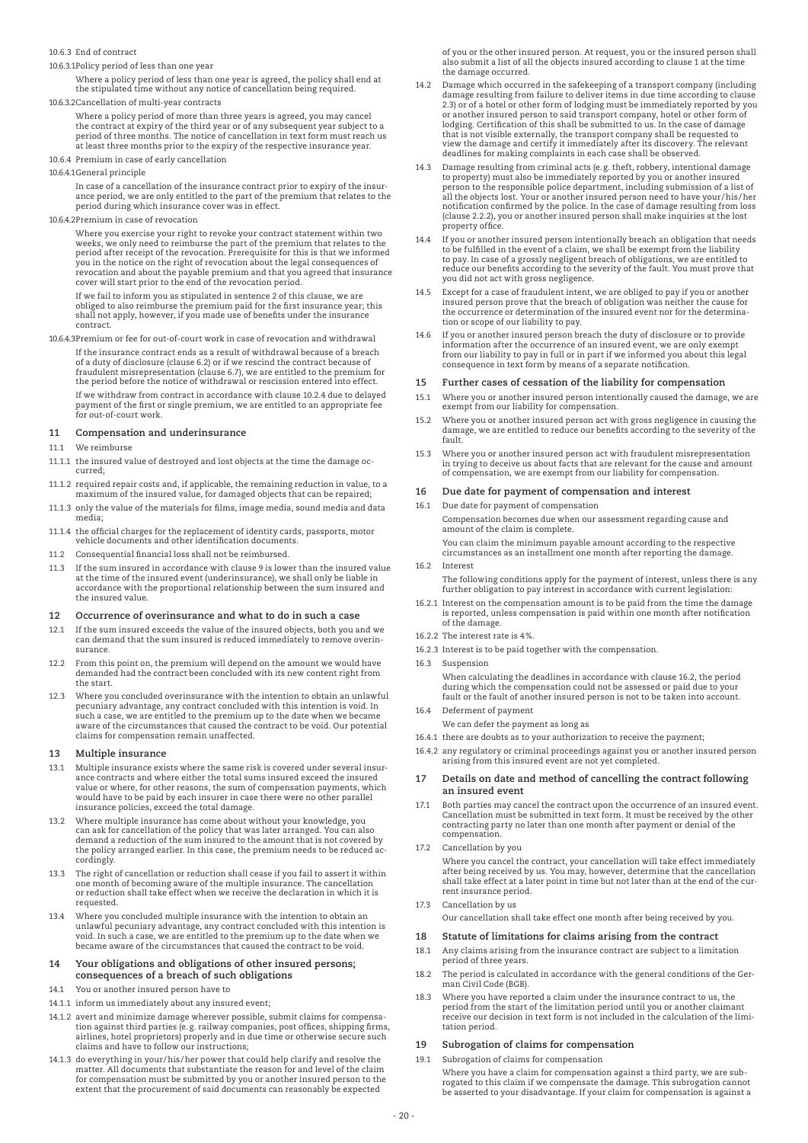### 10.6.3 End of contract

10.6.3.1 Policy period of less than one year

 Where a policy period of less than one year is agreed, the policy shall end at the stipulated time without any notice of cancellation being required.

10.6.3.2 Cancellation of multi-year contracts

 Where a policy period of more than three years is agreed, you may cancel the contract at expiry of the third year or of any subsequent year subject to a period of three months. The notice of cancellation in text form must reach us at least three months prior to the expiry of the respective insurance year.

10.6.4 Premium in case of early cancellation

#### 10.6.4.1 General principle

 In case of a cancellation of the insurance contract prior to expiry of the insurance period, we are only entitled to the part of the premium that relates to the period during which insurance cover was in effect.

10.6.4.2 Premium in case of revocation

 Where you exercise your right to revoke your contract statement within two weeks, we only need to reimburse the part of the premium that relates to the<br>period after receipt of the revocation. Prerequisite for this is that we informed<br>you in the notice on the right of revocation about the legal co revocation and about the payable premium and that you agreed that insurance cover will start prior to the end of the revocation period.

 If we fail to inform you as stipulated in sentence 2 of this clause, we are obliged to also reimburse the premium paid for the first insurance year; this shall not apply, however, if you made use of benefits under the insurance contract.

10.6.4.3 Premium or fee for out-of-court work in case of revocation and withdrawal If the insurance contract ends as a result of withdrawal because of a breach of a duty of disclosure (clause 6.2) or if we rescind the contract because of fraudulent misrepresentation (clause 6.7), we are entitled to the premium for the period before the notice of withdrawal or rescission entered into effect. If we withdraw from contract in accordance with clause 10.2.4 due to delayed payment of the first or single premium, we are entitled to an appropriate fee for out-of-court work.

### **11 Compensation and underinsurance**

#### 11.1 We reimburse

- 11.1.1 the insured value of destroyed and lost objects at the time the damage occurred;
- 11.1.2 required repair costs and, if applicable, the remaining reduction in value, to a maximum of the insured value, for damaged objects that can be repaired;
- 11.1.3 only the value of the materials for films, image media, sound media and data media;
- 11.1.4 the official charges for the replacement of identity cards, passports, motor vehicle documents and other identification documents.
- 11.2 Consequential financial loss shall not be reimbursed.
- 11.3 If the sum insured in accordance with clause 9 is lower than the insured value at the time of the insured event (underinsurance), we shall only be liable in accordance with the proportional relationship between the sum insured and the insured value.

#### **12 Occurrence of overinsurance and what to do in such a case**

- 12.1 If the sum insured exceeds the value of the insured objects, both you and we can demand that the sum insured is reduced immediately to remove overinsurance.
- 12.2 From this point on, the premium will depend on the amount we would have demanded had the contract been concluded with its new content right from the start.
- 12.3 Where you concluded overinsurance with the intention to obtain an unlawful pecuniary advantage, any contract concluded with this intention is void. In such a case, we are entitled to the premium up to the date when we became aware of the circumstances that caused the contract to be void. Our potential claims for compensation remain unaffected.

#### **13 Multiple insurance**

- 13.1 Multiple insurance exists where the same risk is covered under several insur-ance contracts and where either the total sums insured exceed the insured value or where, for other reasons, the sum of compensation payments, which would have to be paid by each insurer in case there were no other parallel insurance policies, exceed the total damage.
- 13.2 Where multiple insurance has come about without your knowledge, you can ask for cancellation of the policy that was later arranged. You can also demand a reduction of the sum insured to the amount that is not covered by the policy arranged earlier. In this case, the premium needs to be reduced accordingly.
- 13.3 The right of cancellation or reduction shall cease if you fail to assert it within one month of becoming aware of the multiple insurance. The cancellation or reduction shall take effect when we receive the declaration in which it is requested.
- 13.4 Where you concluded multiple insurance with the intention to obtain an unlawful pecuniary advantage, any contract concluded with this intention is void. In such a case, we are entitled to the premium up to the date when we became aware of the circumstances that caused the contract to be void.

#### **14 Your obligations and obligations of other insured persons; consequences of a breach of such obligations**

- 14.1 You or another insured person have to
- 14.1.1 inform us immediately about any insured event;
- 14.1.2 avert and minimize damage wherever possible, submit claims for compensation against third parties (e.g. railway companies, post offices, shipping firms, airlines, hotel proprietors) properly and in due time or otherwise secure such claims and have to follow our instructions;
- 14.1.3 do everything in your /his/her power that could help clarify and resolve the matter. All documents that substantiate the reason for and level of the claim for compensation must be submitted by you or another insured person to the extent that the procurement of said documents can reasonably be expected

of you or the other insured person. At request, you or the insured person shall also submit a list of all the objects insured according to clause 1 at the time the damage occurred.

- 14.2 Damage which occurred in the safekeeping of a transport company (including damage resulting from failure to deliver items in due time according to clause 2.3) or of a hotel or other form of lodging must be immediately reported by you<br>or another insured person to said transport company, hotel or other form of<br>lodging. Certification of this shall be submitted to us. In the ca that is not visible externally, the transport company shall be requested to view the damage and certify it immediately after its discovery. The relevant deadlines for making complaints in each case shall be observed.
- 14.3 Damage resulting from criminal acts (e.g. theft, robbery, intentional damage to property) must also be immediately reported by you or another insured<br>person to the responsible police department, including submission of a list of<br>all the objects lost. Your or another insured person need to have your (clause 2.2.2), you or another insured person shall make inquiries at the lost property office.
- If you or another insured person intentionally breach an obligation that needs to be fulfilled in the event of a claim, we shall be exempt from the liability<br>to pay. In case of a grossly negligent breach of obligations, we are entitled to<br>reduce our benefits according to the severity of the fault. Yo you did not act with gross negligence.
- 14.5 Except for a case of fraudulent intent, we are obliged to pay if you or another insured person prove that the breach of obligation was neither the cause for the occurrence or determination of the insured event nor for the determination or scope of our liability to pay.
- If you or another insured person breach the duty of disclosure or to provide information after the occurrence of an insured event, we are only exempt from our liability to pay in full or in part if we informed you about this legal consequence in text form by means of a separate notification.

### **15 Further cases of cessation of the liability for compensation**

- 15.1 Where you or another insured person intentionally caused the damage, we are exempt from our liability for compensation.
- 15.2 Where you or another insured person act with gross negligence in causing the damage, we are entitled to reduce our benefits according to the severity of the fault.
- 15.3 Where you or another insured person act with fraudulent misrepresentation in trying to deceive us about facts that are relevant for the cause and amount of compensation, we are exempt from our liability for compensation.

### **16 Due date for payment of compensation and interest**

16.1 Due date for payment of compensation

 Compensation becomes due when our assessment regarding cause and amount of the claim is complete. You can claim the minimum payable amount according to the respective

circumstances as an installment one month after reporting the damage. 16.2 Interest

The following conditions apply for the payment of interest, unless there is any further obligation to pay interest in accordance with current legislation:

- 16.2.1 Interest on the compensation amount is to be paid from the time the damage is reported, unless compensation is paid within one month after notification of the damage.
- 16.2.2 The interest rate is 4%.
- 16.2.3 Interest is to be paid together with the compensation.
- 16.3 Suspension

 When calculating the deadlines in accordance with clause 16.2, the period during which the compensation could not be assessed or paid due to your fault or the fault of another insured person is not to be taken into account. 16.4 Deferment of payment

- We can defer the payment as long as
- 16.4.1 there are doubts as to your authorization to receive the payment;
- 16.4.2 any regulatory or criminal proceedings against you or another insured person arising from this insured event are not yet completed.
- **17 Details on date and method of cancelling the contract following an insured event**
- 17.1 Both parties may cancel the contract upon the occurrence of an insured event. Cancellation must be submitted in text form. It must be received by the other contracting party no later than one month after payment or denial of the compensation.
- 17.2 Cancellation by you

 Where you cancel the contract, your cancellation will take effect immediately after being received by us. You may, however, determine that the cancellation shall take effect at a later point in time but not later than at the end of the current insurance period.

17.3 Cancellation by us

Our cancellation shall take effect one month after being received by you.

#### **18 Statute of limitations for claims arising from the contract**

- 18.1 Any claims arising from the insurance contract are subject to a limitation period of three years.
- 18.2 The period is calculated in accordance with the general conditions of the German Civil Code (BGB).
- 18.3 Where you have reported a claim under the insurance contract to us, the period from the start of the limitation period until you or another claimant receive our decision in text form is not included in the calculation of the limitation period.

#### **19 Subrogation of claims for compensation**

19.1 Subrogation of claims for compensation

 Where you have a claim for compensation against a third party, we are subrogated to this claim if we compensate the damage. This subrogation cannot be asserted to your disadvantage. If your claim for compensation is against a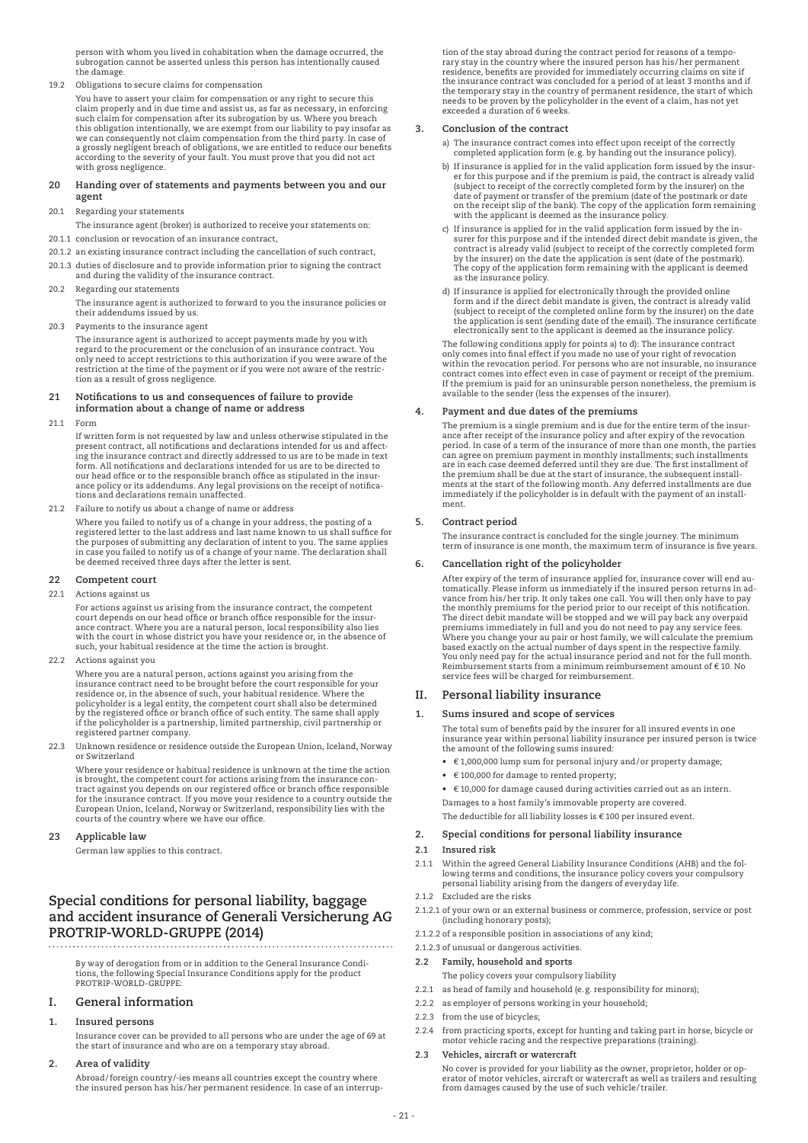person with whom you lived in cohabitation when the damage occurred, the subrogation cannot be asserted unless this person has intentionally caused the damage.

19.2 Obligations to secure claims for compensation

 You have to assert your claim for compensation or any right to secure this claim properly and in due time and assist us, as far as necessary, in enforcing such claim for compensation after its subrogation by us. Where you breach this obligation intentionally, we are exempt from our liability to pay insofar as<br>we can consequently not claim compensation from the third party. In case of<br>a grossly negligent breach of obligations, we are entitled to re according to the severity of your fault. You must prove that you did not act with gross negligence.

### **20 Handing over of statements and payments between you and our agent**

20.1 Regarding your statements

The insurance agent (broker) is authorized to receive your statements on:

- 20.1.1 conclusion or revocation of an insurance contract,
- 20.1.2 an existing insurance contract including the cancellation of such contract,
- 20.1.3 duties of disclosure and to provide information prior to signing the contract and during the validity of the insurance contract.
- 20.2 Regarding our statements

The insurance agent is authorized to forward to you the insurance policies or their addendums issued by us.

20.3 Payments to the insurance agent

 The insurance agent is authorized to accept payments made by you with regard to the procurement or the conclusion of an insurance contract. You only need to accept restrictions to this authorization if you were aware of the restriction at the time of the payment or if you were not aware of the restriction as a result of gross negligence.

### **21 Notifications to us and consequences of failure to provide information about a change of name or address**

21.1 Form

If written form is not requested by law and unless otherwise stipulated in the<br>present contract, all notifications and declarations intended for us and affect-<br>ing the insurance contract and directly addressed to us are to form. All notifications and declarations intended for us are to be directed to our head office or to the responsible branch office as stipulated in the insurance policy or its addendums. Any legal provisions on the receipt of notifications and declarations remain unaffected.

21.2 Failure to notify us about a change of name or address

 Where you failed to notify us of a change in your address, the posting of a registered letter to the last address and last name known to us shall suffice for the purposes of submitting any declaration of intent to you. The same applies in case you failed to notify us of a change of your name. The declaration shall be deemed received three days after the letter is sent.

# **22 Competent court**

22.1 Actions against us

 For actions against us arising from the insurance contract, the competent court depends on our head office or branch office responsible for the insurance contract. Where you are a natural person, local responsibility also lies<br>with the court in whose district you have your residence or, in the absence of<br>such, your habitual residence at the time the action is brought.

### 22.2 Actions against you

 Where you are a natural person, actions against you arising from the insurance contract need to be brought before the court responsible for your residence or, in the absence of such, your habitual residence. Where the policyholder is a legal entity, the competent court shall also be determined by the registered office or branch office of such entity. The same shall apply if the policyholder is a partnership, limited partnership, civil partnership or registered partner company.

22.3 Unknown residence or residence outside the European Union, Iceland, Norway or Switzerland

 Where your residence or habitual residence is unknown at the time the action is brought, the competent court for actions arising from the insurance con-tract against you depends on our registered office or branch office responsible for the insurance contract. If you move your residence to a country outside the European Union, Iceland, Norway or Switzerland, responsibility lies with the courts of the country where we have our office.

### **23 Applicable law**

German law applies to this contract.

# **Special conditions for personal liability, baggage and accident insurance of Generali Versicherung AG PROTRIP-WORLD-GRUPPE (2014)**

 By way of derogation from or in addition to the General Insurance Conditions, the following Special Insurance Conditions apply for the product PROTRIP-WORLD-GRUPPE:

### **I. General information**

### **1. Insured persons**

 Insurance cover can be provided to all persons who are under the age of 69 at the start of insurance and who are on a temporary stay abroad.

**2. Area of validity**

 Abroad/foreign country/-ies means all countries except the country where the insured person has his/her permanent residence. In case of an interruption of the stay abroad during the contract period for reasons of a temporary stay in the country where the insured person has his/her permanent residence, benefits are provided for immediately occurring claims on site if the insurance contract was concluded for a period of at least 3 months and if the temporary stay in the country of permanent residence, the start of which needs to be proven by the policyholder in the event of a claim, has not yet exceeded a duration of 6 weeks.

### **3. Conclusion of the contract**

- a) The insurance contract comes into effect upon receipt of the correctly completed application form (e.g. by handing out the insurance policy).
- b) If insurance is applied for in the valid application form issued by the insur-<br>er for this purpose and if the premium is paid, the contract is already valid<br>(subject to receipt of the correctly completed form by the ins date of payment or transfer of the premium (date of the postmark or date on the receipt slip of the bank). The copy of the application form remaining with the applicant is deemed as the insurance policy.
- c) If insurance is applied for in the valid application form issued by the insurer for this purpose and if the intended direct debit mandate is given, the contract is already valid (subject to receipt of the correctly completed form by the insurer) on the date the application is sent (date of the postmark). The copy of the application form remaining with the applicant is deemed as the insurance policy.
- d) If insurance is applied for electronically through the provided online form and if the direct debit mandate is given, the contract is already valid (subject to receipt of the completed online form by the insurer) on the date the application is sent (sending date of the email). The insurance certificate electronically sent to the applicant is deemed as the insurance policy.

 The following conditions apply for points a) to d): The insurance contract only comes into final effect if you made no use of your right of revocation within the revocation period. For persons who are not insurable, no insurance contract comes into effect even in case of payment or receipt of the premium. If the premium is paid for an uninsurable person nonetheless, the premium is available to the sender (less the expenses of the insurer).

### **4. Payment and due dates of the premiums**

 The premium is a single premium and is due for the entire term of the insurance after receipt of the insurance policy and after expiry of the revocation period. In case of a term of the insurance of more than one month, the parties can agree on premium payment in monthly installments; such installments<br>are in each case deemed deferred until they are due. The first installment of<br>the premium shall be due at the start of insurance, the subsequent insta immediately if the policyholder is in default with the payment of an installment.

# **5. Contract period**

 The insurance contract is concluded for the single journey. The minimum term of insurance is one month, the maximum term of insurance is five years.

### **6. Cancellation right of the policyholder**

 After expiry of the term of insurance applied for, insurance cover will end automatically. Please inform us immediately if the insured person returns in ad-vance from his/her trip. It only takes one call. You will then only have to pay the monthly premiums for the period prior to our receipt of this notification. The direct debit mandate will be stopped and we will pay back any overpaid premiums immediately in full and you do not need to pay any service fees. Where you change your au pair or host family, we will calculate the premium based exactly on the actual number of days spent in the respective family. You only need pay for the actual insurance period and not for the full month. Reimbursement starts from a minimum reimbursement amount of € 10. No service fees will be charged for reimbursement.

### **II. Personal liability insurance**

### **1. Sums insured and scope of services**

 The total sum of benefits paid by the insurer for all insured events in one insurance year within personal liability insurance per insured person is twice the amount of the following sums insured:

- € 1,000,000 lump sum for personal injury and/or property damage;
- € 100,000 for damage to rented property;
- € 10,000 for damage caused during activities carried out as an intern.
- Damages to a host family's immovable property are covered.

The deductible for all liability losses is  $\epsilon$  100 per insured event.

### **2. Special conditions for personal liability insurance**

### **2.1 Insured risk**

- 2.1.1 Within the agreed General Liability Insurance Conditions (AHB) and the following terms and conditions, the insurance policy covers your compulsory personal liability arising from the dangers of everyday life.
- 2.1.2 Excluded are the risks
- 2.1.2.1 of your own or an external business or commerce, profession, service or post (including honorary posts);
- 2.1.2.2 of a responsible position in associations of any kind;
- 2.1.2.3 of unusual or dangerous activities.

### **2.2 Family, household and sports**

- The policy covers your compulsory liability
- 2.2.1 as head of family and household (e.g. responsibility for minors);
- 2.2.2 as employer of persons working in your household;
- 2.2.3 from the use of bicycles;
- 2.2.4 from practicing sports, except for hunting and taking part in horse, bicycle or motor vehicle racing and the respective preparations (training).

#### **2.3 Vehicles, aircraft or watercraft**

 No cover is provided for your liability as the owner, proprietor, holder or op-erator of motor vehicles, aircraft or watercraft as well as trailers and resulting from damages caused by the use of such vehicle/trailer.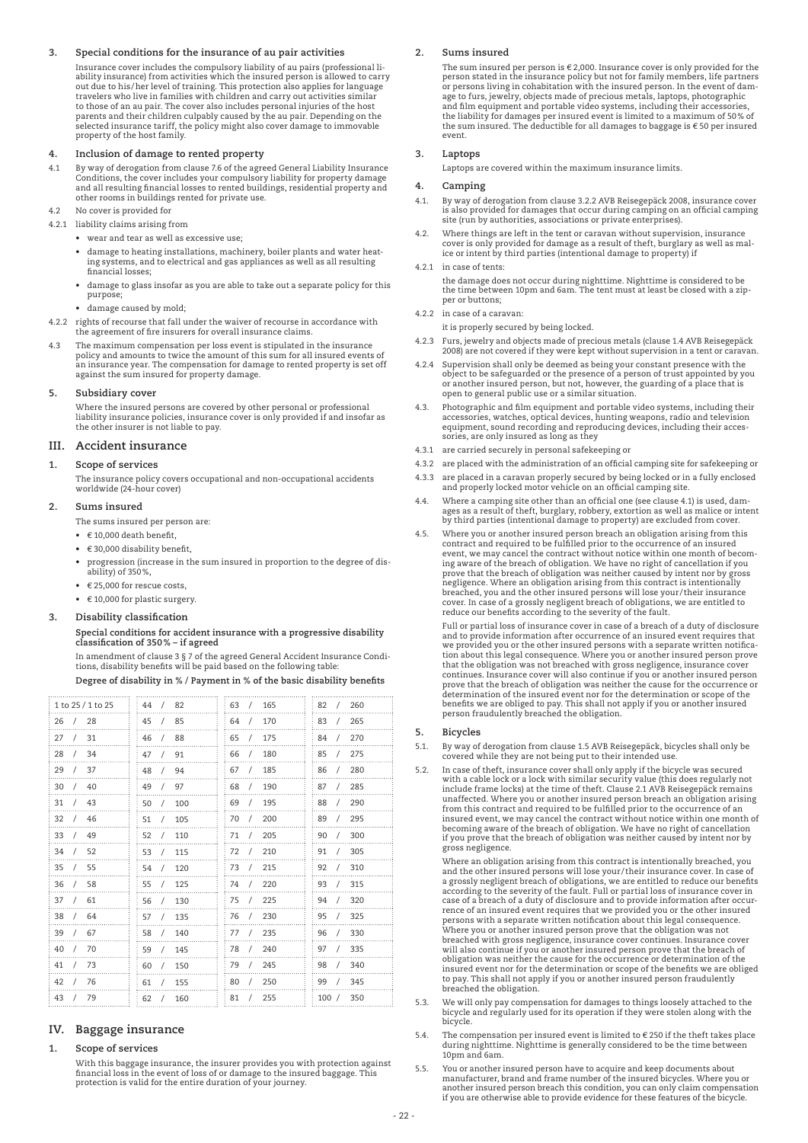### **3. Special conditions for the insurance of au pair activities**

 Insurance cover includes the compulsory liability of au pairs (professional liability insurance) from activities which the insured person is allowed to carry out due to his/her level of training. This protection also applies for language travelers who live in families with children and carry out activities similar to those of an au pair. The cover also includes personal injuries of the host parents and their children culpably caused by the au pair. Depending on the selected insurance tariff, the policy might also cover damage to immovable property of the host family.

### **4. Inclusion of damage to rented property**

- 4.1 By way of derogation from clause 7.6 of the agreed General Liability Insurance Conditions, the cover includes your compulsory liability for property damage and all resulting financial losses to rented buildings, residential property and other rooms in buildings rented for private use.
- 4.2 No cover is provided for
- 4.2.1 liability claims arising from
	- wear and tear as well as excessive use;
	- damage to heating installations, machinery, boiler plants and water heating systems, and to electrical and gas appliances as well as all resulting financial losses;
	- damage to glass insofar as you are able to take out a separate policy for this purpose;
	- damage caused by mold;
- 4.2.2 rights of recourse that fall under the waiver of recourse in accordance with the agreement of fire insurers for overall insurance claims.
- 4.3 The maximum compensation per loss event is stipulated in the insurance policy and amounts to twice the amount of this sum for all insured events of an insurance year. The compensation for damage to rented property is set off against the sum insured for property damage.

### **5. Subsidiary cover**

 Where the insured persons are covered by other personal or professional liability insurance policies, insurance cover is only provided if and insofar as the other insurer is not liable to pay.

### **III. Accident insurance**

### **1. Scope of services**

The insurance policy covers occupational and non-occupational accidents worldwide (24-hour cover)

#### **2. Sums insured**

- The sums insured per person are:
- $\bullet$   $\in$  10,000 death benefit.
- $\cdot \in 30.000$  disability benefit.
- progression (increase in the sum insured in proportion to the degree of disability) of 350%,
- $\cdot \in 25,000$  for rescue costs.
- € 10,000 for plastic surgery.

### **3. Disability classification**

### **Special conditions for accident insurance with a progressive disability classification of 350% – if agreed**

In amendment of clause 3 § 7 of the agreed General Accident Insurance Condi-tions, disability benefits will be paid based on the following table:

 **Degree of disability in % / Payment in % of the basic disability benefits**

| 1 to 25 / 1 to 25 | 82                     | 63                    | 82                    |
|-------------------|------------------------|-----------------------|-----------------------|
|                   | 44                     | 165                   | 260                   |
|                   | $\sqrt{ }$             | $\sqrt{2}$            | $\prime$              |
| 28<br>26          | 85<br>45<br>$\sqrt{2}$ | 170<br>64<br>$\prime$ | 83<br>265<br>$\prime$ |
| 31<br>27          | 46<br>88<br>$\prime$   | 175<br>65             | 270<br>84<br>$\prime$ |
| 28<br>34          | 91<br>47<br>$\prime$   | 180<br>66             | 275<br>85<br>$\prime$ |
| 29<br>37          | 48<br>94<br>$\prime$   | 185<br>67<br>$\prime$ | 280<br>86<br>$\prime$ |
| 30                | 97                     | 190                   | 285                   |
| 40                | 49                     | 68                    | 87                    |
| $\prime$          | $\prime$               | $\prime$              | $\prime$              |
| 31                | 50                     | 195                   | 88                    |
| 43                | 100                    | 69                    | 290                   |
| $\prime$          | $\prime$               | $\prime$              | $\prime$              |
| 32                | 51                     | 200                   | 89                    |
| 46                | 105                    | 70                    | 295                   |
| $\sqrt{2}$        | $\prime$               | $\prime$              | $\prime$              |
| 33                | 52                     | 71                    | 90                    |
| 49                | 110                    | 205                   | 300                   |
| $\prime$          | $\prime$               | $\prime$              | $\prime$              |
| 52                | 53                     | 210                   | 305                   |
| 34                | 115                    | 72                    | 91                    |
| $\prime$          | $\prime$               | $\prime$              | $\prime$              |
| 35                | 120                    | 73                    | 92                    |
| 55                | 54                     | 215                   | 310                   |
| $\prime$          | $\sqrt{2}$             | $\prime$              | $\prime$              |
| 36                | 125                    | 220                   | 315                   |
| 58                | 55                     | 74                    | 93                    |
| $\prime$          | $\prime$               | $\prime$              | $\prime$              |
| 37                | 130                    | 225                   | 320                   |
| 61                | 56                     | 75                    | 94                    |
| $\prime$          | $\prime$               | $\prime$              | $\prime$              |
| 64                | 135                    | 230                   | 325                   |
| 38                | 57                     | 76                    | 95                    |
| $\prime$          | $\prime$               | $\prime$              | $\prime$              |
| 39                | 140                    | 235                   | 96                    |
| 67                | 58                     | 77                    | 330                   |
| $\prime$          | $\prime$               | $\prime$              | $\prime$              |
| 40                | 145                    | 240                   | 335                   |
| 70                | 59                     | 78                    | 97                    |
| $\prime$          | $\prime$               | $\prime$              | $\prime$              |
| 73                | 60                     | 245                   | 98                    |
| 41                | 150                    | 79                    | 340                   |
| $\prime$          | $\sqrt{2}$             | $\prime$              | $\prime$              |
| 76<br>42          | 155<br>61<br>$\prime$  | 250<br>80<br>$\prime$ | 345<br>99<br>$\prime$ |
| 43<br>79          | 160<br>62<br>$\prime$  | 255<br>81             | 350<br>100/           |
|                   |                        |                       |                       |

# **IV. Baggage insurance**

#### **1. Scope of services**

 With this baggage insurance, the insurer provides you with protection against financial loss in the event of loss of or damage to the insured baggage. This protection is valid for the entire duration of your journey.

### **2. Sums insured**

The sum insured per person is  $\epsilon$  2,000. Insurance cover is only provided for the person stated in the insurance policy but not for family members, life partners<br>or persons living in cohabitation with the insured person. In the event of dam-<br>age to furs, jewelry, objects made of precious metals, laptops the liability for damages per insured event is limited to a maximum of 50% of the sum insured. The deductible for all damages to baggage is € 50 per insured event.

#### **3. Laptops**

Laptops are covered within the maximum insurance limits.

#### **4. Camping**

- 4.1. By way of derogation from clause 3.2.2 AVB Reisegepäck 2008, insurance cover is also provided for damages that occur during camping on an official camping site (run by authorities, associations or private enterprises).
- 4.2. Where things are left in the tent or caravan without supervision, insurance cover is only provided for damage as a result of theft, burglary as well as malice or intent by third parties (intentional damage to property) if
- 4.2.1 in case of tents:
- the damage does not occur during nighttime. Nighttime is considered to be the time between 10pm and 6am. The tent must at least be closed with a zipper or buttons;
- 4.2.2 in case of a caravan:
- it is properly secured by being locked.
- 4.2.3 Furs, jewelry and objects made of precious metals (clause 1.4 AVB Reisegepäck 2008) are not covered if they were kept without supervision in a tent or caravan.
- 4.2.4 Supervision shall only be deemed as being your constant presence with the object to be safeguarded or the presence of a person of trust appointed by you or another insured person, but not, however, the guarding of a place that is open to general public use or a similar situation.
- Photographic and film equipment and portable video systems, including their accessories, watches, optical devices, hunting weapons, radio and television equipment, sound recording and reproducing devices, including their accessories, are only insured as long as they
- 4.3.1 are carried securely in personal safekeeping or
- 4.3.2 are placed with the administration of an official camping site for safekeeping or
- 4.3.3 are placed in a caravan properly secured by being locked or in a fully enclosed and properly locked motor vehicle on an official camping site.
- 4.4. Where a camping site other than an official one (see clause 4.1) is used, damages as a result of theft, burglary, robbery, extortion as well as malice or intent by third parties (intentional damage to property) are excluded from cover.
- 4.5. Where you or another insured person breach an obligation arising from this<br>contract and required to be fulfilled prior to the occurrence of an insured<br>event, we may cancel the contract without notice within one month ing aware of the breach of obligation. We have no right of cancellation if you<br>prove that the breach of obligation was neither caused by intent nor by gross<br>negligence. Where an obligation arising from this contract is int breached, you and the other insured persons will lose your/their insurance<br>cover. In case of a grossly negligent breach of obligations, we are entitled to reduce our benefits according to the severity of the fault.

 Full or partial loss of insurance cover in case of a breach of a duty of disclosure and to provide information after occurrence of an insured event requires that we provided you or the other insured persons with a separate written notification about this legal consequence. Where you or another insured person prove<br>that the obligation was not breached with gross negligence, insurance cover<br>continues. Insurance cover will also continue if you or another insur benefits we are obliged to pay. This shall not apply if you or another insured person fraudulently breached the obligation.

#### **5. Bicycles**

- 5.1. By way of derogation from clause 1.5 AVB Reisegepäck, bicycles shall only be covered while they are not being put to their intended use.
- In case of theft, insurance cover shall only apply if the bicycle was secured with a cable lock or a lock with similar security value (this does regularly not include frame locks) at the time of theft. Clause 2.1 AVB Reisegepäck remains unaffected. Where you or another insured person breach an obligation arising<br>from this contract and required to be fulfilled prior to the occurrence of an<br>insured event, we may cancel the contract without notice within one gross negligence.

 Where an obligation arising from this contract is intentionally breached, you and the other insured persons will lose your/their insurance cover. In case of<br>a grossly negligent breach of obligations, we are entitled to reduce our benefits<br>according to the severity of the fault. Full or partial loss case of a breach of a duty of disclosure and to provide information after occur-rence of an insured event requires that we provided you or the other insured persons with a separate written notification about this legal consequence. Where you or another insured person prove that the obligation was not breached with gross negligence, insurance cover continues. Insurance cover<br>will also continue if you or another insured person prove that the breach of<br>obligation was neither the cause for the occurrence or determination o breached the obligation.

- 5.3. We will only pay compensation for damages to things loosely attached to the bicycle and regularly used for its operation if they were stolen along with the bicycle.
- 5.4. The compensation per insured event is limited to  $\epsilon$  250 if the theft takes place during nighttime. Nighttime is generally considered to be the time between 10pm and 6am.
- 5.5. You or another insured person have to acquire and keep documents about manufacturer, brand and frame number of the insured bicycles. Where you or another insured person breach this condition, you can only claim compensation if you are otherwise able to provide evidence for these features of the bicycle.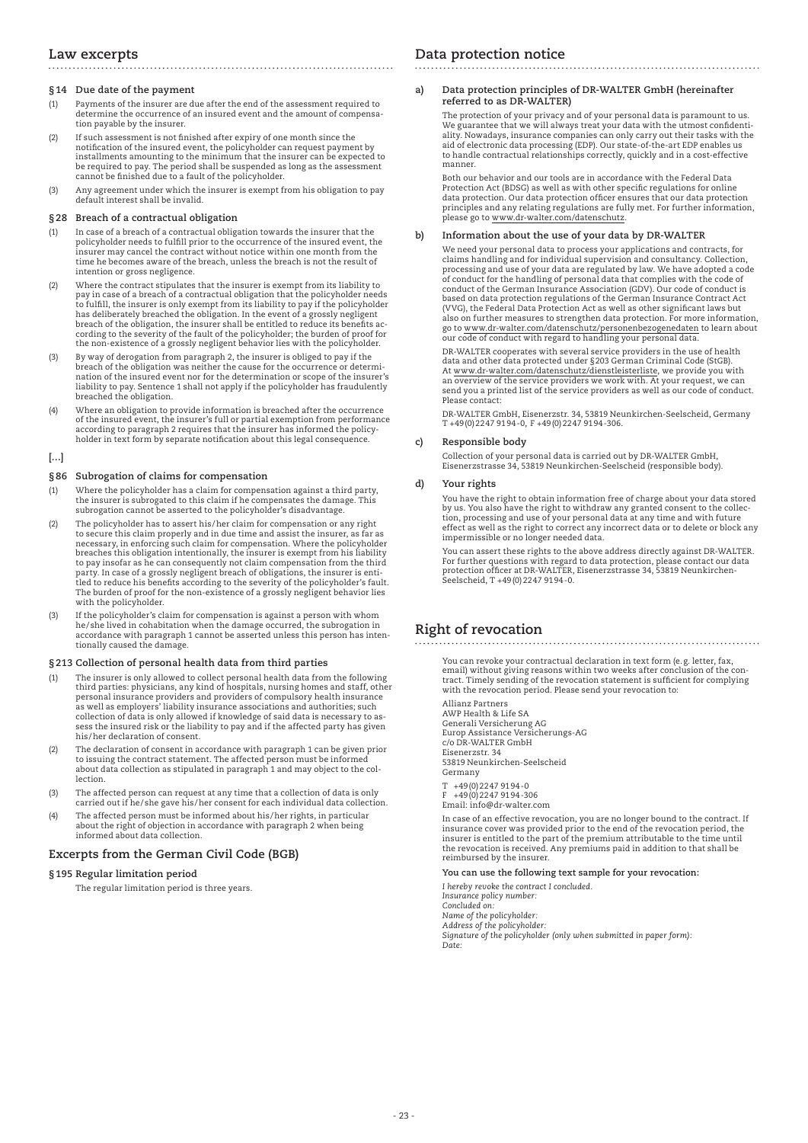# **Law excerpts**

### **§14 Due date of the payment**

(1) Payments of the insurer are due after the end of the assessment required to determine the occurrence of an insured event and the amount of compensation payable by the insurer.

- (2) If such assessment is not finished after expiry of one month since the notification of the insured event, the policyholder can request payment by installments amounting to the minimum that the insurer can be expected to be required to pay. The period shall be suspended as long as the assessment cannot be finished due to a fault of the policyholder.
- (3) Any agreement under which the insurer is exempt from his obligation to pay default interest shall be invalid.

### **§28 Breach of a contractual obligation**

- (1) In case of a breach of a contractual obligation towards the insurer that the policyholder needs to fulfill prior to the occurrence of the insured event, the insurer may cancel the contract without notice within one month from the time he becomes aware of the breach, unless the breach is not the result of intention or gross negligence.
- (2) Where the contract stipulates that the insurer is exempt from its liability to pay in case of a breach of a contractual obligation that the policyholder needs to fulfill, the insurer is only exempt from its liability to pay if the policyholder has deliberately breached the obligation. In the event of a grossly negligent breach of the obligation, the insurer shall be entitled to reduce its benefits according to the severity of the fault of the policyholder; the burden of proof for the non-existence of a grossly negligent behavior lies with the policyholder.
- (3) By way of derogation from paragraph 2, the insurer is obliged to pay if the breach of the obligation was neither the cause for the occurrence or determination of the insured event nor for the determination or scope of the insurer's liability to pay. Sentence 1 shall not apply if the policyholder has fraudulently breached the obligation.
- (4) Where an obligation to provide information is breached after the occurrence of the insured event, the insurer's full or partial exemption from performance according to paragraph 2 requires that the insurer has informed the policyholder in text form by separate notification about this legal consequence.

### **[…]**

### **§86 Subrogation of claims for compensation**

- (1) Where the policyholder has a claim for compensation against a third party, the insurer is subrogated to this claim if he compensates the damage. This subrogation cannot be asserted to the policyholder's disadvantage.
- (2) The policyholder has to assert his/her claim for compensation or any right to secure this claim properly and in due time and assist the insurer, as far as necessary, in enforcing such claim for compensation. Where the policyholder breaches this obligation intentionally, the insurer is exempt from his liability to pay insofar as he can consequently not claim compensation from the third party. In case of a grossly negligent breach of obligations, the insurer is enti-tled to reduce his benefits according to the severity of the policyholder's fault. The burden of proof for the non-existence of a grossly negligent behavior lies with the policyholder.
- (3) If the policyholder's claim for compensation is against a person with whom he/she lived in cohabitation when the damage occurred, the subrogation in accordance with paragraph 1 cannot be asserted unless this person has intentionally caused the damage.

### **§213 Collection of personal health data from third parties**

- (1) The insurer is only allowed to collect personal health data from the following<br>third parties: physicians, any kind of hospitals, nursing homes and staff, other<br>personal insurance providers and providers of compulsory h sess the insured risk or the liability to pay and if the affected party has given his/her declaration of consent.
- (2) The declaration of consent in accordance with paragraph 1 can be given prior to issuing the contract statement. The affected person must be informed about data collection as stipulated in paragraph 1 and may object to the collection.
- (3) The affected person can request at any time that a collection of data is only carried out if he/she gave his/her consent for each individual data collection.
- (4) The affected person must be informed about his/her rights, in particular about the right of objection in accordance with paragraph 2 when being informed about data collection.

### **Excerpts from the German Civil Code (BGB)**

### **§195 Regular limitation period**

The regular limitation period is three years.

# **Data protection notice**

### **a) Data protection principles of DR-WALTER GmbH (hereinafter referred to as DR-WALTER)**

 The protection of your privacy and of your personal data is paramount to us. We guarantee that we will always treat your data with the utmost confidentiality. Nowadays, insurance companies can only carry out their tasks with the aid of electronic data processing (EDP). Our state-of-the-art EDP enables us to handle contractual relationships correctly, quickly and in a cost-effective manner.

 Both our behavior and our tools are in accordance with the Federal Data Protection Act (BDSG) as well as with other specific regulations for online data protection. Our data protection officer ensures that our data protection principles and any relating regulations are fully met. For further information, please go to www.dr-walter.com/datenschutz.

#### **b) Information about the use of your data by DR-WALTER**

 We need your personal data to process your applications and contracts, for claims handling and for individual supervision and consultancy. Collection, processing and use of your data are regulated by law. We have adopted a code of conduct for the handling of personal data that complies with the code of conduct of the German Insurance Association (GDV). Our code of conduct is based on data protection regulations of the German Insurance Contract Act (VVG), the Federal Data Protection Act as well as other significant laws but also on further measures to strengthen data protection. For more information, go to www.dr-walter.com/datenschutz/personenbezogenedaten to learn about our code of conduct with regard to handling your personal data

 DR-WALTER cooperates with several service providers in the use of health data and other data protected under §203 German Criminal Code (StGB).<br>At <u>www.dr-walter.com/datenschutz/dienstleiste</u>rliste, we provide you with<br>an overview of the service providers we work with. At your request, we can send you a printed list of the service providers as well as our code of conduct. Please contact:

DR-WALTER GmbH, Eisenerzstr. 34, 53819 Neunkirchen-Seelscheid, Germany T +49(0)2247 9194-0, F +49(0)2247 9194-306.

### **c) Responsible body**

 Collection of your personal data is carried out by DR-WALTER GmbH, Eisenerzstrasse 34, 53819 Neunkirchen-Seelscheid (responsible body).

### **d) Your rights**

 You have the right to obtain information free of charge about your data stored by us. You also have the right to withdraw any granted consent to the collection, processing and use of your personal data at any time and with future effect as well as the right to correct any incorrect data or to delete or block any impermissible or no longer needed data.

 You can assert these rights to the above address directly against DR-WALTER. For further questions with regard to data protection, please contact our data protection officer at DR-WALTER, Eisenerzstrasse 34, 53819 Neunkirchen-Seelscheid, T +49(0)2247 9194-0.

# **Right of revocation**

 You can revoke your contractual declaration in text form (e.g. letter, fax, email) without giving reasons within two weeks after conclusion of the contract. Timely sending of the revocation statement is sufficient for complying with the revocation period. Please send your revocation to:

 Allianz Partners AWP Health & Life SA Generali Versicherung AG Europ Assistance Versicherungs-AG c/o DR-WALTER GmbH Eisenerzstr. 34 53819 Neunkirchen-Seelscheid Germany +49(0)2247 9194-0

 $F +49(0)22479194-306$ Email: info@dr-walter.com

 In case of an effective revocation, you are no longer bound to the contract. If insurance cover was provided prior to the end of the revocation period, the insurer is entitled to the part of the premium attributable to the time until the revocation is received. Any premiums paid in addition to that shall be reimbursed by the insurer.

 **You can use the following text sample for your revocation:**

 *I hereby revoke the contract I concluded. Insurance policy number: Concluded on: Name of the policyholder: Address of the policyholder: Signature of the policyholder (only when submitted in paper form): Date:*